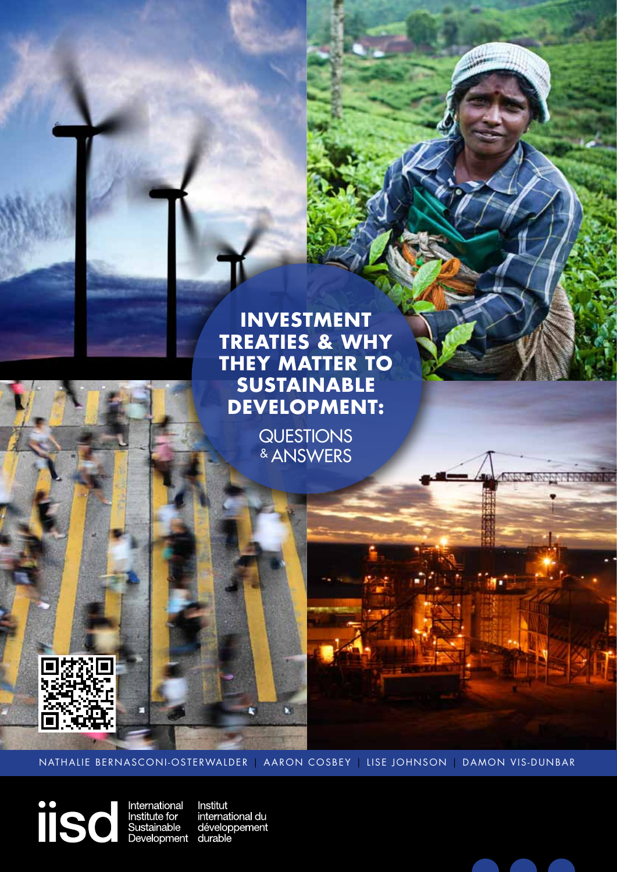

## **Investment Treaties & Why they Matter to Sustainable Development:**

**QUESTIONS** & Answers



NATHALIE BERNASCONI-OSTERWALDER | AARON COSBEY | LISE JOHNSON | DAMON VIS-DUNBAR

N

iisd

International Institut<br>Institute\_for internation<br>Sustainable dévelop<br>Development durable international du développement



**NAMES OF SPRINT**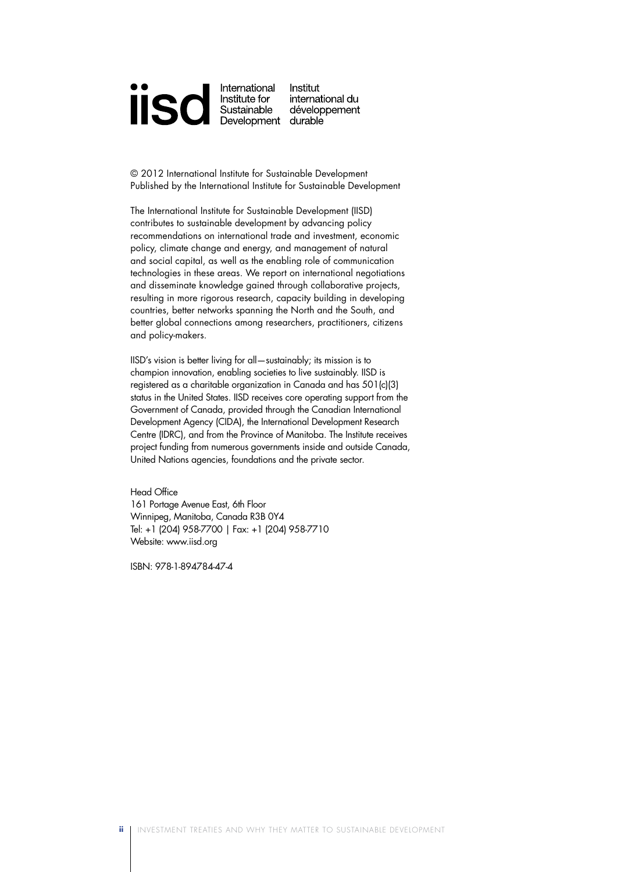

© 2012 International Institute for Sustainable Development Published by the International Institute for Sustainable Development

The International Institute for Sustainable Development (IISD) contributes to sustainable development by advancing policy recommendations on international trade and investment, economic policy, climate change and energy, and management of natural and social capital, as well as the enabling role of communication technologies in these areas. We report on international negotiations and disseminate knowledge gained through collaborative projects, resulting in more rigorous research, capacity building in developing countries, better networks spanning the North and the South, and better global connections among researchers, practitioners, citizens and policy-makers.

IISD's vision is better living for all—sustainably; its mission is to champion innovation, enabling societies to live sustainably. IISD is registered as a charitable organization in Canada and has 501(c)(3) status in the United States. IISD receives core operating support from the Government of Canada, provided through the Canadian International Development Agency (CIDA), the International Development Research Centre (IDRC), and from the Province of Manitoba. The Institute receives project funding from numerous governments inside and outside Canada, United Nations agencies, foundations and the private sector.

Head Office 161 Portage Avenue East, 6th Floor Winnipeg, Manitoba, Canada R3B 0Y4 Tel: +1 (204) 958-7700 | Fax: +1 (204) 958-7710 Website: www.iisd.org

ISBN: 978-1-894784-47-4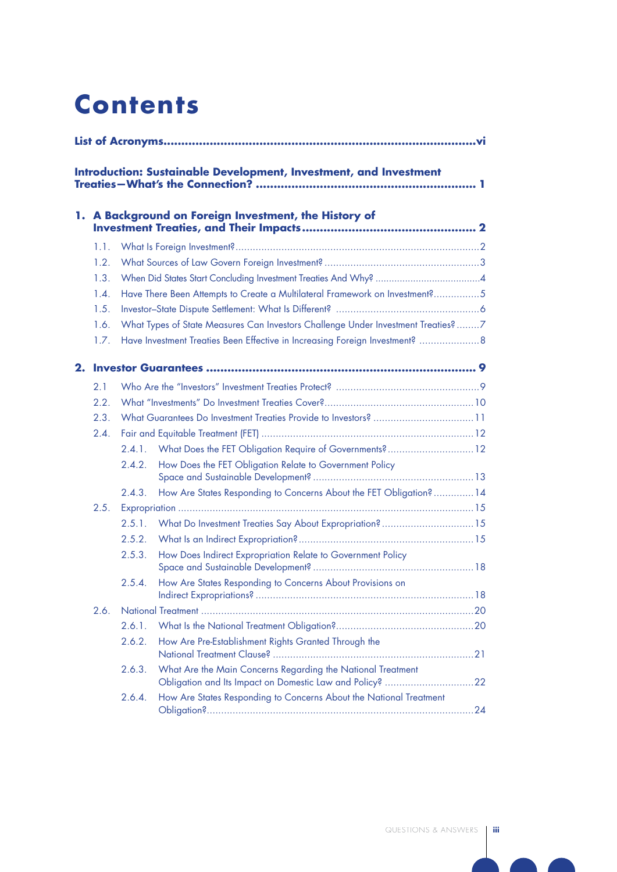## **Contents**

|    | <b>Introduction: Sustainable Development, Investment, and Investment</b> |        |                                                                                  |  |  |  |  |  |
|----|--------------------------------------------------------------------------|--------|----------------------------------------------------------------------------------|--|--|--|--|--|
|    |                                                                          |        | 1. A Background on Foreign Investment, the History of                            |  |  |  |  |  |
|    | 1.1.                                                                     |        |                                                                                  |  |  |  |  |  |
|    | 1.2.                                                                     |        |                                                                                  |  |  |  |  |  |
|    | 1.3.                                                                     |        |                                                                                  |  |  |  |  |  |
|    | 1.4.                                                                     |        | Have There Been Attempts to Create a Multilateral Framework on Investment?5      |  |  |  |  |  |
|    | 1.5.                                                                     |        |                                                                                  |  |  |  |  |  |
|    | 1.6.                                                                     |        | What Types of State Measures Can Investors Challenge Under Investment Treaties?7 |  |  |  |  |  |
|    | 1.7.                                                                     |        | Have Investment Treaties Been Effective in Increasing Foreign Investment?  8     |  |  |  |  |  |
| 2. |                                                                          |        |                                                                                  |  |  |  |  |  |
|    | 2.1                                                                      |        |                                                                                  |  |  |  |  |  |
|    | 2.2.                                                                     |        |                                                                                  |  |  |  |  |  |
|    | 2.3.                                                                     |        |                                                                                  |  |  |  |  |  |
|    | 2.4.                                                                     |        |                                                                                  |  |  |  |  |  |
|    |                                                                          | 2.4.1. | What Does the FET Obligation Require of Governments? 12                          |  |  |  |  |  |
|    |                                                                          | 2.4.2. | How Does the FET Obligation Relate to Government Policy                          |  |  |  |  |  |
|    |                                                                          | 2.4.3. | How Are States Responding to Concerns About the FET Obligation?  14              |  |  |  |  |  |
|    | 2.5.                                                                     |        |                                                                                  |  |  |  |  |  |
|    |                                                                          | 2.5.1. | What Do Investment Treaties Say About Expropriation? 15                          |  |  |  |  |  |
|    |                                                                          | 2.5.2. |                                                                                  |  |  |  |  |  |
|    |                                                                          | 2.5.3. | How Does Indirect Expropriation Relate to Government Policy                      |  |  |  |  |  |
|    |                                                                          | 2.5.4. | How Are States Responding to Concerns About Provisions on                        |  |  |  |  |  |
|    | 2.6.                                                                     |        |                                                                                  |  |  |  |  |  |
|    |                                                                          | 2.6.1. |                                                                                  |  |  |  |  |  |
|    |                                                                          | 2.6.2. | How Are Pre-Establishment Rights Granted Through the                             |  |  |  |  |  |
|    |                                                                          | 2.6.3. | What Are the Main Concerns Regarding the National Treatment                      |  |  |  |  |  |
|    |                                                                          | 2.6.4. | How Are States Responding to Concerns About the National Treatment               |  |  |  |  |  |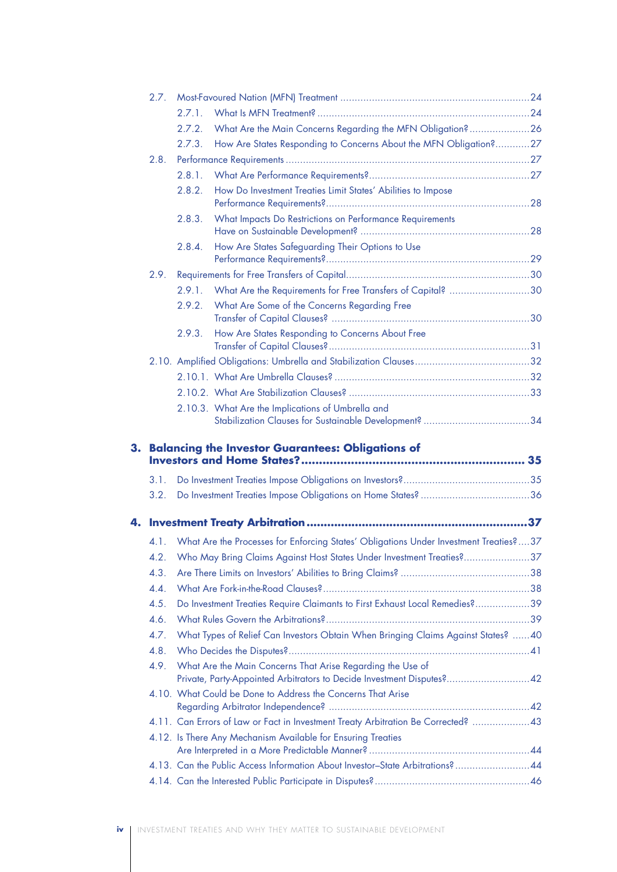|    | 2.7. |        |                                                                                                                                     |  |
|----|------|--------|-------------------------------------------------------------------------------------------------------------------------------------|--|
|    |      | 2.7.1. |                                                                                                                                     |  |
|    |      | 2.7.2. | What Are the Main Concerns Regarding the MFN Obligation?26                                                                          |  |
|    |      | 2.7.3. | How Are States Responding to Concerns About the MFN Obligation?27                                                                   |  |
|    | 2.8. |        |                                                                                                                                     |  |
|    |      | 2.8.1. |                                                                                                                                     |  |
|    |      | 2.8.2. | How Do Investment Treaties Limit States' Abilities to Impose                                                                        |  |
|    |      | 2.8.3. | What Impacts Do Restrictions on Performance Requirements                                                                            |  |
|    |      | 2.8.4. | How Are States Safeguarding Their Options to Use                                                                                    |  |
|    | 2.9. |        |                                                                                                                                     |  |
|    |      | 2.9.1. | What Are the Requirements for Free Transfers of Capital? 30                                                                         |  |
|    |      | 2.9.2. | What Are Some of the Concerns Regarding Free                                                                                        |  |
|    |      | 2.9.3. | How Are States Responding to Concerns About Free                                                                                    |  |
|    |      |        |                                                                                                                                     |  |
|    |      |        |                                                                                                                                     |  |
|    |      |        |                                                                                                                                     |  |
|    |      |        | 2.10.3. What Are the Implications of Umbrella and                                                                                   |  |
| 3. |      |        | <b>Balancing the Investor Guarantees: Obligations of</b>                                                                            |  |
|    |      |        |                                                                                                                                     |  |
|    | 3.1. |        |                                                                                                                                     |  |
|    | 3.2. |        |                                                                                                                                     |  |
|    |      |        |                                                                                                                                     |  |
|    |      |        |                                                                                                                                     |  |
|    |      |        | 4.1. What Are the Processes for Enforcing States' Obligations Under Investment Treaties?37                                          |  |
|    |      |        | 4.2. Who May Bring Claims Against Host States Under Investment Treaties?37                                                          |  |
|    | 4.3. |        |                                                                                                                                     |  |
|    | 4.4. |        |                                                                                                                                     |  |
|    | 4.5. |        | Do Investment Treaties Require Claimants to First Exhaust Local Remedies?39                                                         |  |
|    | 4.6. |        |                                                                                                                                     |  |
|    | 4.7. |        | What Types of Relief Can Investors Obtain When Bringing Claims Against States?  40                                                  |  |
|    | 4.8. |        |                                                                                                                                     |  |
|    | 4.9. |        | What Are the Main Concerns That Arise Regarding the Use of<br>Private, Party-Appointed Arbitrators to Decide Investment Disputes?42 |  |
|    |      |        | 4.10. What Could be Done to Address the Concerns That Arise                                                                         |  |
|    |      |        | 4.11. Can Errors of Law or Fact in Investment Treaty Arbitration Be Corrected? 43                                                   |  |
|    |      |        | 4.12. Is There Any Mechanism Available for Ensuring Treaties                                                                        |  |
|    |      |        | 4.13. Can the Public Access Information About Investor-State Arbitrations? 44                                                       |  |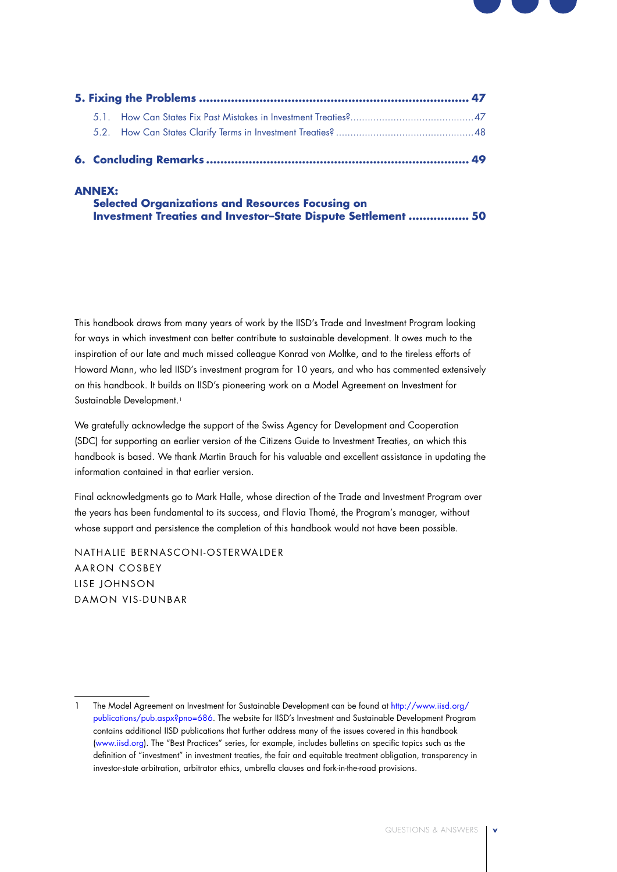

### **ANNEX:**

| <b>Selected Organizations and Resources Focusing on</b>       |  |
|---------------------------------------------------------------|--|
| Investment Treaties and Investor-State Dispute Settlement  50 |  |

This handbook draws from many years of work by the IISD's Trade and Investment Program looking for ways in which investment can better contribute to sustainable development. It owes much to the inspiration of our late and much missed colleague Konrad von Moltke, and to the tireless efforts of Howard Mann, who led IISD's investment program for 10 years, and who has commented extensively on this handbook. It builds on IISD's pioneering work on a Model Agreement on Investment for Sustainable Development.<sup>1</sup>

We gratefully acknowledge the support of the Swiss Agency for Development and Cooperation (SDC) for supporting an earlier version of the Citizens Guide to Investment Treaties, on which this handbook is based. We thank Martin Brauch for his valuable and excellent assistance in updating the information contained in that earlier version.

Final acknowledgments go to Mark Halle, whose direction of the Trade and Investment Program over the years has been fundamental to its success, and Flavia Thomé, the Program's manager, without whose support and persistence the completion of this handbook would not have been possible.

NATHALIF BERNASCONI-OSTERWALDER Aaron Cosbey LISE JOHNSON DAMON VIS-DUNBAR

<sup>1</sup> The Model Agreement on Investment for Sustainable Development can be found at http://www.iisd.org/ publications/pub.aspx?pno=686. The website for IISD's Investment and Sustainable Development Program contains additional IISD publications that further address many of the issues covered in this handbook (www.iisd.org). The "Best Practices" series, for example, includes bulletins on specific topics such as the definition of "investment" in investment treaties, the fair and equitable treatment obligation, transparency in investor-state arbitration, arbitrator ethics, umbrella clauses and fork-in-the-road provisions.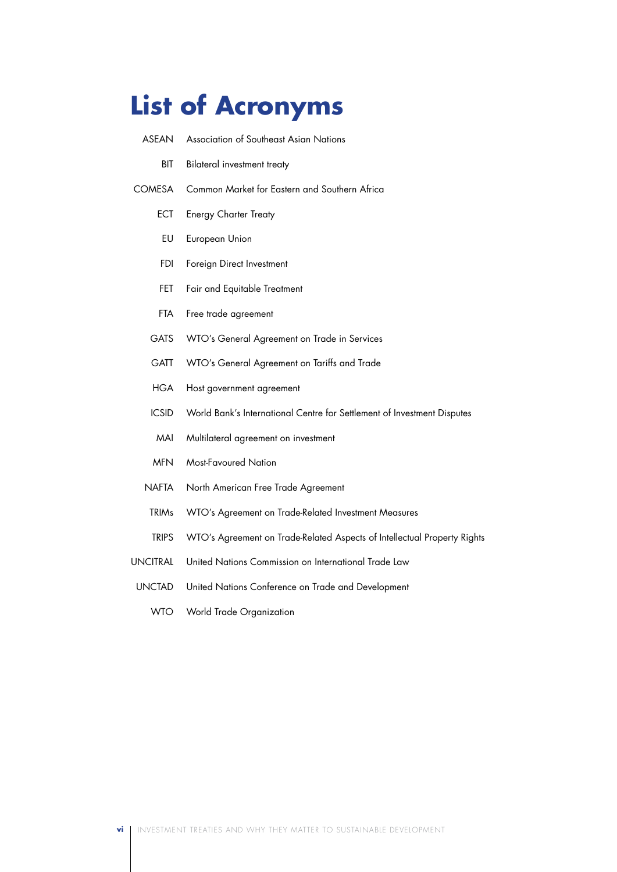## **List of Acronyms**

- ASEAN Association of Southeast Asian Nations
	- BIT Bilateral investment treaty
- COMESA Common Market for Eastern and Southern Africa
	- ECT Energy Charter Treaty
	- EU European Union
	- FDI Foreign Direct Investment
	- FET Fair and Equitable Treatment
	- FTA Free trade agreement
	- GATS WTO's General Agreement on Trade in Services
	- GATT WTO's General Agreement on Tariffs and Trade
	- HGA Host government agreement
	- ICSID World Bank's International Centre for Settlement of Investment Disputes
	- MAI Multilateral agreement on investment
	- MFN Most-Favoured Nation
	- NAFTA North American Free Trade Agreement
	- TRIMs WTO's Agreement on Trade-Related Investment Measures
	- TRIPS WTO's Agreement on Trade-Related Aspects of Intellectual Property Rights
- UNCITRAL United Nations Commission on International Trade Law
- UNCTAD United Nations Conference on Trade and Development
	- WTO World Trade Organization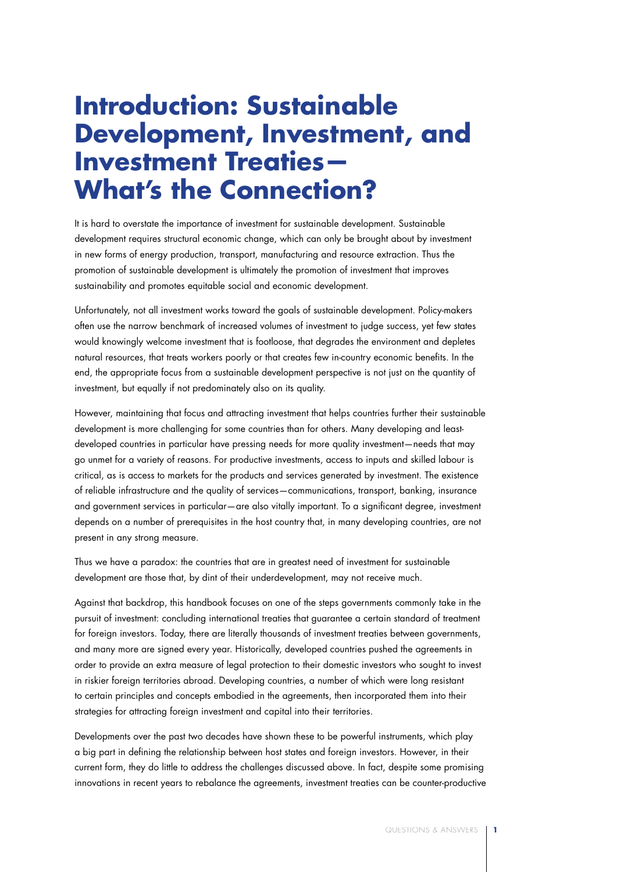## **Introduction: Sustainable Development, Investment, and Investment Treaties— What's the Connection?**

It is hard to overstate the importance of investment for sustainable development. Sustainable development requires structural economic change, which can only be brought about by investment in new forms of energy production, transport, manufacturing and resource extraction. Thus the promotion of sustainable development is ultimately the promotion of investment that improves sustainability and promotes equitable social and economic development.

Unfortunately, not all investment works toward the goals of sustainable development. Policy-makers often use the narrow benchmark of increased volumes of investment to judge success, yet few states would knowingly welcome investment that is footloose, that degrades the environment and depletes natural resources, that treats workers poorly or that creates few in-country economic benefits. In the end, the appropriate focus from a sustainable development perspective is not just on the quantity of investment, but equally if not predominately also on its quality.

However, maintaining that focus and attracting investment that helps countries further their sustainable development is more challenging for some countries than for others. Many developing and leastdeveloped countries in particular have pressing needs for more quality investment—needs that may go unmet for a variety of reasons. For productive investments, access to inputs and skilled labour is critical, as is access to markets for the products and services generated by investment. The existence of reliable infrastructure and the quality of services—communications, transport, banking, insurance and government services in particular—are also vitally important. To a significant degree, investment depends on a number of prerequisites in the host country that, in many developing countries, are not present in any strong measure.

Thus we have a paradox: the countries that are in greatest need of investment for sustainable development are those that, by dint of their underdevelopment, may not receive much.

Against that backdrop, this handbook focuses on one of the steps governments commonly take in the pursuit of investment: concluding international treaties that guarantee a certain standard of treatment for foreign investors. Today, there are literally thousands of investment treaties between governments, and many more are signed every year. Historically, developed countries pushed the agreements in order to provide an extra measure of legal protection to their domestic investors who sought to invest in riskier foreign territories abroad. Developing countries, a number of which were long resistant to certain principles and concepts embodied in the agreements, then incorporated them into their strategies for attracting foreign investment and capital into their territories.

Developments over the past two decades have shown these to be powerful instruments, which play a big part in defining the relationship between host states and foreign investors. However, in their current form, they do little to address the challenges discussed above. In fact, despite some promising innovations in recent years to rebalance the agreements, investment treaties can be counter-productive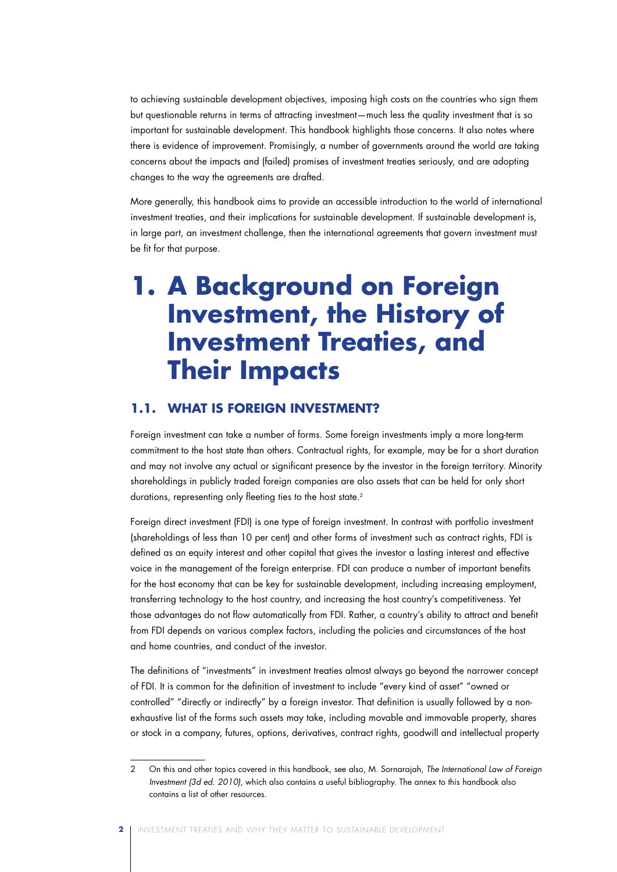to achieving sustainable development objectives, imposing high costs on the countries who sign them but questionable returns in terms of attracting investment—much less the quality investment that is so important for sustainable development. This handbook highlights those concerns. It also notes where there is evidence of improvement. Promisingly, a number of governments around the world are taking concerns about the impacts and (failed) promises of investment treaties seriously, and are adopting changes to the way the agreements are drafted.

More generally, this handbook aims to provide an accessible introduction to the world of international investment treaties, and their implications for sustainable development. If sustainable development is, in large part, an investment challenge, then the international agreements that govern investment must be fit for that purpose.

## **1. A Background on Foreign Investment, the History of Investment Treaties, and Their Impacts**

### **1.1. What Is Foreign Investment?**

Foreign investment can take a number of forms. Some foreign investments imply a more long-term commitment to the host state than others. Contractual rights, for example, may be for a short duration and may not involve any actual or significant presence by the investor in the foreign territory. Minority shareholdings in publicly traded foreign companies are also assets that can be held for only short durations, representing only fleeting ties to the host state.<sup>2</sup>

Foreign direct investment (FDI) is one type of foreign investment. In contrast with portfolio investment (shareholdings of less than 10 per cent) and other forms of investment such as contract rights, FDI is defined as an equity interest and other capital that gives the investor a lasting interest and effective voice in the management of the foreign enterprise. FDI can produce a number of important benefits for the host economy that can be key for sustainable development, including increasing employment, transferring technology to the host country, and increasing the host country's competitiveness. Yet those advantages do not flow automatically from FDI. Rather, a country's ability to attract and benefit from FDI depends on various complex factors, including the policies and circumstances of the host and home countries, and conduct of the investor.

The definitions of "investments" in investment treaties almost always go beyond the narrower concept of FDI. It is common for the definition of investment to include "every kind of asset" "owned or controlled" "directly or indirectly" by a foreign investor. That definition is usually followed by a nonexhaustive list of the forms such assets may take, including movable and immovable property, shares or stock in a company, futures, options, derivatives, contract rights, goodwill and intellectual property

<sup>2</sup> On this and other topics covered in this handbook, see also, M. Sornarajah, *The International Law of Foreign Investment (3d ed. 2010)*, which also contains a useful bibliography. The annex to this handbook also contains a list of other resources.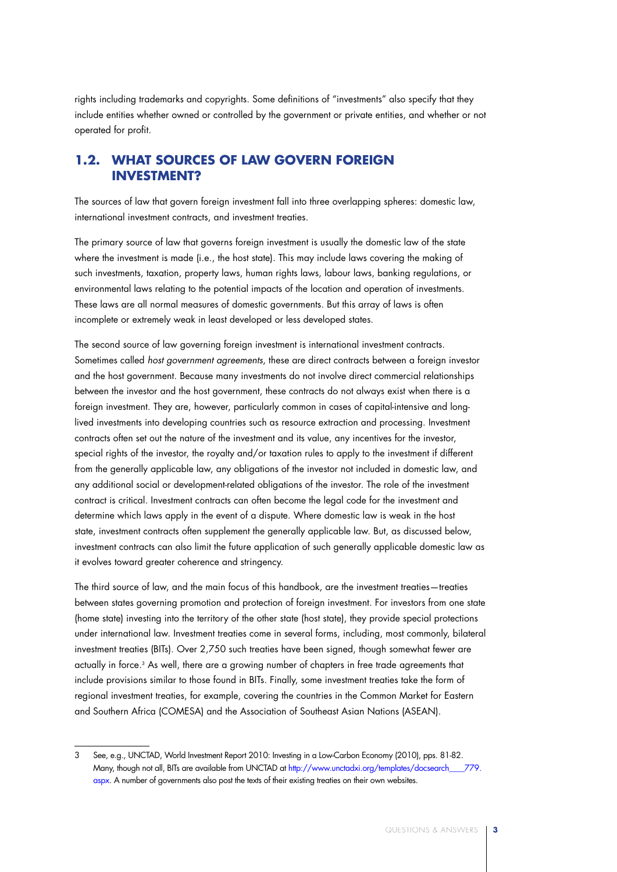rights including trademarks and copyrights. Some definitions of "investments" also specify that they include entities whether owned or controlled by the government or private entities, and whether or not operated for profit.

## **1.2. What Sources of Law Govern Foreign Investment?**

The sources of law that govern foreign investment fall into three overlapping spheres: domestic law, international investment contracts, and investment treaties.

The primary source of law that governs foreign investment is usually the domestic law of the state where the investment is made (i.e., the host state). This may include laws covering the making of such investments, taxation, property laws, human rights laws, labour laws, banking regulations, or environmental laws relating to the potential impacts of the location and operation of investments. These laws are all normal measures of domestic governments. But this array of laws is often incomplete or extremely weak in least developed or less developed states.

The second source of law governing foreign investment is international investment contracts. Sometimes called *host government agreements*, these are direct contracts between a foreign investor and the host government. Because many investments do not involve direct commercial relationships between the investor and the host government, these contracts do not always exist when there is a foreign investment. They are, however, particularly common in cases of capital-intensive and longlived investments into developing countries such as resource extraction and processing. Investment contracts often set out the nature of the investment and its value, any incentives for the investor, special rights of the investor, the royalty and/or taxation rules to apply to the investment if different from the generally applicable law, any obligations of the investor not included in domestic law, and any additional social or development-related obligations of the investor. The role of the investment contract is critical. Investment contracts can often become the legal code for the investment and determine which laws apply in the event of a dispute. Where domestic law is weak in the host state, investment contracts often supplement the generally applicable law. But, as discussed below, investment contracts can also limit the future application of such generally applicable domestic law as it evolves toward greater coherence and stringency.

The third source of law, and the main focus of this handbook, are the investment treaties—treaties between states governing promotion and protection of foreign investment. For investors from one state (home state) investing into the territory of the other state (host state), they provide special protections under international law. Investment treaties come in several forms, including, most commonly, bilateral investment treaties (BITs). Over 2,750 such treaties have been signed, though somewhat fewer are actually in force.3 As well, there are a growing number of chapters in free trade agreements that include provisions similar to those found in BITs. Finally, some investment treaties take the form of regional investment treaties, for example, covering the countries in the Common Market for Eastern and Southern Africa (COMESA) and the Association of Southeast Asian Nations (ASEAN).

<sup>3</sup> See, e.g., UNCTAD, World Investment Report 2010: Investing in a Low-Carbon Economy (2010), pps. 81-82. Many, though not all, BITs are available from UNCTAD at http://www.unctadxi.org/templates/docsearch\_\_\_\_779. aspx. A number of governments also post the texts of their existing treaties on their own websites.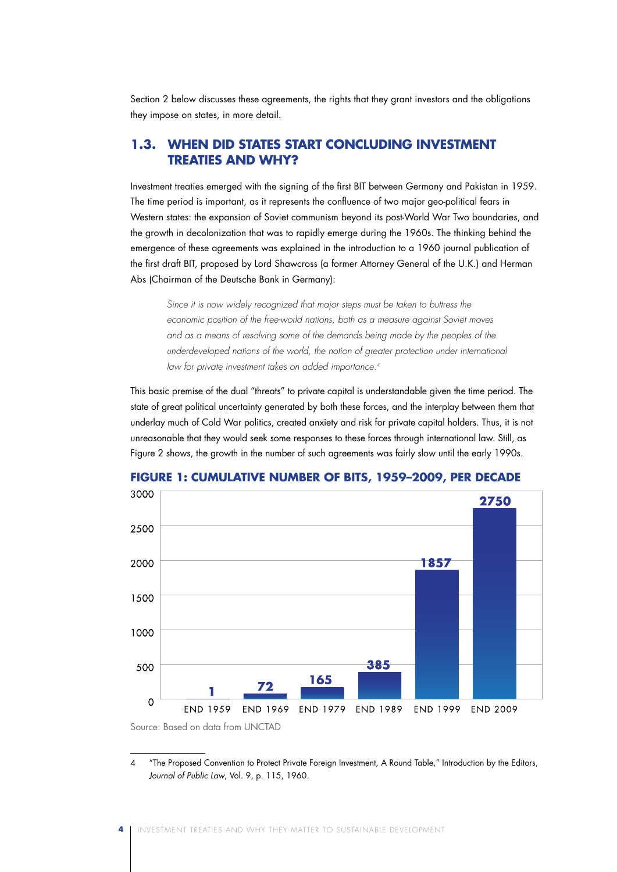Section 2 below discusses these agreements, the rights that they grant investors and the obligations they impose on states, in more detail.

## **1.3. When Did States Start Concluding Investment Treaties And Why?**

Investment treaties emerged with the signing of the first BIT between Germany and Pakistan in 1959. The time period is important, as it represents the confluence of two major geo-political fears in Western states: the expansion of Soviet communism beyond its post-World War Two boundaries, and the growth in decolonization that was to rapidly emerge during the 1960s. The thinking behind the emergence of these agreements was explained in the introduction to a 1960 journal publication of the first draft BIT, proposed by Lord Shawcross (a former Attorney General of the U.K.) and Herman Abs (Chairman of the Deutsche Bank in Germany):

*Since it is now widely recognized that major steps must be taken to buttress the economic position of the free-world nations, both as a measure against Soviet moves*  and as a means of resolving some of the demands being made by the peoples of the underdeveloped nations of the world, the notion of greater protection under international *law for private investment takes on added importance.4*

This basic premise of the dual "threats" to private capital is understandable given the time period. The state of great political uncertainty generated by both these forces, and the interplay between them that underlay much of Cold War politics, created anxiety and risk for private capital holders. Thus, it is not unreasonable that they would seek some responses to these forces through international law. Still, as Figure 2 shows, the growth in the number of such agreements was fairly slow until the early 1990s.



**FIGURE 1: CUMULATIVE NUMBER OF BITS, 1959–2009, PER DECADE**

4 "The Proposed Convention to Protect Private Foreign Investment, A Round Table," Introduction by the Editors, *Journal of Public Law*, Vol. 9, p. 115, 1960.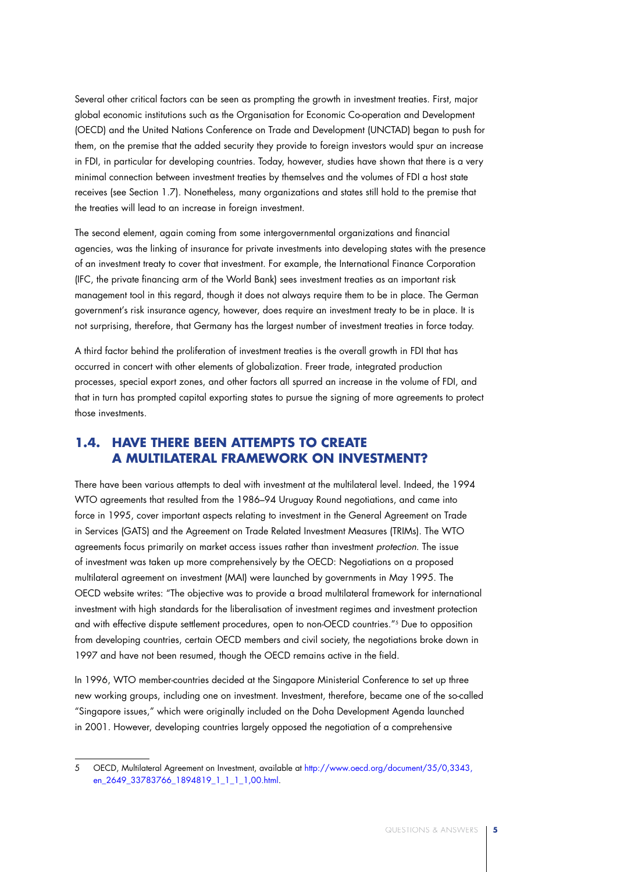Several other critical factors can be seen as prompting the growth in investment treaties. First, major global economic institutions such as the Organisation for Economic Co-operation and Development (OECD) and the United Nations Conference on Trade and Development (UNCTAD) began to push for them, on the premise that the added security they provide to foreign investors would spur an increase in FDI, in particular for developing countries. Today, however, studies have shown that there is a very minimal connection between investment treaties by themselves and the volumes of FDI a host state receives (see Section 1.7). Nonetheless, many organizations and states still hold to the premise that the treaties will lead to an increase in foreign investment.

The second element, again coming from some intergovernmental organizations and financial agencies, was the linking of insurance for private investments into developing states with the presence of an investment treaty to cover that investment. For example, the International Finance Corporation (IFC, the private financing arm of the World Bank) sees investment treaties as an important risk management tool in this regard, though it does not always require them to be in place. The German government's risk insurance agency, however, does require an investment treaty to be in place. It is not surprising, therefore, that Germany has the largest number of investment treaties in force today.

A third factor behind the proliferation of investment treaties is the overall growth in FDI that has occurred in concert with other elements of globalization. Freer trade, integrated production processes, special export zones, and other factors all spurred an increase in the volume of FDI, and that in turn has prompted capital exporting states to pursue the signing of more agreements to protect those investments.

## **1.4. Have There Been Attempts to Create a Multilateral Framework on Investment?**

There have been various attempts to deal with investment at the multilateral level. Indeed, the 1994 WTO agreements that resulted from the 1986–94 Uruguay Round negotiations, and came into force in 1995, cover important aspects relating to investment in the General Agreement on Trade in Services (GATS) and the Agreement on Trade Related Investment Measures (TRIMs). The WTO agreements focus primarily on market access issues rather than investment *protection*. The issue of investment was taken up more comprehensively by the OECD: Negotiations on a proposed multilateral agreement on investment (MAI) were launched by governments in May 1995. The OECD website writes: "The objective was to provide a broad multilateral framework for international investment with high standards for the liberalisation of investment regimes and investment protection and with effective dispute settlement procedures, open to non-OECD countries."5 Due to opposition from developing countries, certain OECD members and civil society, the negotiations broke down in 1997 and have not been resumed, though the OECD remains active in the field.

In 1996, WTO member-countries decided at the Singapore Ministerial Conference to set up three new working groups, including one on investment. Investment, therefore, became one of the so-called "Singapore issues," which were originally included on the Doha Development Agenda launched in 2001. However, developing countries largely opposed the negotiation of a comprehensive

<sup>5</sup> OECD, Multilateral Agreement on Investment, available at http://www.oecd.org/document/35/0,3343, en\_2649\_33783766\_1894819\_1\_1\_1\_1,00.html.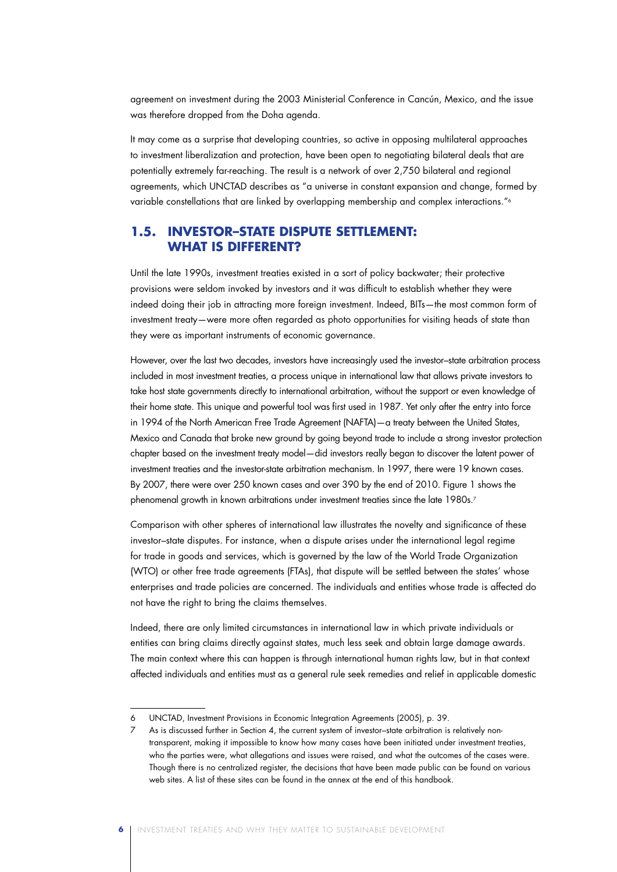agreement on investment during the 2003 Ministerial Conference in Cancún, Mexico, and the issue was therefore dropped from the Doha agenda.

It may come as a surprise that developing countries, so active in opposing multilateral approaches to investment liberalization and protection, have been open to negotiating bilateral deals that are potentially extremely far-reaching. The result is a network of over 2,750 bilateral and regional agreements, which UNCTAD describes as "a universe in constant expansion and change, formed by variable constellations that are linked by overlapping membership and complex interactions."<sup>6</sup>

## **1.5. Investor–State Dispute Settlement: What Is Different?**

Until the late 1990s, investment treaties existed in a sort of policy backwater; their protective provisions were seldom invoked by investors and it was difficult to establish whether they were indeed doing their job in attracting more foreign investment. Indeed, BITs—the most common form of investment treaty—were more often regarded as photo opportunities for visiting heads of state than they were as important instruments of economic governance.

However, over the last two decades, investors have increasingly used the investor–state arbitration process included in most investment treaties, a process unique in international law that allows private investors to take host state governments directly to international arbitration, without the support or even knowledge of their home state. This unique and powerful tool was first used in 1987. Yet only after the entry into force in 1994 of the North American Free Trade Agreement (NAFTA)—a treaty between the United States, Mexico and Canada that broke new ground by going beyond trade to include a strong investor protection chapter based on the investment treaty model—did investors really began to discover the latent power of investment treaties and the investor-state arbitration mechanism. In 1997, there were 19 known cases. By 2007, there were over 250 known cases and over 390 by the end of 2010. Figure 1 shows the phenomenal growth in known arbitrations under investment treaties since the late 1980s.<sup>7</sup>

Comparison with other spheres of international law illustrates the novelty and significance of these investor–state disputes. For instance, when a dispute arises under the international legal regime for trade in goods and services, which is governed by the law of the World Trade Organization (WTO) or other free trade agreements (FTAs), that dispute will be settled between the states' whose enterprises and trade policies are concerned. The individuals and entities whose trade is affected do not have the right to bring the claims themselves.

Indeed, there are only limited circumstances in international law in which private individuals or entities can bring claims directly against states, much less seek and obtain large damage awards. The main context where this can happen is through international human rights law, but in that context affected individuals and entities must as a general rule seek remedies and relief in applicable domestic

**6** Investment Treaties and Why They Matter to Sustainable Development

UNCTAD, Investment Provisions in Economic Integration Agreements (2005), p. 39.

As is discussed further in Section 4, the current system of investor-state arbitration is relatively nontransparent, making it impossible to know how many cases have been initiated under investment treaties, who the parties were, what allegations and issues were raised, and what the outcomes of the cases were. Though there is no centralized register, the decisions that have been made public can be found on various web sites. A list of these sites can be found in the annex at the end of this handbook.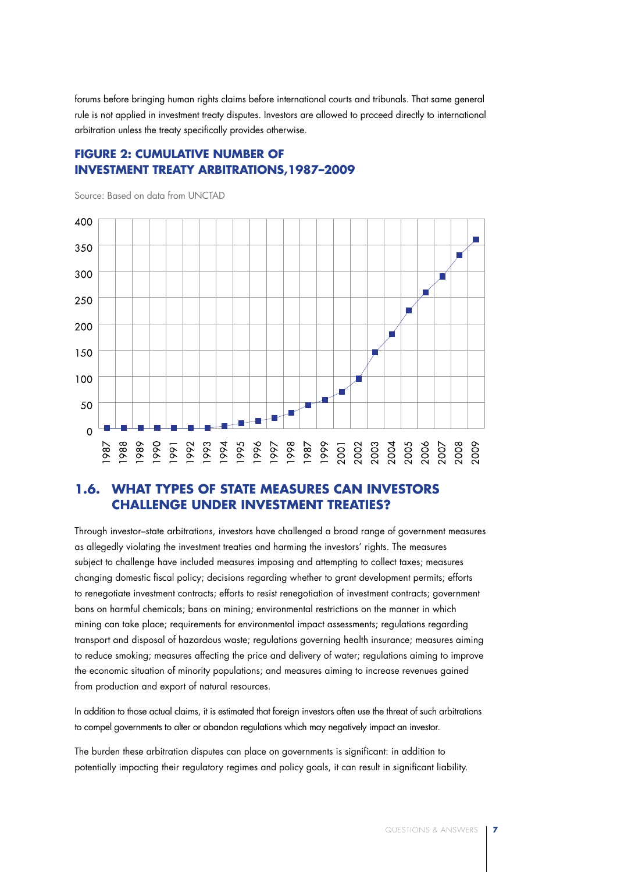forums before bringing human rights claims before international courts and tribunals. That same general rule is not applied in investment treaty disputes. Investors are allowed to proceed directly to international arbitration unless the treaty specifically provides otherwise.

## **FIGURE 2: CUMULATIVE NUMBER OF INVESTMENT TREATY ARBITRATIONS,1987–2009**

400 350 300 250 200 150 100 50  $\Omega$ 1993 1994 1995<br>1996 1997<br>1998 988 989 990 991 1992

Source: Based on data from UNCTAD

## **1.6. What Types of State Measures Can Investors Challenge Under Investment Treaties?**

Through investor–state arbitrations, investors have challenged a broad range of government measures as allegedly violating the investment treaties and harming the investors' rights. The measures subject to challenge have included measures imposing and attempting to collect taxes; measures changing domestic fiscal policy; decisions regarding whether to grant development permits; efforts to renegotiate investment contracts; efforts to resist renegotiation of investment contracts; government bans on harmful chemicals; bans on mining; environmental restrictions on the manner in which mining can take place; requirements for environmental impact assessments; regulations regarding transport and disposal of hazardous waste; regulations governing health insurance; measures aiming to reduce smoking; measures affecting the price and delivery of water; regulations aiming to improve the economic situation of minority populations; and measures aiming to increase revenues gained from production and export of natural resources.

In addition to those actual claims, it is estimated that foreign investors often use the threat of such arbitrations to compel governments to alter or abandon regulations which may negatively impact an investor.

The burden these arbitration disputes can place on governments is significant: in addition to potentially impacting their regulatory regimes and policy goals, it can result in significant liability.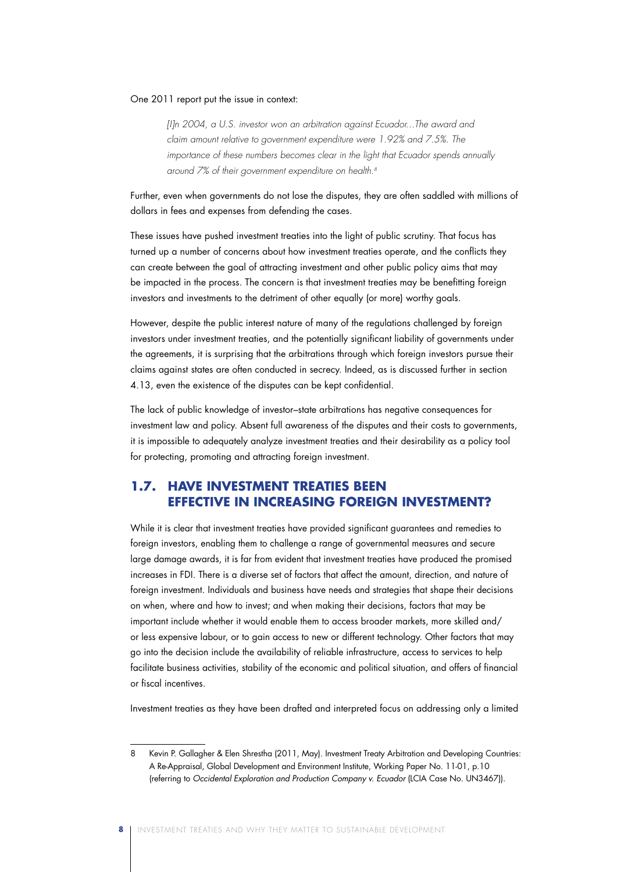#### One 2011 report put the issue in context:

*[I]n 2004, a U.S. investor won an arbitration against Ecuador...The award and claim amount relative to government expenditure were 1.92% and 7.5%. The importance of these numbers becomes clear in the light that Ecuador spends annually around 7% of their government expenditure on health.8*

Further, even when governments do not lose the disputes, they are often saddled with millions of dollars in fees and expenses from defending the cases.

These issues have pushed investment treaties into the light of public scrutiny. That focus has turned up a number of concerns about how investment treaties operate, and the conflicts they can create between the goal of attracting investment and other public policy aims that may be impacted in the process. The concern is that investment treaties may be benefitting foreign investors and investments to the detriment of other equally (or more) worthy goals.

However, despite the public interest nature of many of the regulations challenged by foreign investors under investment treaties, and the potentially significant liability of governments under the agreements, it is surprising that the arbitrations through which foreign investors pursue their claims against states are often conducted in secrecy. Indeed, as is discussed further in section 4.13, even the existence of the disputes can be kept confidential.

The lack of public knowledge of investor–state arbitrations has negative consequences for investment law and policy. Absent full awareness of the disputes and their costs to governments, it is impossible to adequately analyze investment treaties and their desirability as a policy tool for protecting, promoting and attracting foreign investment.

## **1.7. Have Investment Treaties Been Effective in Increasing Foreign Investment?**

While it is clear that investment treaties have provided significant guarantees and remedies to foreign investors, enabling them to challenge a range of governmental measures and secure large damage awards, it is far from evident that investment treaties have produced the promised increases in FDI. There is a diverse set of factors that affect the amount, direction, and nature of foreign investment. Individuals and business have needs and strategies that shape their decisions on when, where and how to invest; and when making their decisions, factors that may be important include whether it would enable them to access broader markets, more skilled and/ or less expensive labour, or to gain access to new or different technology. Other factors that may go into the decision include the availability of reliable infrastructure, access to services to help facilitate business activities, stability of the economic and political situation, and offers of financial or fiscal incentives.

Investment treaties as they have been drafted and interpreted focus on addressing only a limited

**8** Investment Treaties and Why They Matter to Sustainable Development

<sup>8</sup> Kevin P. Gallagher & Elen Shrestha (2011, May). Investment Treaty Arbitration and Developing Countries: A Re-Appraisal, Global Development and Environment Institute, Working Paper No. 11-01, p.10 (referring to *Occidental Exploration and Production Company v. Ecuador* (LCIA Case No. UN3467)).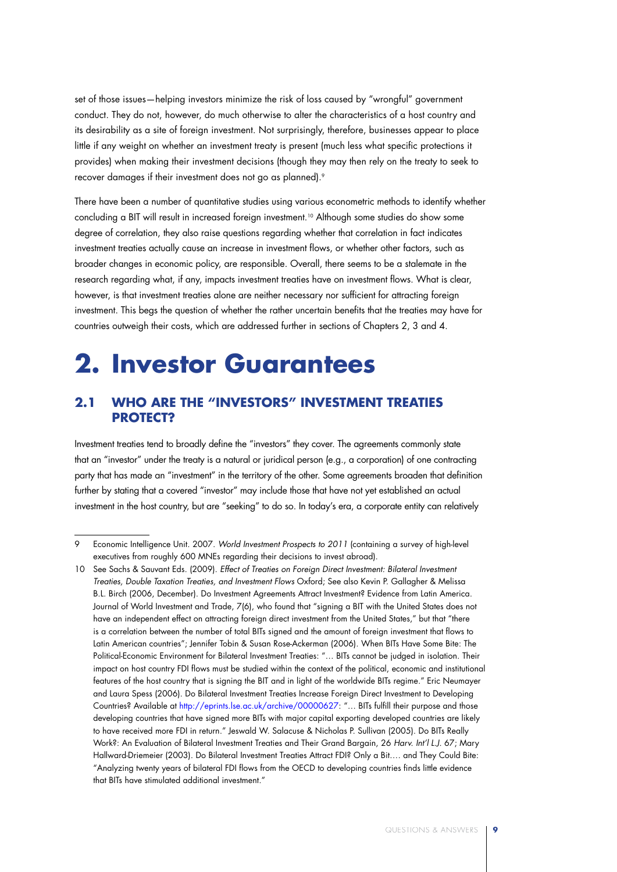set of those issues—helping investors minimize the risk of loss caused by "wrongful" government conduct. They do not, however, do much otherwise to alter the characteristics of a host country and its desirability as a site of foreign investment. Not surprisingly, therefore, businesses appear to place little if any weight on whether an investment treaty is present (much less what specific protections it provides) when making their investment decisions (though they may then rely on the treaty to seek to recover damages if their investment does not go as planned).<sup>9</sup>

There have been a number of quantitative studies using various econometric methods to identify whether concluding a BIT will result in increased foreign investment.<sup>10</sup> Although some studies do show some degree of correlation, they also raise questions regarding whether that correlation in fact indicates investment treaties actually cause an increase in investment flows, or whether other factors, such as broader changes in economic policy, are responsible. Overall, there seems to be a stalemate in the research regarding what, if any, impacts investment treaties have on investment flows. What is clear, however, is that investment treaties alone are neither necessary nor sufficient for attracting foreign investment. This begs the question of whether the rather uncertain benefits that the treaties may have for countries outweigh their costs, which are addressed further in sections of Chapters 2, 3 and 4.

## **2. Investor Guarantees**

## **2.1 Who Are the "Investors" Investment Treaties Protect?**

Investment treaties tend to broadly define the "investors" they cover. The agreements commonly state that an "investor" under the treaty is a natural or juridical person (e.g., a corporation) of one contracting party that has made an "investment" in the territory of the other. Some agreements broaden that definition further by stating that a covered "investor" may include those that have not yet established an actual investment in the host country, but are "seeking" to do so. In today's era, a corporate entity can relatively

<sup>9</sup> Economic Intelligence Unit. 2007. *World Investment Prospects to 2011* (containing a survey of high-level executives from roughly 600 MNEs regarding their decisions to invest abroad).

<sup>10</sup> See Sachs & Sauvant Eds. (2009). *Effect of Treaties on Foreign Direct Investment: Bilateral Investment Treaties, Double Taxation Treaties, and Investment Flows* Oxford; See also Kevin P. Gallagher & Melissa B.L. Birch (2006, December). Do Investment Agreements Attract Investment? Evidence from Latin America. Journal of World Investment and Trade, 7(6), who found that "signing a BIT with the United States does not have an independent effect on attracting foreign direct investment from the United States," but that "there is a correlation between the number of total BITs signed and the amount of foreign investment that flows to Latin American countries"; Jennifer Tobin & Susan Rose-Ackerman (2006). When BITs Have Some Bite: The Political-Economic Environment for Bilateral Investment Treaties: "… BITs cannot be judged in isolation. Their impact on host country FDI flows must be studied within the context of the political, economic and institutional features of the host country that is signing the BIT and in light of the worldwide BITs regime." Eric Neumayer and Laura Spess (2006). Do Bilateral Investment Treaties Increase Foreign Direct Investment to Developing Countries? Available at http://eprints.lse.ac.uk/archive/00000627: "… BITs fulfill their purpose and those developing countries that have signed more BITs with major capital exporting developed countries are likely to have received more FDI in return." Jeswald W. Salacuse & Nicholas P. Sullivan (2005). Do BITs Really Work?: An Evaluation of Bilateral Investment Treaties and Their Grand Bargain, 26 *Harv. Int'l L.J.* 67; Mary Hallward-Driemeier (2003). Do Bilateral Investment Treaties Attract FDI? Only a Bit…. and They Could Bite: "Analyzing twenty years of bilateral FDI flows from the OECD to developing countries finds little evidence that BITs have stimulated additional investment."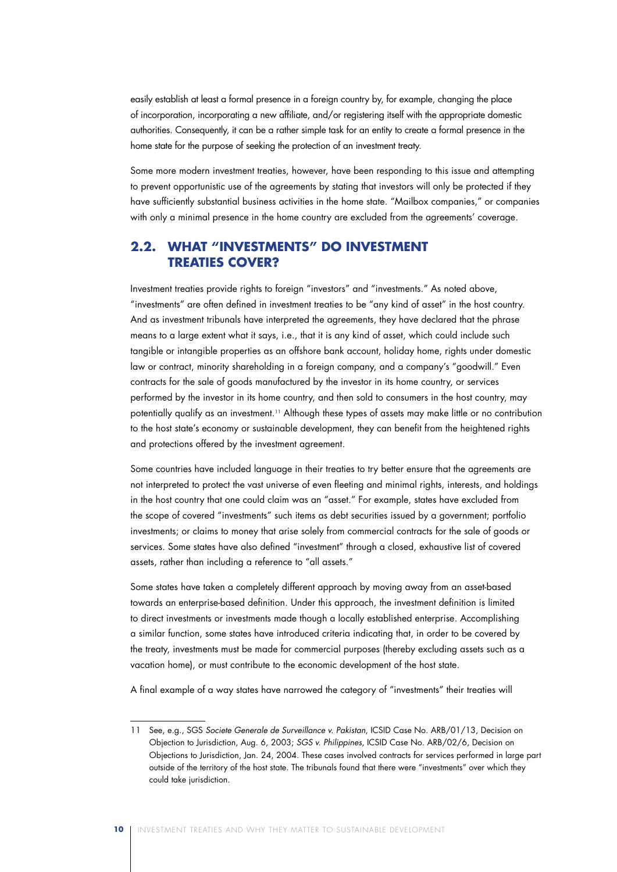easily establish at least a formal presence in a foreign country by, for example, changing the place of incorporation, incorporating a new affiliate, and/or registering itself with the appropriate domestic authorities. Consequently, it can be a rather simple task for an entity to create a formal presence in the home state for the purpose of seeking the protection of an investment treaty.

Some more modern investment treaties, however, have been responding to this issue and attempting to prevent opportunistic use of the agreements by stating that investors will only be protected if they have sufficiently substantial business activities in the home state. "Mailbox companies," or companies with only a minimal presence in the home country are excluded from the agreements' coverage.

### **2.2. What "Investments" Do Investment Treaties Cover?**

Investment treaties provide rights to foreign "investors" and "investments." As noted above, "investments" are often defined in investment treaties to be "any kind of asset" in the host country. And as investment tribunals have interpreted the agreements, they have declared that the phrase means to a large extent what it says, i.e., that it is any kind of asset, which could include such tangible or intangible properties as an offshore bank account, holiday home, rights under domestic law or contract, minority shareholding in a foreign company, and a company's "goodwill." Even contracts for the sale of goods manufactured by the investor in its home country, or services performed by the investor in its home country, and then sold to consumers in the host country, may potentially qualify as an investment.11 Although these types of assets may make little or no contribution to the host state's economy or sustainable development, they can benefit from the heightened rights and protections offered by the investment agreement.

Some countries have included language in their treaties to try better ensure that the agreements are not interpreted to protect the vast universe of even fleeting and minimal rights, interests, and holdings in the host country that one could claim was an "asset." For example, states have excluded from the scope of covered "investments" such items as debt securities issued by a government; portfolio investments; or claims to money that arise solely from commercial contracts for the sale of goods or services. Some states have also defined "investment" through a closed, exhaustive list of covered assets, rather than including a reference to "all assets."

Some states have taken a completely different approach by moving away from an asset-based towards an enterprise-based definition. Under this approach, the investment definition is limited to direct investments or investments made though a locally established enterprise. Accomplishing a similar function, some states have introduced criteria indicating that, in order to be covered by the treaty, investments must be made for commercial purposes (thereby excluding assets such as a vacation home), or must contribute to the economic development of the host state.

A final example of a way states have narrowed the category of "investments" their treaties will

<sup>11</sup> See, e.g., SGS *Societe Generale de Surveillance v. Pakistan*, ICSID Case No. ARB/01/13, Decision on Objection to Jurisdiction, Aug. 6, 2003; *SGS v. Philippines*, ICSID Case No. ARB/02/6, Decision on Objections to Jurisdiction, Jan. 24, 2004. These cases involved contracts for services performed in large part outside of the territory of the host state. The tribunals found that there were "investments" over which they could take jurisdiction.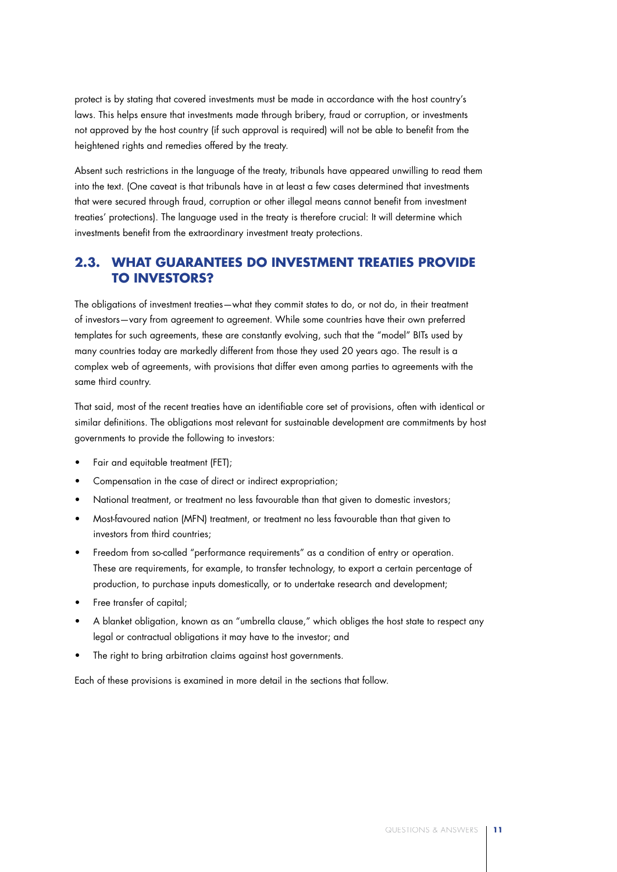protect is by stating that covered investments must be made in accordance with the host country's laws. This helps ensure that investments made through bribery, fraud or corruption, or investments not approved by the host country (if such approval is required) will not be able to benefit from the heightened rights and remedies offered by the treaty.

Absent such restrictions in the language of the treaty, tribunals have appeared unwilling to read them into the text. (One caveat is that tribunals have in at least a few cases determined that investments that were secured through fraud, corruption or other illegal means cannot benefit from investment treaties' protections). The language used in the treaty is therefore crucial: It will determine which investments benefit from the extraordinary investment treaty protections.

## **2.3. What Guarantees Do Investment Treaties Provide to Investors?**

The obligations of investment treaties—what they commit states to do, or not do, in their treatment of investors—vary from agreement to agreement. While some countries have their own preferred templates for such agreements, these are constantly evolving, such that the "model" BITs used by many countries today are markedly different from those they used 20 years ago. The result is a complex web of agreements, with provisions that differ even among parties to agreements with the same third country.

That said, most of the recent treaties have an identifiable core set of provisions, often with identical or similar definitions. The obligations most relevant for sustainable development are commitments by host governments to provide the following to investors:

- Fair and equitable treatment (FET);
- Compensation in the case of direct or indirect expropriation;
- National treatment, or treatment no less favourable than that given to domestic investors;
- Most-favoured nation (MFN) treatment, or treatment no less favourable than that given to investors from third countries;
- Freedom from so-called "performance requirements" as a condition of entry or operation. These are requirements, for example, to transfer technology, to export a certain percentage of production, to purchase inputs domestically, or to undertake research and development;
- Free transfer of capital:
- A blanket obligation, known as an "umbrella clause," which obliges the host state to respect any legal or contractual obligations it may have to the investor; and
- The right to bring arbitration claims against host governments.

Each of these provisions is examined in more detail in the sections that follow.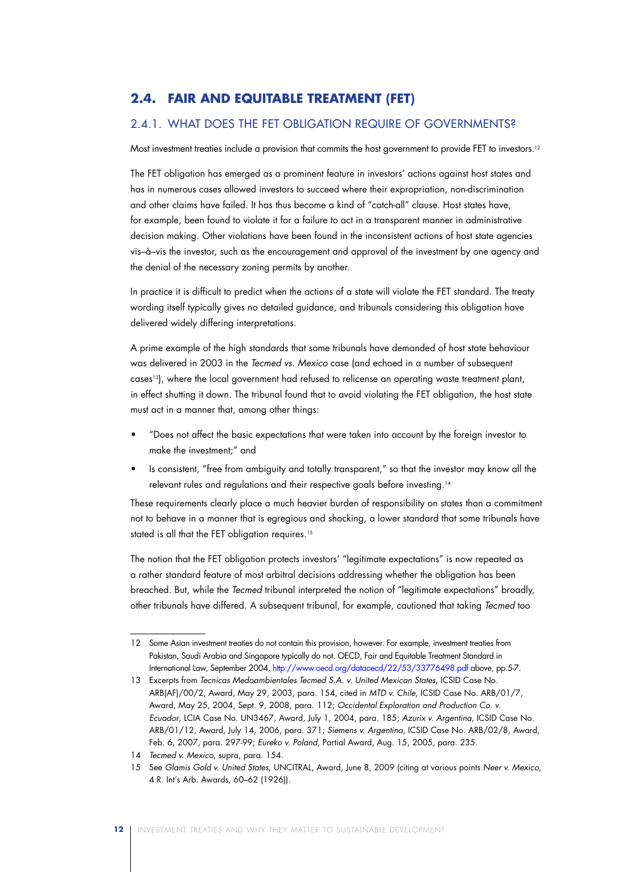## **2.4. Fair and Equitable Treatment (FET)**

### 2.4.1. WHAT DOES THE FET OBLIGATION REQUIRE OF GOVERNMENTS?

Most investment treaties include a provision that commits the host government to provide FET to investors.<sup>12</sup>

The FET obligation has emerged as a prominent feature in investors' actions against host states and has in numerous cases allowed investors to succeed where their expropriation, non-discrimination and other claims have failed. It has thus become a kind of "catch-all" clause. Host states have, for example, been found to violate it for a failure to act in a transparent manner in administrative decision making. Other violations have been found in the inconsistent actions of host state agencies vis–à–vis the investor, such as the encouragement and approval of the investment by one agency and the denial of the necessary zoning permits by another.

In practice it is difficult to predict when the actions of a state will violate the FET standard. The treaty wording itself typically gives no detailed guidance, and tribunals considering this obligation have delivered widely differing interpretations.

A prime example of the high standards that some tribunals have demanded of host state behaviour was delivered in 2003 in the *Tecmed vs. Mexico* case (and echoed in a number of subsequent cases13), where the local government had refused to relicense an operating waste treatment plant, in effect shutting it down. The tribunal found that to avoid violating the FET obligation, the host state must act in a manner that, among other things:

- • "Does not affect the basic expectations that were taken into account by the foreign investor to make the investment;" and
- Is consistent, "free from ambiguity and totally transparent," so that the investor may know all the relevant rules and regulations and their respective goals before investing.14

These requirements clearly place a much heavier burden of responsibility on states than a commitment not to behave in a manner that is egregious and shocking, a lower standard that some tribunals have stated is all that the FET obligation requires.<sup>15</sup>

The notion that the FET obligation protects investors' "legitimate expectations" is now repeated as a rather standard feature of most arbitral decisions addressing whether the obligation has been breached. But, while the *Tecmed* tribunal interpreted the notion of "legitimate expectations" broadly, other tribunals have differed. A subsequent tribunal, for example, cautioned that taking *Tecmed* too

<sup>12</sup> Some Asian investment treaties do not contain this provision, however. For example, investment treaties from Pakistan, Saudi Arabia and Singapore typically do not. OECD, Fair and Equitable Treatment Standard in International Law, September 2004, http://www.oecd.org/dataoecd/22/53/33776498.pdf above, pp.5-7.

<sup>13</sup> Excerpts from *Tecnicas Medoambientales Tecmed S.A. v. United Mexican States,* ICSID Case No. ARB(AF)/00/2, Award, May 29, 2003, para. 154, cited in *MTD v. Chile*, ICSID Case No. ARB/01/7, Award, May 25, 2004, Sept. 9, 2008, para. 112; *Occidental Exploration and Production Co. v. Ecuador*, LCIA Case No. UN3467, Award, July 1, 2004, para. 185; *Azurix v. Argentina*, ICSID Case No. ARB/01/12, Award, July 14, 2006, para. 371; *Siemens v. Argentina*, ICSID Case No. ARB/02/8, Award, Feb. 6, 2007, para. 297-99; *Eureko v. Poland*, Partial Award, Aug. 15, 2005, para. 235.

<sup>14</sup> *Tecmed v. Mexico*, supra, para. 154.

<sup>15</sup> See *Glamis Gold v. United States*, UNCITRAL, Award, June 8, 2009 (citing at various points *Neer v. Mexico*, 4 R. Int's Arb. Awards, 60–62 (1926)).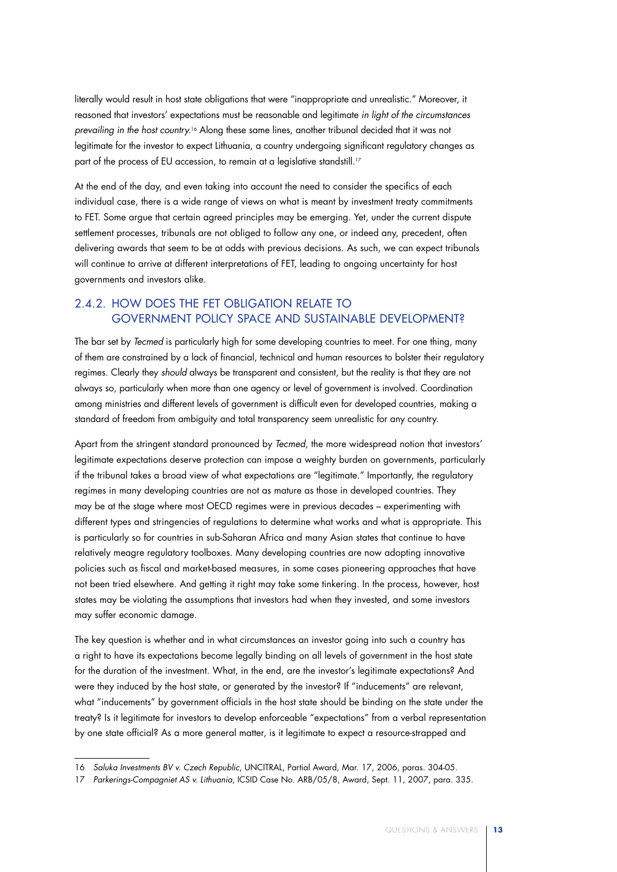literally would result in host state obligations that were "inappropriate and unrealistic." Moreover, it reasoned that investors' expectations must be reasonable and legitimate *in light of the circumstances prevailing in the host country.*<sup>16</sup> Along these same lines, another tribunal decided that it was not legitimate for the investor to expect Lithuania, a country undergoing significant regulatory changes as part of the process of EU accession, to remain at a legislative standstill.<sup>17</sup>

At the end of the day, and even taking into account the need to consider the specifics of each individual case, there is a wide range of views on what is meant by investment treaty commitments to FET. Some argue that certain agreed principles may be emerging. Yet, under the current dispute settlement processes, tribunals are not obliged to follow any one, or indeed any, precedent, often delivering awards that seem to be at odds with previous decisions. As such, we can expect tribunals will continue to arrive at different interpretations of FET, leading to ongoing uncertainty for host governments and investors alike.

## 2.4.2. How Does the FET Obligation Relate to Government Policy Space and Sustainable Development?

The bar set by *Tecmed* is particularly high for some developing countries to meet. For one thing, many of them are constrained by a lack of financial, technical and human resources to bolster their regulatory regimes. Clearly they *should* always be transparent and consistent, but the reality is that they are not always so, particularly when more than one agency or level of government is involved. Coordination among ministries and different levels of government is difficult even for developed countries, making a standard of freedom from ambiguity and total transparency seem unrealistic for any country.

Apart from the stringent standard pronounced by *Tecmed*, the more widespread notion that investors' legitimate expectations deserve protection can impose a weighty burden on governments, particularly if the tribunal takes a broad view of what expectations are "legitimate." Importantly, the regulatory regimes in many developing countries are not as mature as those in developed countries. They may be at the stage where most OECD regimes were in previous decades – experimenting with different types and stringencies of regulations to determine what works and what is appropriate. This is particularly so for countries in sub-Saharan Africa and many Asian states that continue to have relatively meagre regulatory toolboxes. Many developing countries are now adopting innovative policies such as fiscal and market-based measures, in some cases pioneering approaches that have not been tried elsewhere. And getting it right may take some tinkering. In the process, however, host states may be violating the assumptions that investors had when they invested, and some investors may suffer economic damage.

The key question is whether and in what circumstances an investor going into such a country has a right to have its expectations become legally binding on all levels of government in the host state for the duration of the investment. What, in the end, are the investor's legitimate expectations? And were they induced by the host state, or generated by the investor? If "inducements" are relevant, what "inducements" by government officials in the host state should be binding on the state under the treaty? Is it legitimate for investors to develop enforceable "expectations" from a verbal representation by one state official? As a more general matter, is it legitimate to expect a resource-strapped and

<sup>16</sup> *Saluka Investments BV v. Czech Republic*, UNCITRAL, Partial Award, Mar. 17, 2006, paras. 304-05.

<sup>17</sup> *Parkerings-Compagniet AS v. Lithuania*, ICSID Case No. ARB/05/8, Award, Sept. 11, 2007, para. 335.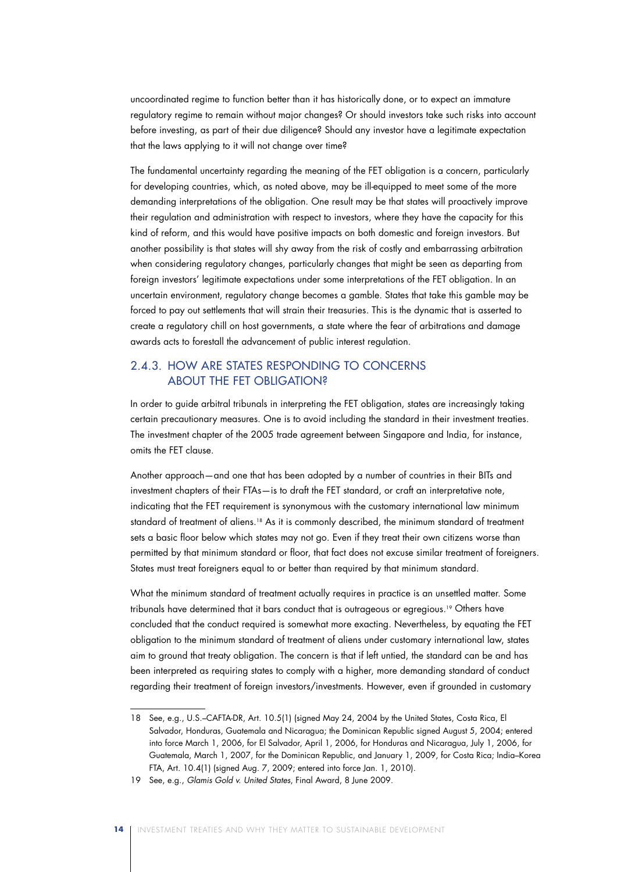uncoordinated regime to function better than it has historically done, or to expect an immature regulatory regime to remain without major changes? Or should investors take such risks into account before investing, as part of their due diligence? Should any investor have a legitimate expectation that the laws applying to it will not change over time?

The fundamental uncertainty regarding the meaning of the FET obligation is a concern, particularly for developing countries, which, as noted above, may be ill-equipped to meet some of the more demanding interpretations of the obligation. One result may be that states will proactively improve their regulation and administration with respect to investors, where they have the capacity for this kind of reform, and this would have positive impacts on both domestic and foreign investors. But another possibility is that states will shy away from the risk of costly and embarrassing arbitration when considering regulatory changes, particularly changes that might be seen as departing from foreign investors' legitimate expectations under some interpretations of the FET obligation. In an uncertain environment, regulatory change becomes a gamble. States that take this gamble may be forced to pay out settlements that will strain their treasuries. This is the dynamic that is asserted to create a regulatory chill on host governments, a state where the fear of arbitrations and damage awards acts to forestall the advancement of public interest regulation.

### 2.4.3. How Are States Responding to Concerns About the FET Obligation?

In order to guide arbitral tribunals in interpreting the FET obligation, states are increasingly taking certain precautionary measures. One is to avoid including the standard in their investment treaties. The investment chapter of the 2005 trade agreement between Singapore and India, for instance, omits the FET clause.

Another approach—and one that has been adopted by a number of countries in their BITs and investment chapters of their FTAs—is to draft the FET standard, or craft an interpretative note, indicating that the FET requirement is synonymous with the customary international law minimum standard of treatment of aliens.<sup>18</sup> As it is commonly described, the minimum standard of treatment sets a basic floor below which states may not go. Even if they treat their own citizens worse than permitted by that minimum standard or floor, that fact does not excuse similar treatment of foreigners. States must treat foreigners equal to or better than required by that minimum standard.

What the minimum standard of treatment actually requires in practice is an unsettled matter. Some tribunals have determined that it bars conduct that is outrageous or egregious.19 Others have concluded that the conduct required is somewhat more exacting. Nevertheless, by equating the FET obligation to the minimum standard of treatment of aliens under customary international law, states aim to ground that treaty obligation. The concern is that if left untied, the standard can be and has been interpreted as requiring states to comply with a higher, more demanding standard of conduct regarding their treatment of foreign investors/investments. However, even if grounded in customary

<sup>18</sup> See, e.g., U.S.–CAFTA-DR, Art. 10.5(1) (signed May 24, 2004 by the United States, Costa Rica, El Salvador, Honduras, Guatemala and Nicaragua; the Dominican Republic signed August 5, 2004; entered into force March 1, 2006, for El Salvador, April 1, 2006, for Honduras and Nicaragua, July 1, 2006, for Guatemala, March 1, 2007, for the Dominican Republic, and January 1, 2009, for Costa Rica; India–Korea FTA, Art. 10.4(1) (signed Aug. 7, 2009; entered into force Jan. 1, 2010).

<sup>19</sup> See, e.g., *Glamis Gold v. United States*, Final Award, 8 June 2009.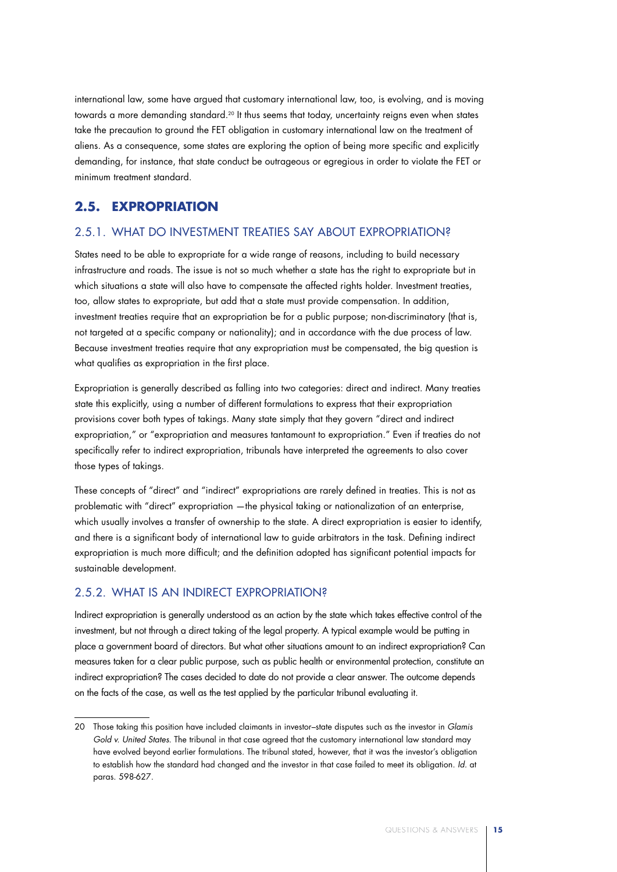international law, some have argued that customary international law, too, is evolving, and is moving towards a more demanding standard.<sup>20</sup> It thus seems that today, uncertainty reigns even when states take the precaution to ground the FET obligation in customary international law on the treatment of aliens. As a consequence, some states are exploring the option of being more specific and explicitly demanding, for instance, that state conduct be outrageous or egregious in order to violate the FET or minimum treatment standard.

## **2.5. Expropriation**

### 2.5.1. What Do Investment Treaties Say About Expropriation?

States need to be able to expropriate for a wide range of reasons, including to build necessary infrastructure and roads. The issue is not so much whether a state has the right to expropriate but in which situations a state will also have to compensate the affected rights holder. Investment treaties, too, allow states to expropriate, but add that a state must provide compensation. In addition, investment treaties require that an expropriation be for a public purpose; non-discriminatory (that is, not targeted at a specific company or nationality); and in accordance with the due process of law. Because investment treaties require that any expropriation must be compensated, the big question is what qualifies as expropriation in the first place.

Expropriation is generally described as falling into two categories: direct and indirect. Many treaties state this explicitly, using a number of different formulations to express that their expropriation provisions cover both types of takings. Many state simply that they govern "direct and indirect expropriation," or "expropriation and measures tantamount to expropriation." Even if treaties do not specifically refer to indirect expropriation, tribunals have interpreted the agreements to also cover those types of takings.

These concepts of "direct" and "indirect" expropriations are rarely defined in treaties. This is not as problematic with "direct" expropriation —the physical taking or nationalization of an enterprise, which usually involves a transfer of ownership to the state. A direct expropriation is easier to identify, and there is a significant body of international law to guide arbitrators in the task. Defining indirect expropriation is much more difficult; and the definition adopted has significant potential impacts for sustainable development.

## 2.5.2. What Is an Indirect Expropriation?

Indirect expropriation is generally understood as an action by the state which takes effective control of the investment, but not through a direct taking of the legal property. A typical example would be putting in place a government board of directors. But what other situations amount to an indirect expropriation? Can measures taken for a clear public purpose, such as public health or environmental protection, constitute an indirect expropriation? The cases decided to date do not provide a clear answer. The outcome depends on the facts of the case, as well as the test applied by the particular tribunal evaluating it.

<sup>20</sup> Those taking this position have included claimants in investor–state disputes such as the investor in *Glamis Gold v. United States*. The tribunal in that case agreed that the customary international law standard may have evolved beyond earlier formulations. The tribunal stated, however, that it was the investor's obligation to establish how the standard had changed and the investor in that case failed to meet its obligation*. Id.* at paras. 598-627.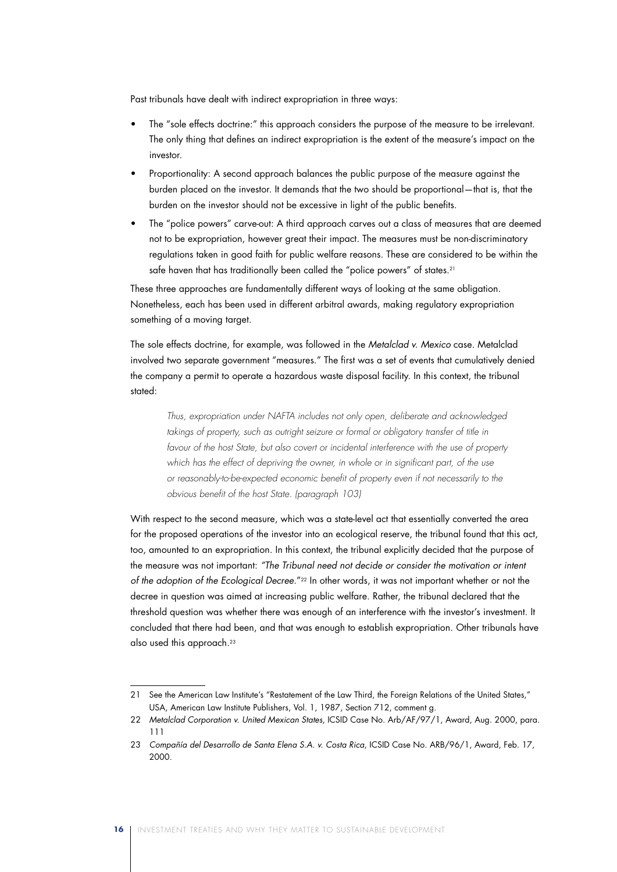Past tribunals have dealt with indirect expropriation in three ways:

- The "sole effects doctrine:" this approach considers the purpose of the measure to be irrelevant. The only thing that defines an indirect expropriation is the extent of the measure's impact on the investor.
- Proportionality: A second approach balances the public purpose of the measure against the burden placed on the investor. It demands that the two should be proportional—that is, that the burden on the investor should not be excessive in light of the public benefits.
- The "police powers" carve-out: A third approach carves out a class of measures that are deemed not to be expropriation, however great their impact. The measures must be non-discriminatory regulations taken in good faith for public welfare reasons. These are considered to be within the safe haven that has traditionally been called the "police powers" of states.<sup>21</sup>

These three approaches are fundamentally different ways of looking at the same obligation. Nonetheless, each has been used in different arbitral awards, making regulatory expropriation something of a moving target.

The sole effects doctrine, for example, was followed in the *Metalclad v. Mexico* case. Metalclad involved two separate government "measures." The first was a set of events that cumulatively denied the company a permit to operate a hazardous waste disposal facility. In this context, the tribunal stated:

*Thus, expropriation under NAFTA includes not only open, deliberate and acknowledged*  takings of property, such as outright seizure or formal or obligatory transfer of title in *favour of the host State, but also covert or incidental interference with the use of property*  which has the effect of depriving the owner, in whole or in significant part, of the use *or reasonably-to-be-expected economic benefit of property even if not necessarily to the obvious benefit of the host State. (paragraph 103)*

With respect to the second measure, which was a state-level act that essentially converted the area for the proposed operations of the investor into an ecological reserve, the tribunal found that this act, too, amounted to an expropriation. In this context, the tribunal explicitly decided that the purpose of the measure was not important: *"The Tribunal need not decide or consider the motivation or intent of the adoption of the Ecological Decree.*"22 In other words, it was not important whether or not the decree in question was aimed at increasing public welfare. Rather, the tribunal declared that the threshold question was whether there was enough of an interference with the investor's investment. It concluded that there had been, and that was enough to establish expropriation. Other tribunals have also used this approach.<sup>23</sup>

<sup>21</sup> See the American Law Institute's "Restatement of the Law Third, the Foreign Relations of the United States," USA, American Law Institute Publishers, Vol. 1, 1987, Section 712, comment g.

<sup>22</sup> *Metalclad Corporation v. United Mexican States*, ICSID Case No. Arb/AF/97/1, Award, Aug. 2000, para. 111

<sup>23</sup> *Compañía del Desarrollo de Santa Elena S.A. v. Costa Rica*, ICSID Case No. ARB/96/1, Award, Feb. 17, 2000.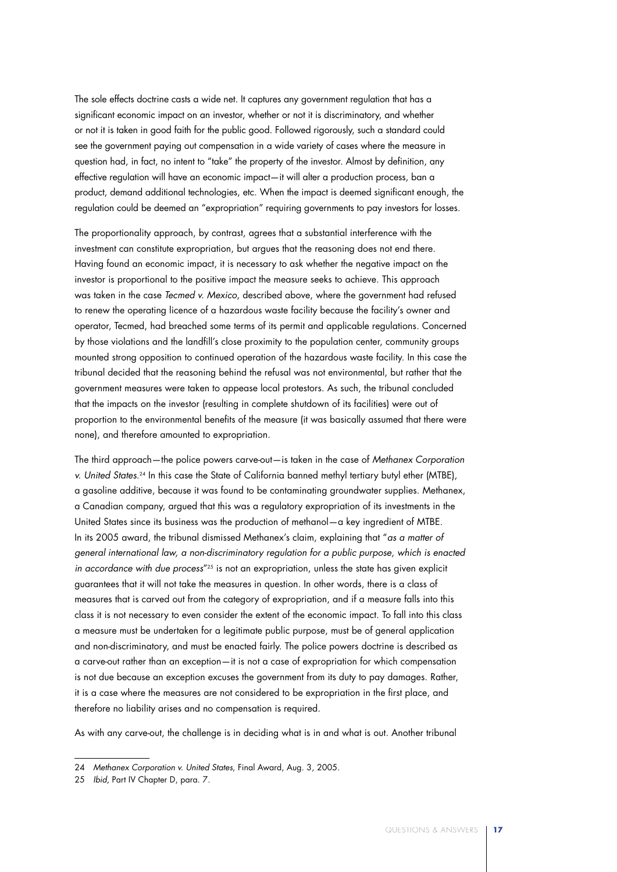The sole effects doctrine casts a wide net. It captures any government regulation that has a significant economic impact on an investor, whether or not it is discriminatory, and whether or not it is taken in good faith for the public good. Followed rigorously, such a standard could see the government paying out compensation in a wide variety of cases where the measure in question had, in fact, no intent to "take" the property of the investor. Almost by definition, any effective regulation will have an economic impact—it will alter a production process, ban a product, demand additional technologies, etc. When the impact is deemed significant enough, the regulation could be deemed an "expropriation" requiring governments to pay investors for losses.

The proportionality approach, by contrast, agrees that a substantial interference with the investment can constitute expropriation, but argues that the reasoning does not end there. Having found an economic impact, it is necessary to ask whether the negative impact on the investor is proportional to the positive impact the measure seeks to achieve. This approach was taken in the case *Tecmed v. Mexico*, described above, where the government had refused to renew the operating licence of a hazardous waste facility because the facility's owner and operator, Tecmed, had breached some terms of its permit and applicable regulations. Concerned by those violations and the landfill's close proximity to the population center, community groups mounted strong opposition to continued operation of the hazardous waste facility. In this case the tribunal decided that the reasoning behind the refusal was not environmental, but rather that the government measures were taken to appease local protestors. As such, the tribunal concluded that the impacts on the investor (resulting in complete shutdown of its facilities) were out of proportion to the environmental benefits of the measure (it was basically assumed that there were none), and therefore amounted to expropriation.

The third approach—the police powers carve-out—is taken in the case of *Methanex Corporation v. United States*.24 In this case the State of California banned methyl tertiary butyl ether (MTBE), a gasoline additive, because it was found to be contaminating groundwater supplies. Methanex, a Canadian company, argued that this was a regulatory expropriation of its investments in the United States since its business was the production of methanol—a key ingredient of MTBE. In its 2005 award, the tribunal dismissed Methanex's claim, explaining that "*as a matter of general international law, a non-discriminatory regulation for a public purpose, which is enacted in accordance with due process*"25 is not an expropriation, unless the state has given explicit guarantees that it will not take the measures in question. In other words, there is a class of measures that is carved out from the category of expropriation, and if a measure falls into this class it is not necessary to even consider the extent of the economic impact. To fall into this class a measure must be undertaken for a legitimate public purpose, must be of general application and non-discriminatory, and must be enacted fairly. The police powers doctrine is described as a carve-out rather than an exception—it is not a case of expropriation for which compensation is not due because an exception excuses the government from its duty to pay damages. Rather, it is a case where the measures are not considered to be expropriation in the first place, and therefore no liability arises and no compensation is required.

As with any carve-out, the challenge is in deciding what is in and what is out. Another tribunal

<sup>24</sup> *Methanex Corporation v. United States*, Final Award, Aug. 3, 2005.

<sup>25</sup> *Ibid*, Part IV Chapter D, para. 7.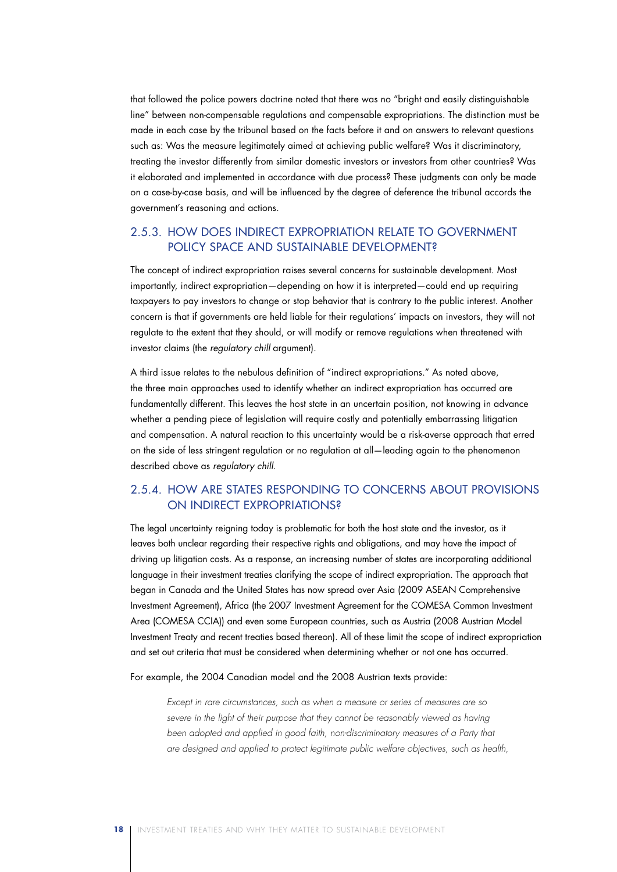that followed the police powers doctrine noted that there was no "bright and easily distinguishable line" between non-compensable regulations and compensable expropriations. The distinction must be made in each case by the tribunal based on the facts before it and on answers to relevant questions such as: Was the measure legitimately aimed at achieving public welfare? Was it discriminatory, treating the investor differently from similar domestic investors or investors from other countries? Was it elaborated and implemented in accordance with due process? These judgments can only be made on a case-by-case basis, and will be influenced by the degree of deference the tribunal accords the government's reasoning and actions.

## 2.5.3. How Does Indirect Expropriation Relate to Government Policy Space and Sustainable Development?

The concept of indirect expropriation raises several concerns for sustainable development. Most importantly, indirect expropriation—depending on how it is interpreted—could end up requiring taxpayers to pay investors to change or stop behavior that is contrary to the public interest. Another concern is that if governments are held liable for their regulations' impacts on investors, they will not regulate to the extent that they should, or will modify or remove regulations when threatened with investor claims (the *regulatory chill* argument).

A third issue relates to the nebulous definition of "indirect expropriations." As noted above, the three main approaches used to identify whether an indirect expropriation has occurred are fundamentally different. This leaves the host state in an uncertain position, not knowing in advance whether a pending piece of legislation will require costly and potentially embarrassing litigation and compensation. A natural reaction to this uncertainty would be a risk-averse approach that erred on the side of less stringent regulation or no regulation at all—leading again to the phenomenon described above as *regulatory chill*.

### 2.5.4. How Are States Responding to Concerns About Provisions on Indirect Expropriations?

The legal uncertainty reigning today is problematic for both the host state and the investor, as it leaves both unclear regarding their respective rights and obligations, and may have the impact of driving up litigation costs. As a response, an increasing number of states are incorporating additional language in their investment treaties clarifying the scope of indirect expropriation. The approach that began in Canada and the United States has now spread over Asia (2009 ASEAN Comprehensive Investment Agreement), Africa (the 2007 Investment Agreement for the COMESA Common Investment Area (COMESA CCIA)) and even some European countries, such as Austria (2008 Austrian Model Investment Treaty and recent treaties based thereon). All of these limit the scope of indirect expropriation and set out criteria that must be considered when determining whether or not one has occurred.

For example, the 2004 Canadian model and the 2008 Austrian texts provide:

*Except in rare circumstances, such as when a measure or series of measures are so*  severe in the light of their purpose that they cannot be reasonably viewed as having *been adopted and applied in good faith, non-discriminatory measures of a Party that are designed and applied to protect legitimate public welfare objectives, such as health,*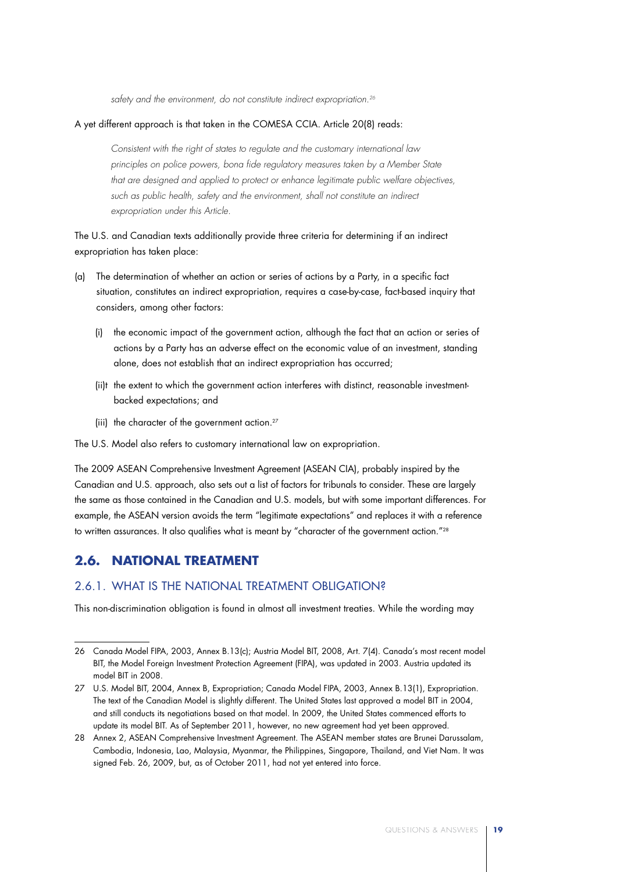*safety and the environment, do not constitute indirect expropriation.26*

#### A yet different approach is that taken in the COMESA CCIA. Article 20(8) reads:

*Consistent with the right of states to regulate and the customary international law principles on police powers, bona fide regulatory measures taken by a Member State that are designed and applied to protect or enhance legitimate public welfare objectives, such as public health, safety and the environment, shall not constitute an indirect expropriation under this Article.*

The U.S. and Canadian texts additionally provide three criteria for determining if an indirect expropriation has taken place:

- (a) The determination of whether an action or series of actions by a Party, in a specific fact situation, constitutes an indirect expropriation, requires a case-by-case, fact-based inquiry that considers, among other factors:
	- (i) the economic impact of the government action, although the fact that an action or series of actions by a Party has an adverse effect on the economic value of an investment, standing alone, does not establish that an indirect expropriation has occurred;
	- (ii)t the extent to which the government action interferes with distinct, reasonable investmentbacked expectations; and
	- (iii) the character of the government action.<sup>27</sup>

The U.S. Model also refers to customary international law on expropriation.

The 2009 ASEAN Comprehensive Investment Agreement (ASEAN CIA), probably inspired by the Canadian and U.S. approach, also sets out a list of factors for tribunals to consider. These are largely the same as those contained in the Canadian and U.S. models, but with some important differences. For example, the ASEAN version avoids the term "legitimate expectations" and replaces it with a reference to written assurances. It also qualifies what is meant by "character of the government action."<sup>28</sup>

## **2.6. National Treatment**

### 2.6.1. What Is the National Treatment Obligation?

This non-discrimination obligation is found in almost all investment treaties. While the wording may

<sup>26</sup> Canada Model FIPA, 2003, Annex B.13(c); Austria Model BIT, 2008, Art. 7(4). Canada's most recent model BIT, the Model Foreign Investment Protection Agreement (FIPA), was updated in 2003. Austria updated its model BIT in 2008.

<sup>27</sup> U.S. Model BIT, 2004, Annex B, Expropriation; Canada Model FIPA, 2003, Annex B.13(1), Expropriation. The text of the Canadian Model is slightly different. The United States last approved a model BIT in 2004, and still conducts its negotiations based on that model. In 2009, the United States commenced efforts to update its model BIT. As of September 2011, however, no new agreement had yet been approved.

<sup>28</sup> Annex 2, ASEAN Comprehensive Investment Agreement. The ASEAN member states are Brunei Darussalam, Cambodia, Indonesia, Lao, Malaysia, Myanmar, the Philippines, Singapore, Thailand, and Viet Nam. It was signed Feb. 26, 2009, but, as of October 2011, had not yet entered into force.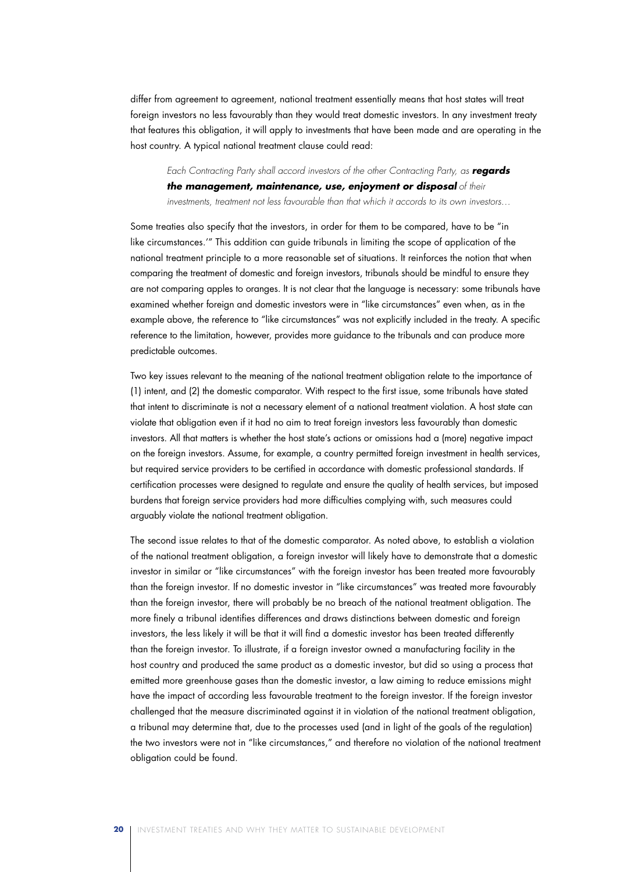differ from agreement to agreement, national treatment essentially means that host states will treat foreign investors no less favourably than they would treat domestic investors. In any investment treaty that features this obligation, it will apply to investments that have been made and are operating in the host country. A typical national treatment clause could read:

*Each Contracting Party shall accord investors of the other Contracting Party, as regards the management, maintenance, use, enjoyment or disposal of their investments, treatment not less favourable than that which it accords to its own investors…*

Some treaties also specify that the investors, in order for them to be compared, have to be "in like circumstances.'" This addition can guide tribunals in limiting the scope of application of the national treatment principle to a more reasonable set of situations. It reinforces the notion that when comparing the treatment of domestic and foreign investors, tribunals should be mindful to ensure they are not comparing apples to oranges. It is not clear that the language is necessary: some tribunals have examined whether foreign and domestic investors were in "like circumstances" even when, as in the example above, the reference to "like circumstances" was not explicitly included in the treaty. A specific reference to the limitation, however, provides more guidance to the tribunals and can produce more predictable outcomes.

Two key issues relevant to the meaning of the national treatment obligation relate to the importance of (1) intent, and (2) the domestic comparator. With respect to the first issue, some tribunals have stated that intent to discriminate is not a necessary element of a national treatment violation. A host state can violate that obligation even if it had no aim to treat foreign investors less favourably than domestic investors. All that matters is whether the host state's actions or omissions had a (more) negative impact on the foreign investors. Assume, for example, a country permitted foreign investment in health services, but required service providers to be certified in accordance with domestic professional standards. If certification processes were designed to regulate and ensure the quality of health services, but imposed burdens that foreign service providers had more difficulties complying with, such measures could arguably violate the national treatment obligation.

The second issue relates to that of the domestic comparator. As noted above, to establish a violation of the national treatment obligation, a foreign investor will likely have to demonstrate that a domestic investor in similar or "like circumstances" with the foreign investor has been treated more favourably than the foreign investor. If no domestic investor in "like circumstances" was treated more favourably than the foreign investor, there will probably be no breach of the national treatment obligation. The more finely a tribunal identifies differences and draws distinctions between domestic and foreign investors, the less likely it will be that it will find a domestic investor has been treated differently than the foreign investor. To illustrate, if a foreign investor owned a manufacturing facility in the host country and produced the same product as a domestic investor, but did so using a process that emitted more greenhouse gases than the domestic investor, a law aiming to reduce emissions might have the impact of according less favourable treatment to the foreign investor. If the foreign investor challenged that the measure discriminated against it in violation of the national treatment obligation, a tribunal may determine that, due to the processes used (and in light of the goals of the regulation) the two investors were not in "like circumstances," and therefore no violation of the national treatment obligation could be found.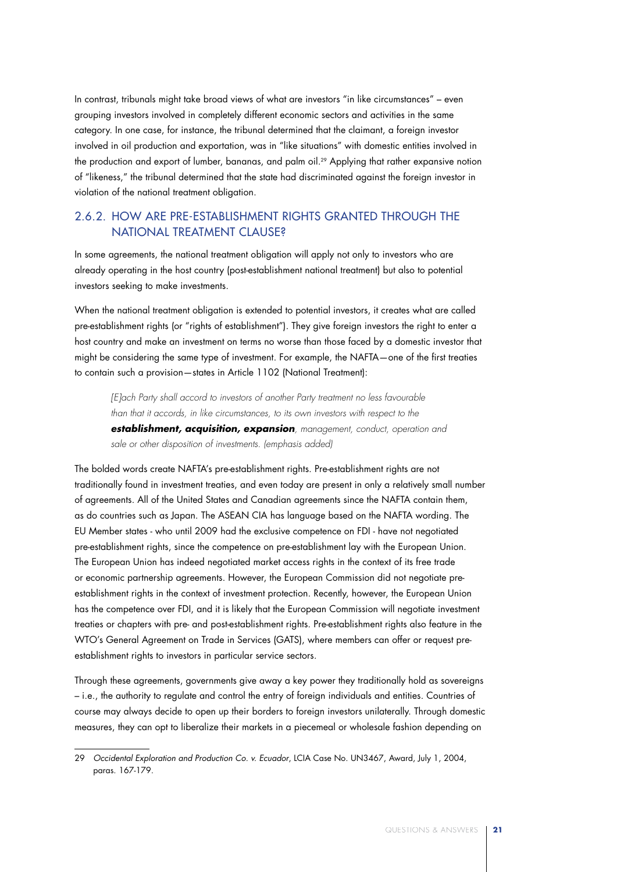In contrast, tribunals might take broad views of what are investors "in like circumstances" – even grouping investors involved in completely different economic sectors and activities in the same category. In one case, for instance, the tribunal determined that the claimant, a foreign investor involved in oil production and exportation, was in "like situations" with domestic entities involved in the production and export of lumber, bananas, and palm oil.29 Applying that rather expansive notion of "likeness," the tribunal determined that the state had discriminated against the foreign investor in violation of the national treatment obligation.

### 2.6.2. How Are Pre-Establishment Rights Granted Through the National Treatment Clause?

In some agreements, the national treatment obligation will apply not only to investors who are already operating in the host country (post-establishment national treatment) but also to potential investors seeking to make investments.

When the national treatment obligation is extended to potential investors, it creates what are called pre-establishment rights (or "rights of establishment"). They give foreign investors the right to enter a host country and make an investment on terms no worse than those faced by a domestic investor that might be considering the same type of investment. For example, the NAFTA—one of the first treaties to contain such a provision—states in Article 1102 (National Treatment):

*[E]ach Party shall accord to investors of another Party treatment no less favourable than that it accords, in like circumstances, to its own investors with respect to the establishment, acquisition, expansion, management, conduct, operation and sale or other disposition of investments. (emphasis added)*

The bolded words create NAFTA's pre-establishment rights. Pre-establishment rights are not traditionally found in investment treaties, and even today are present in only a relatively small number of agreements. All of the United States and Canadian agreements since the NAFTA contain them, as do countries such as Japan. The ASEAN CIA has language based on the NAFTA wording. The EU Member states - who until 2009 had the exclusive competence on FDI - have not negotiated pre-establishment rights, since the competence on pre-establishment lay with the European Union. The European Union has indeed negotiated market access rights in the context of its free trade or economic partnership agreements. However, the European Commission did not negotiate preestablishment rights in the context of investment protection. Recently, however, the European Union has the competence over FDI, and it is likely that the European Commission will negotiate investment treaties or chapters with pre- and post-establishment rights. Pre-establishment rights also feature in the WTO's General Agreement on Trade in Services (GATS), where members can offer or request preestablishment rights to investors in particular service sectors.

Through these agreements, governments give away a key power they traditionally hold as sovereigns – i.e., the authority to regulate and control the entry of foreign individuals and entities. Countries of course may always decide to open up their borders to foreign investors unilaterally. Through domestic measures, they can opt to liberalize their markets in a piecemeal or wholesale fashion depending on

<sup>29</sup> *Occidental Exploration and Production Co. v. Ecuador*, LCIA Case No. UN3467, Award, July 1, 2004, paras. 167-179.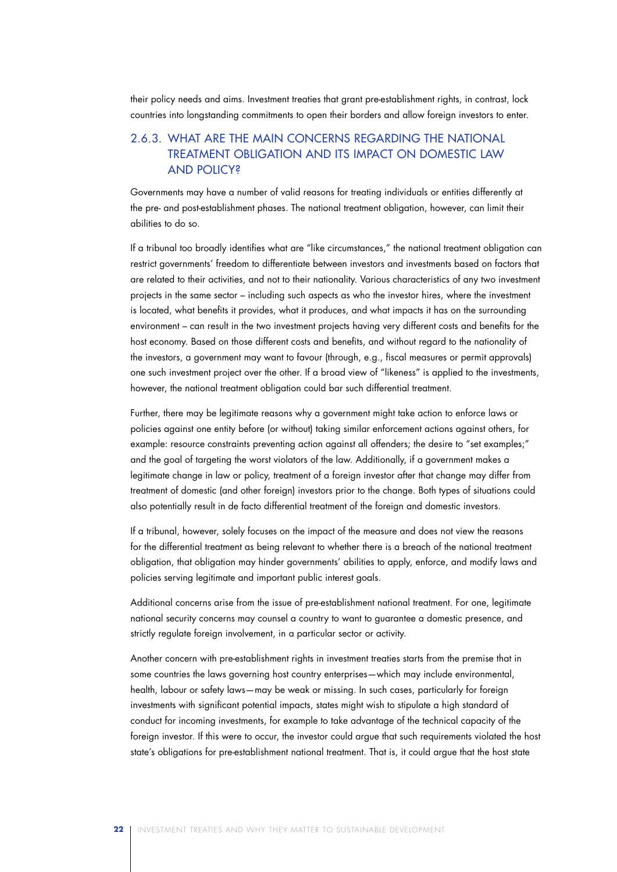their policy needs and aims. Investment treaties that grant pre-establishment rights, in contrast, lock countries into longstanding commitments to open their borders and allow foreign investors to enter.

### 2.6.3. What Are the Main Concerns Regarding the National Treatment Obligation and Its Impact on Domestic Law and Policy?

Governments may have a number of valid reasons for treating individuals or entities differently at the pre- and post-establishment phases. The national treatment obligation, however, can limit their abilities to do so.

If a tribunal too broadly identifies what are "like circumstances," the national treatment obligation can restrict governments' freedom to differentiate between investors and investments based on factors that are related to their activities, and not to their nationality. Various characteristics of any two investment projects in the same sector – including such aspects as who the investor hires, where the investment is located, what benefits it provides, what it produces, and what impacts it has on the surrounding environment – can result in the two investment projects having very different costs and benefits for the host economy. Based on those different costs and benefits, and without regard to the nationality of the investors, a government may want to favour (through, e.g., fiscal measures or permit approvals) one such investment project over the other. If a broad view of "likeness" is applied to the investments, however, the national treatment obligation could bar such differential treatment.

Further, there may be legitimate reasons why a government might take action to enforce laws or policies against one entity before (or without) taking similar enforcement actions against others, for example: resource constraints preventing action against all offenders; the desire to "set examples;" and the goal of targeting the worst violators of the law. Additionally, if a government makes a legitimate change in law or policy, treatment of a foreign investor after that change may differ from treatment of domestic (and other foreign) investors prior to the change. Both types of situations could also potentially result in de facto differential treatment of the foreign and domestic investors.

If a tribunal, however, solely focuses on the impact of the measure and does not view the reasons for the differential treatment as being relevant to whether there is a breach of the national treatment obligation, that obligation may hinder governments' abilities to apply, enforce, and modify laws and policies serving legitimate and important public interest goals.

Additional concerns arise from the issue of pre-establishment national treatment. For one, legitimate national security concerns may counsel a country to want to guarantee a domestic presence, and strictly regulate foreign involvement, in a particular sector or activity.

Another concern with pre-establishment rights in investment treaties starts from the premise that in some countries the laws governing host country enterprises—which may include environmental, health, labour or safety laws—may be weak or missing. In such cases, particularly for foreign investments with significant potential impacts, states might wish to stipulate a high standard of conduct for incoming investments, for example to take advantage of the technical capacity of the foreign investor. If this were to occur, the investor could argue that such requirements violated the host state's obligations for pre-establishment national treatment. That is, it could argue that the host state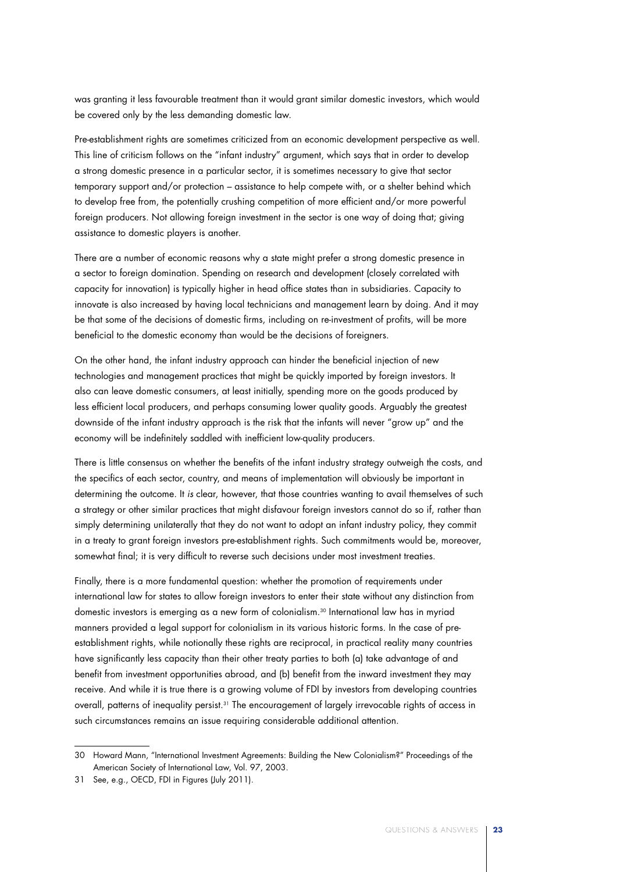was granting it less favourable treatment than it would grant similar domestic investors, which would be covered only by the less demanding domestic law.

Pre-establishment rights are sometimes criticized from an economic development perspective as well. This line of criticism follows on the "infant industry" argument, which says that in order to develop a strong domestic presence in a particular sector, it is sometimes necessary to give that sector temporary support and/or protection – assistance to help compete with, or a shelter behind which to develop free from, the potentially crushing competition of more efficient and/or more powerful foreign producers. Not allowing foreign investment in the sector is one way of doing that; giving assistance to domestic players is another.

There are a number of economic reasons why a state might prefer a strong domestic presence in a sector to foreign domination. Spending on research and development (closely correlated with capacity for innovation) is typically higher in head office states than in subsidiaries. Capacity to innovate is also increased by having local technicians and management learn by doing. And it may be that some of the decisions of domestic firms, including on re-investment of profits, will be more beneficial to the domestic economy than would be the decisions of foreigners.

On the other hand, the infant industry approach can hinder the beneficial injection of new technologies and management practices that might be quickly imported by foreign investors. It also can leave domestic consumers, at least initially, spending more on the goods produced by less efficient local producers, and perhaps consuming lower quality goods. Arguably the greatest downside of the infant industry approach is the risk that the infants will never "grow up" and the economy will be indefinitely saddled with inefficient low-quality producers.

There is little consensus on whether the benefits of the infant industry strategy outweigh the costs, and the specifics of each sector, country, and means of implementation will obviously be important in determining the outcome. It *is* clear, however, that those countries wanting to avail themselves of such a strategy or other similar practices that might disfavour foreign investors cannot do so if, rather than simply determining unilaterally that they do not want to adopt an infant industry policy, they commit in a treaty to grant foreign investors pre-establishment rights. Such commitments would be, moreover, somewhat final; it is very difficult to reverse such decisions under most investment treaties.

Finally, there is a more fundamental question: whether the promotion of requirements under international law for states to allow foreign investors to enter their state without any distinction from domestic investors is emerging as a new form of colonialism.30 International law has in myriad manners provided a legal support for colonialism in its various historic forms. In the case of preestablishment rights, while notionally these rights are reciprocal, in practical reality many countries have significantly less capacity than their other treaty parties to both (a) take advantage of and benefit from investment opportunities abroad, and (b) benefit from the inward investment they may receive. And while it is true there is a growing volume of FDI by investors from developing countries overall, patterns of inequality persist.31 The encouragement of largely irrevocable rights of access in such circumstances remains an issue requiring considerable additional attention.

<sup>30</sup> Howard Mann, "International Investment Agreements: Building the New Colonialism?" Proceedings of the American Society of International Law, Vol. 97, 2003.

<sup>31</sup> See, e.g., OECD, FDI in Figures (July 2011).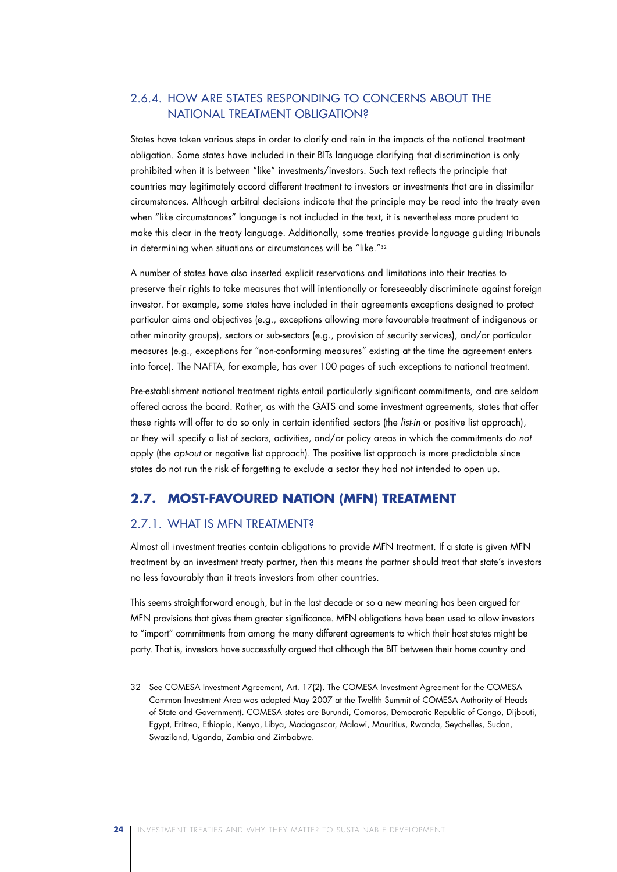### 2.6.4. How Are States Responding to Concerns About the National Treatment Obligation?

States have taken various steps in order to clarify and rein in the impacts of the national treatment obligation. Some states have included in their BITs language clarifying that discrimination is only prohibited when it is between "like" investments/investors. Such text reflects the principle that countries may legitimately accord different treatment to investors or investments that are in dissimilar circumstances. Although arbitral decisions indicate that the principle may be read into the treaty even when "like circumstances" language is not included in the text, it is nevertheless more prudent to make this clear in the treaty language. Additionally, some treaties provide language guiding tribunals in determining when situations or circumstances will be "like."32

A number of states have also inserted explicit reservations and limitations into their treaties to preserve their rights to take measures that will intentionally or foreseeably discriminate against foreign investor. For example, some states have included in their agreements exceptions designed to protect particular aims and objectives (e.g., exceptions allowing more favourable treatment of indigenous or other minority groups), sectors or sub-sectors (e.g., provision of security services), and/or particular measures (e.g., exceptions for "non-conforming measures" existing at the time the agreement enters into force). The NAFTA, for example, has over 100 pages of such exceptions to national treatment.

Pre-establishment national treatment rights entail particularly significant commitments, and are seldom offered across the board. Rather, as with the GATS and some investment agreements, states that offer these rights will offer to do so only in certain identified sectors (the *list-in* or positive list approach), or they will specify a list of sectors, activities, and/or policy areas in which the commitments do *not* apply (the *opt-out* or negative list approach). The positive list approach is more predictable since states do not run the risk of forgetting to exclude a sector they had not intended to open up.

### **2.7. Most-Favoured Nation (MFN) Treatment**

### 2.7.1. What Is MFN Treatment?

Almost all investment treaties contain obligations to provide MFN treatment. If a state is given MFN treatment by an investment treaty partner, then this means the partner should treat that state's investors no less favourably than it treats investors from other countries.

This seems straightforward enough, but in the last decade or so a new meaning has been argued for MFN provisions that gives them greater significance. MFN obligations have been used to allow investors to "import" commitments from among the many different agreements to which their host states might be party. That is, investors have successfully argued that although the BIT between their home country and

<sup>32</sup> See COMESA Investment Agreement, Art. 17(2). The COMESA Investment Agreement for the COMESA Common Investment Area was adopted May 2007 at the Twelfth Summit of COMESA Authority of Heads of State and Government). COMESA states are Burundi, Comoros, Democratic Republic of Congo, Dijbouti, Egypt, Eritrea, Ethiopia, Kenya, Libya, Madagascar, Malawi, Mauritius, Rwanda, Seychelles, Sudan, Swaziland, Uganda, Zambia and Zimbabwe.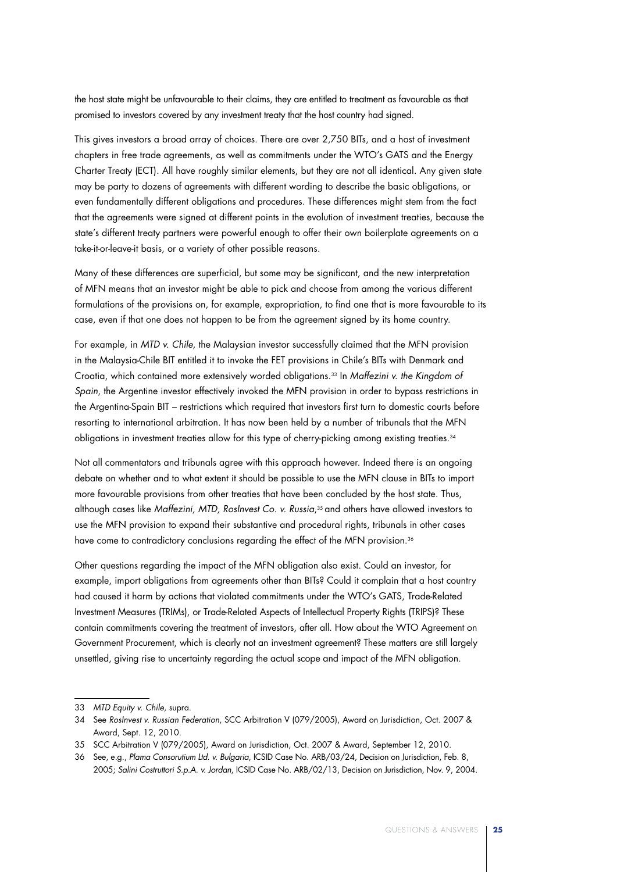the host state might be unfavourable to their claims, they are entitled to treatment as favourable as that promised to investors covered by any investment treaty that the host country had signed.

This gives investors a broad array of choices. There are over 2,750 BITs, and a host of investment chapters in free trade agreements, as well as commitments under the WTO's GATS and the Energy Charter Treaty (ECT). All have roughly similar elements, but they are not all identical. Any given state may be party to dozens of agreements with different wording to describe the basic obligations, or even fundamentally different obligations and procedures. These differences might stem from the fact that the agreements were signed at different points in the evolution of investment treaties, because the state's different treaty partners were powerful enough to offer their own boilerplate agreements on a take-it-or-leave-it basis, or a variety of other possible reasons.

Many of these differences are superficial, but some may be significant, and the new interpretation of MFN means that an investor might be able to pick and choose from among the various different formulations of the provisions on, for example, expropriation, to find one that is more favourable to its case, even if that one does not happen to be from the agreement signed by its home country.

For example, in *MTD v. Chile*, the Malaysian investor successfully claimed that the MFN provision in the Malaysia-Chile BIT entitled it to invoke the FET provisions in Chile's BITs with Denmark and Croatia, which contained more extensively worded obligations.33 In *Maffezini v. the Kingdom of Spain*, the Argentine investor effectively invoked the MFN provision in order to bypass restrictions in the Argentina-Spain BIT – restrictions which required that investors first turn to domestic courts before resorting to international arbitration. It has now been held by a number of tribunals that the MFN obligations in investment treaties allow for this type of cherry-picking among existing treaties.34

Not all commentators and tribunals agree with this approach however. Indeed there is an ongoing debate on whether and to what extent it should be possible to use the MFN clause in BITs to import more favourable provisions from other treaties that have been concluded by the host state. Thus, although cases like *Maffezini, MTD, RosInvest Co. v. Russia*,35 and others have allowed investors to use the MFN provision to expand their substantive and procedural rights, tribunals in other cases have come to contradictory conclusions regarding the effect of the MFN provision.<sup>36</sup>

Other questions regarding the impact of the MFN obligation also exist. Could an investor, for example, import obligations from agreements other than BITs? Could it complain that a host country had caused it harm by actions that violated commitments under the WTO's GATS, Trade-Related Investment Measures (TRIMs), or Trade-Related Aspects of Intellectual Property Rights (TRIPS)? These contain commitments covering the treatment of investors, after all. How about the WTO Agreement on Government Procurement, which is clearly not an investment agreement? These matters are still largely unsettled, giving rise to uncertainty regarding the actual scope and impact of the MFN obligation.

<sup>33</sup> *MTD Equity v. Chile*, supra.

<sup>34</sup> See *RosInvest v. Russian Federation*, SCC Arbitration V (079/2005), Award on Jurisdiction, Oct. 2007 & Award, Sept. 12, 2010.

<sup>35</sup> SCC Arbitration V (079/2005), Award on Jurisdiction, Oct. 2007 & Award, September 12, 2010.

<sup>36</sup> See, e.g., *Plama Consorutium Ltd. v. Bulgaria*, ICSID Case No. ARB/03/24, Decision on Jurisdiction, Feb. 8, 2005; *Salini Costruttori S.p.A. v. Jordan*, ICSID Case No. ARB/02/13, Decision on Jurisdiction, Nov. 9, 2004.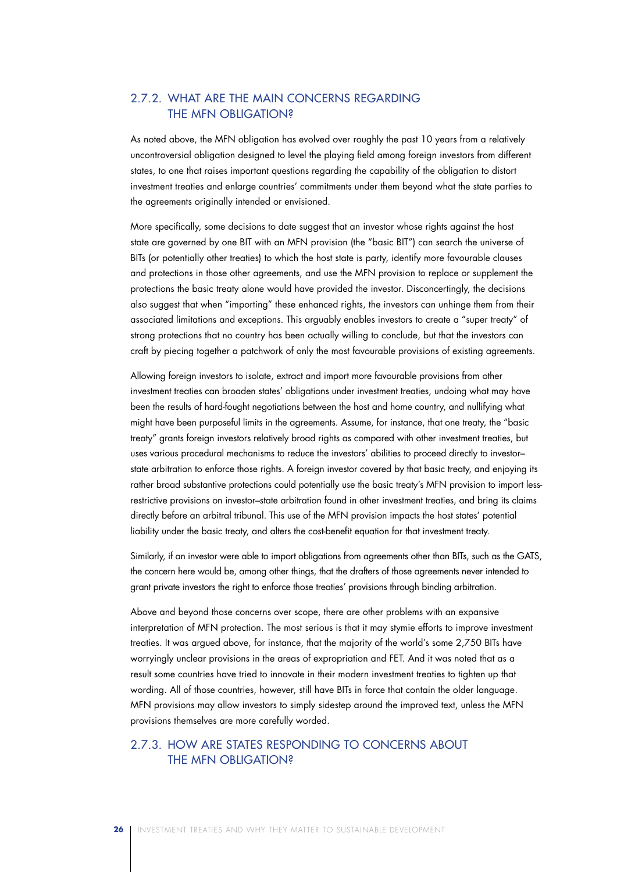### 2.7.2. What Are the Main Concerns Regarding the MFN Obligation?

As noted above, the MFN obligation has evolved over roughly the past 10 years from a relatively uncontroversial obligation designed to level the playing field among foreign investors from different states, to one that raises important questions regarding the capability of the obligation to distort investment treaties and enlarge countries' commitments under them beyond what the state parties to the agreements originally intended or envisioned.

More specifically, some decisions to date suggest that an investor whose rights against the host state are governed by one BIT with an MFN provision (the "basic BIT") can search the universe of BITs (or potentially other treaties) to which the host state is party, identify more favourable clauses and protections in those other agreements, and use the MFN provision to replace or supplement the protections the basic treaty alone would have provided the investor. Disconcertingly, the decisions also suggest that when "importing" these enhanced rights, the investors can unhinge them from their associated limitations and exceptions. This arguably enables investors to create a "super treaty" of strong protections that no country has been actually willing to conclude, but that the investors can craft by piecing together a patchwork of only the most favourable provisions of existing agreements.

Allowing foreign investors to isolate, extract and import more favourable provisions from other investment treaties can broaden states' obligations under investment treaties, undoing what may have been the results of hard-fought negotiations between the host and home country, and nullifying what might have been purposeful limits in the agreements. Assume, for instance, that one treaty, the "basic treaty" grants foreign investors relatively broad rights as compared with other investment treaties, but uses various procedural mechanisms to reduce the investors' abilities to proceed directly to investor– state arbitration to enforce those rights. A foreign investor covered by that basic treaty, and enjoying its rather broad substantive protections could potentially use the basic treaty's MFN provision to import lessrestrictive provisions on investor–state arbitration found in other investment treaties, and bring its claims directly before an arbitral tribunal. This use of the MFN provision impacts the host states' potential liability under the basic treaty, and alters the cost-benefit equation for that investment treaty.

Similarly, if an investor were able to import obligations from agreements other than BITs, such as the GATS, the concern here would be, among other things, that the drafters of those agreements never intended to grant private investors the right to enforce those treaties' provisions through binding arbitration.

Above and beyond those concerns over scope, there are other problems with an expansive interpretation of MFN protection. The most serious is that it may stymie efforts to improve investment treaties. It was argued above, for instance, that the majority of the world's some 2,750 BITs have worryingly unclear provisions in the areas of expropriation and FET. And it was noted that as a result some countries have tried to innovate in their modern investment treaties to tighten up that wording. All of those countries, however, still have BITs in force that contain the older language. MFN provisions may allow investors to simply sidestep around the improved text, unless the MFN provisions themselves are more carefully worded.

### 2.7.3. How Are States Responding to Concerns About the MFN Obligation?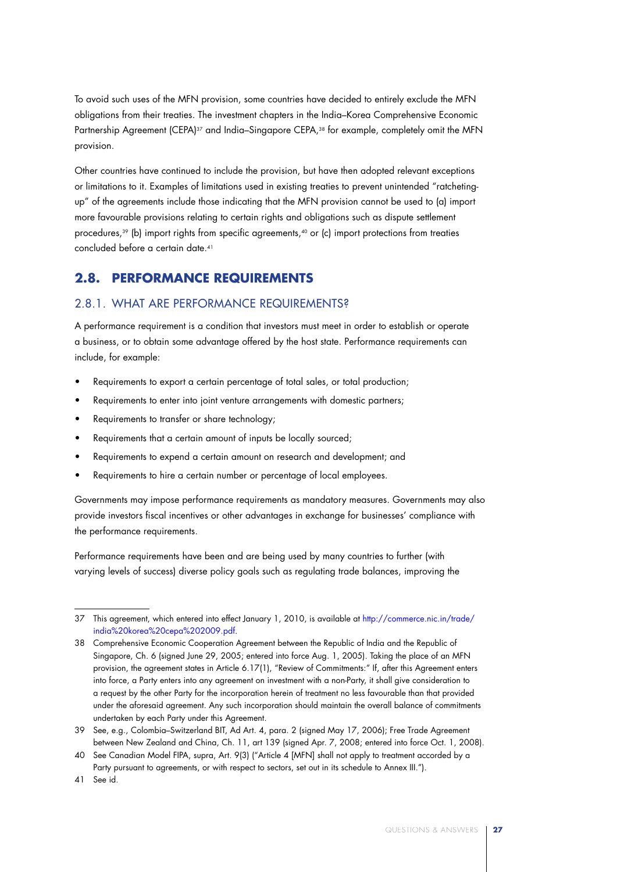To avoid such uses of the MFN provision, some countries have decided to entirely exclude the MFN obligations from their treaties. The investment chapters in the India–Korea Comprehensive Economic Partnership Agreement (CEPA)<sup>37</sup> and India–Singapore CEPA,<sup>38</sup> for example, completely omit the MFN provision.

Other countries have continued to include the provision, but have then adopted relevant exceptions or limitations to it. Examples of limitations used in existing treaties to prevent unintended "ratchetingup" of the agreements include those indicating that the MFN provision cannot be used to (a) import more favourable provisions relating to certain rights and obligations such as dispute settlement procedures,<sup>39</sup> (b) import rights from specific agreements,<sup>40</sup> or (c) import protections from treaties concluded before a certain date.41

## **2.8. Performance Requirements**

### 2.8.1. What Are Performance Requirements?

A performance requirement is a condition that investors must meet in order to establish or operate a business, or to obtain some advantage offered by the host state. Performance requirements can include, for example:

- Requirements to export a certain percentage of total sales, or total production;
- Requirements to enter into joint venture arrangements with domestic partners;
- Requirements to transfer or share technology;
- Requirements that a certain amount of inputs be locally sourced:
- Requirements to expend a certain amount on research and development; and
- Requirements to hire a certain number or percentage of local employees.

Governments may impose performance requirements as mandatory measures. Governments may also provide investors fiscal incentives or other advantages in exchange for businesses' compliance with the performance requirements.

Performance requirements have been and are being used by many countries to further (with varying levels of success) diverse policy goals such as regulating trade balances, improving the

<sup>37</sup> This agreement, which entered into effect January 1, 2010, is available at http://commerce.nic.in/trade/ india%20korea%20cepa%202009.pdf.

<sup>38</sup> Comprehensive Economic Cooperation Agreement between the Republic of India and the Republic of Singapore, Ch. 6 (signed June 29, 2005; entered into force Aug. 1, 2005). Taking the place of an MFN provision, the agreement states in Article 6.17(1), "Review of Commitments:" If, after this Agreement enters into force, a Party enters into any agreement on investment with a non-Party, it shall give consideration to a request by the other Party for the incorporation herein of treatment no less favourable than that provided under the aforesaid agreement. Any such incorporation should maintain the overall balance of commitments undertaken by each Party under this Agreement.

<sup>39</sup> See, e.g., Colombia–Switzerland BIT, Ad Art. 4, para. 2 (signed May 17, 2006); Free Trade Agreement between New Zealand and China, Ch. 11, art 139 (signed Apr. 7, 2008; entered into force Oct. 1, 2008).

<sup>40</sup> See Canadian Model FIPA, supra, Art. 9(3) ("Article 4 [MFN] shall not apply to treatment accorded by a Party pursuant to agreements, or with respect to sectors, set out in its schedule to Annex III.").

<sup>41</sup> See id.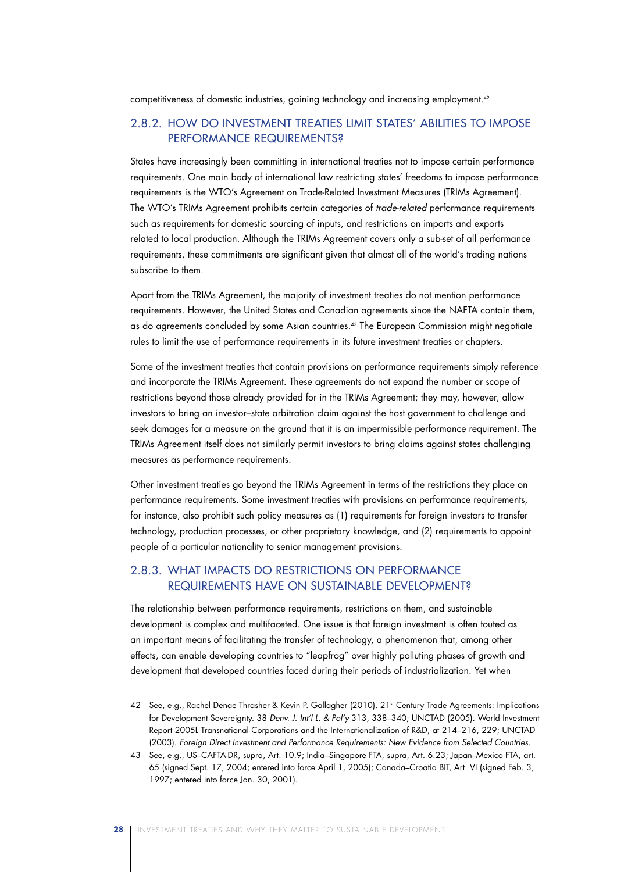competitiveness of domestic industries, gaining technology and increasing employment.42

## 2.8.2. How Do Investment Treaties Limit States' Abilities to Impose Performance Requirements?

States have increasingly been committing in international treaties not to impose certain performance requirements. One main body of international law restricting states' freedoms to impose performance requirements is the WTO's Agreement on Trade-Related Investment Measures (TRIMs Agreement). The WTO's TRIMs Agreement prohibits certain categories of *trade-related* performance requirements such as requirements for domestic sourcing of inputs, and restrictions on imports and exports related to local production. Although the TRIMs Agreement covers only a sub-set of all performance requirements, these commitments are significant given that almost all of the world's trading nations subscribe to them.

Apart from the TRIMs Agreement, the majority of investment treaties do not mention performance requirements. However, the United States and Canadian agreements since the NAFTA contain them, as do agreements concluded by some Asian countries.43 The European Commission might negotiate rules to limit the use of performance requirements in its future investment treaties or chapters.

Some of the investment treaties that contain provisions on performance requirements simply reference and incorporate the TRIMs Agreement. These agreements do not expand the number or scope of restrictions beyond those already provided for in the TRIMs Agreement; they may, however, allow investors to bring an investor–state arbitration claim against the host government to challenge and seek damages for a measure on the ground that it is an impermissible performance requirement. The TRIMs Agreement itself does not similarly permit investors to bring claims against states challenging measures as performance requirements.

Other investment treaties go beyond the TRIMs Agreement in terms of the restrictions they place on performance requirements. Some investment treaties with provisions on performance requirements, for instance, also prohibit such policy measures as (1) requirements for foreign investors to transfer technology, production processes, or other proprietary knowledge, and (2) requirements to appoint people of a particular nationality to senior management provisions.

### 2.8.3. What Impacts Do Restrictions on Performance Requirements Have on Sustainable Development?

The relationship between performance requirements, restrictions on them, and sustainable development is complex and multifaceted. One issue is that foreign investment is often touted as an important means of facilitating the transfer of technology, a phenomenon that, among other effects, can enable developing countries to "leapfrog" over highly polluting phases of growth and development that developed countries faced during their periods of industrialization. Yet when

<sup>42</sup> See, e.g., Rachel Denae Thrasher & Kevin P. Gallagher (2010). 21<sup>st</sup> Century Trade Agreements: Implications for Development Sovereignty. 38 *Denv. J. Int'l L. & Pol'y* 313, 338–340; UNCTAD (2005). World Investment Report 2005L Transnational Corporations and the Internationalization of R&D, at 214–216, 229; UNCTAD (2003). *Foreign Direct Investment and Performance Requirements: New Evidence from Selected Countries*.

<sup>43</sup> See, e.g., US–CAFTA-DR, supra, Art. 10.9; India–Singapore FTA, supra, Art. 6.23; Japan–Mexico FTA, art. 65 (signed Sept. 17, 2004; entered into force April 1, 2005); Canada–Croatia BIT, Art. VI (signed Feb. 3, 1997; entered into force Jan. 30, 2001).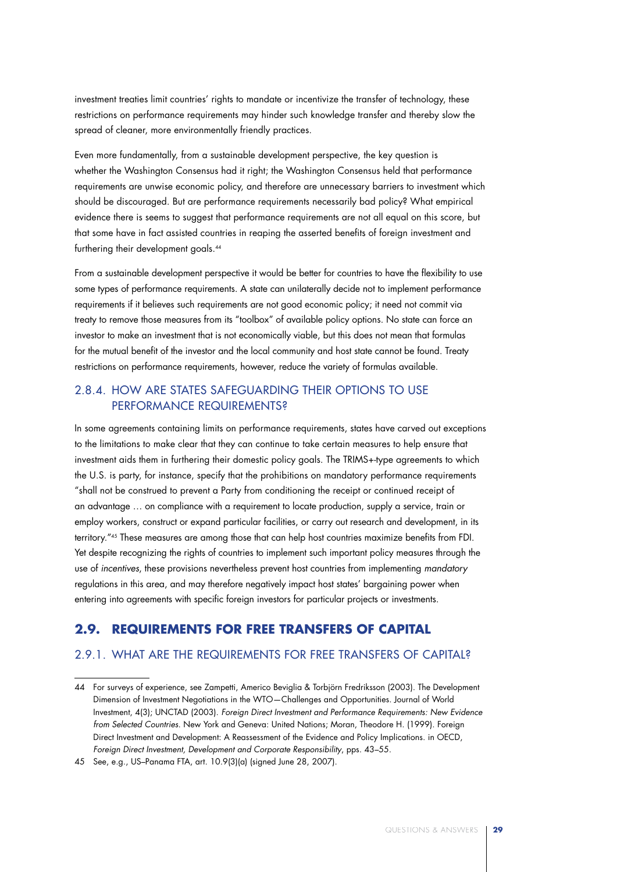investment treaties limit countries' rights to mandate or incentivize the transfer of technology, these restrictions on performance requirements may hinder such knowledge transfer and thereby slow the spread of cleaner, more environmentally friendly practices.

Even more fundamentally, from a sustainable development perspective, the key question is whether the Washington Consensus had it right; the Washington Consensus held that performance requirements are unwise economic policy, and therefore are unnecessary barriers to investment which should be discouraged. But are performance requirements necessarily bad policy? What empirical evidence there is seems to suggest that performance requirements are not all equal on this score, but that some have in fact assisted countries in reaping the asserted benefits of foreign investment and furthering their development goals.<sup>44</sup>

From a sustainable development perspective it would be better for countries to have the flexibility to use some types of performance requirements. A state can unilaterally decide not to implement performance requirements if it believes such requirements are not good economic policy; it need not commit via treaty to remove those measures from its "toolbox" of available policy options. No state can force an investor to make an investment that is not economically viable, but this does not mean that formulas for the mutual benefit of the investor and the local community and host state cannot be found. Treaty restrictions on performance requirements, however, reduce the variety of formulas available.

### 2.8.4. How Are States Safeguarding Their Options to Use Performance Requirements?

In some agreements containing limits on performance requirements, states have carved out exceptions to the limitations to make clear that they can continue to take certain measures to help ensure that investment aids them in furthering their domestic policy goals. The TRIMS+-type agreements to which the U.S. is party, for instance, specify that the prohibitions on mandatory performance requirements "shall not be construed to prevent a Party from conditioning the receipt or continued receipt of an advantage … on compliance with a requirement to locate production, supply a service, train or employ workers, construct or expand particular facilities, or carry out research and development, in its territory."45 These measures are among those that can help host countries maximize benefits from FDI. Yet despite recognizing the rights of countries to implement such important policy measures through the use of *incentives*, these provisions nevertheless prevent host countries from implementing *mandatory* regulations in this area, and may therefore negatively impact host states' bargaining power when entering into agreements with specific foreign investors for particular projects or investments.

## **2.9. Requirements for Free Transfers of Capital**

### 2.9.1. What Are the Requirements for Free Transfers of Capital?

<sup>44</sup> For surveys of experience, see Zampetti, Americo Beviglia & Torbjörn Fredriksson (2003). The Development Dimension of Investment Negotiations in the WTO—Challenges and Opportunities. Journal of World Investment, 4(3); UNCTAD (2003). *Foreign Direct Investment and Performance Requirements: New Evidence from Selected Countries*. New York and Geneva: United Nations; Moran, Theodore H. (1999). Foreign Direct Investment and Development: A Reassessment of the Evidence and Policy Implications. in OECD, *Foreign Direct Investment, Development and Corporate Responsibility*, pps. 43–55.

<sup>45</sup> See, e.g., US–Panama FTA, art. 10.9(3)(a) (signed June 28, 2007).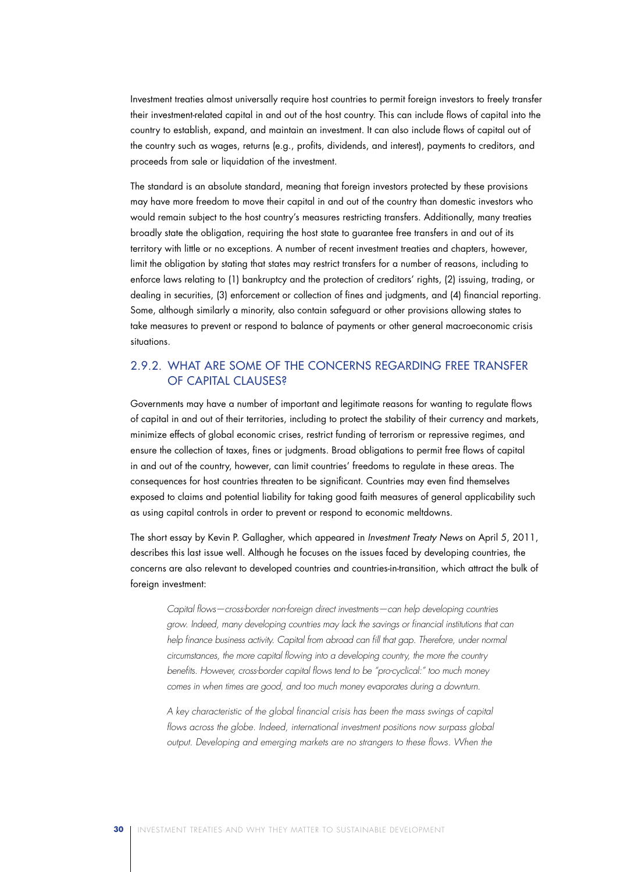Investment treaties almost universally require host countries to permit foreign investors to freely transfer their investment-related capital in and out of the host country. This can include flows of capital into the country to establish, expand, and maintain an investment. It can also include flows of capital out of the country such as wages, returns (e.g., profits, dividends, and interest), payments to creditors, and proceeds from sale or liquidation of the investment.

The standard is an absolute standard, meaning that foreign investors protected by these provisions may have more freedom to move their capital in and out of the country than domestic investors who would remain subject to the host country's measures restricting transfers. Additionally, many treaties broadly state the obligation, requiring the host state to guarantee free transfers in and out of its territory with little or no exceptions. A number of recent investment treaties and chapters, however, limit the obligation by stating that states may restrict transfers for a number of reasons, including to enforce laws relating to (1) bankruptcy and the protection of creditors' rights, (2) issuing, trading, or dealing in securities, (3) enforcement or collection of fines and judgments, and (4) financial reporting. Some, although similarly a minority, also contain safeguard or other provisions allowing states to take measures to prevent or respond to balance of payments or other general macroeconomic crisis situations.

### 2.9.2. What Are Some of the Concerns Regarding Free Transfer of Capital Clauses?

Governments may have a number of important and legitimate reasons for wanting to regulate flows of capital in and out of their territories, including to protect the stability of their currency and markets, minimize effects of global economic crises, restrict funding of terrorism or repressive regimes, and ensure the collection of taxes, fines or judgments. Broad obligations to permit free flows of capital in and out of the country, however, can limit countries' freedoms to regulate in these areas. The consequences for host countries threaten to be significant. Countries may even find themselves exposed to claims and potential liability for taking good faith measures of general applicability such as using capital controls in order to prevent or respond to economic meltdowns.

The short essay by Kevin P. Gallagher, which appeared in *Investment Treaty News* on April 5, 2011, describes this last issue well. Although he focuses on the issues faced by developing countries, the concerns are also relevant to developed countries and countries-in-transition, which attract the bulk of foreign investment:

*Capital flows—cross-border non-foreign direct investments—can help developing countries grow. Indeed, many developing countries may lack the savings or financial institutions that can help finance business activity. Capital from abroad can fill that gap. Therefore, under normal circumstances, the more capital flowing into a developing country, the more the country benefits. However, cross-border capital flows tend to be "pro-cyclical:" too much money comes in when times are good, and too much money evaporates during a downturn.*

*A key characteristic of the global financial crisis has been the mass swings of capital flows across the globe. Indeed, international investment positions now surpass global output. Developing and emerging markets are no strangers to these flows. When the*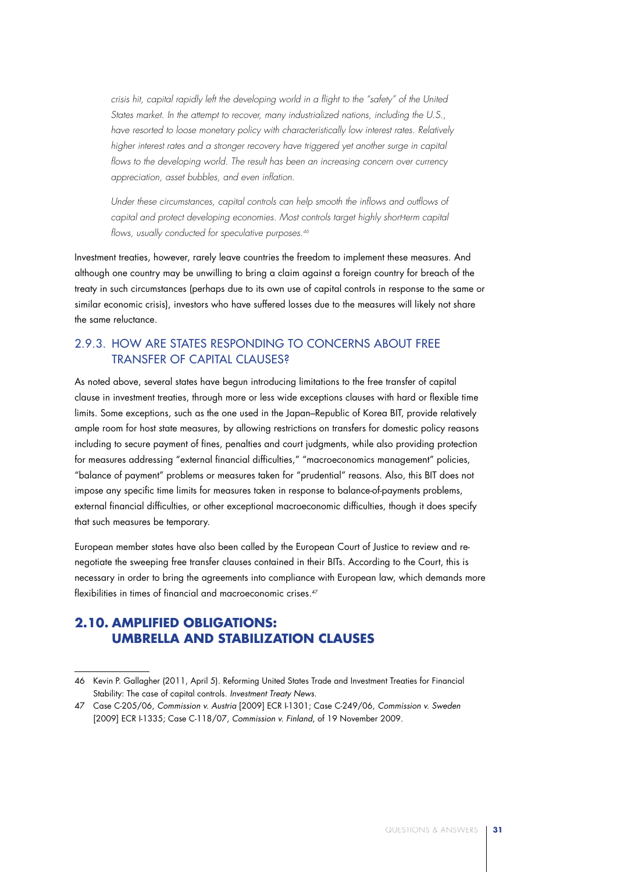*crisis hit, capital rapidly left the developing world in a flight to the "safety" of the United States market. In the attempt to recover, many industrialized nations, including the U.S., have resorted to loose monetary policy with characteristically low interest rates. Relatively higher interest rates and a stronger recovery have triggered yet another surge in capital*  flows to the developing world. The result has been an increasing concern over currency *appreciation, asset bubbles, and even inflation.* 

*Under these circumstances, capital controls can help smooth the inflows and outflows of capital and protect developing economies. Most controls target highly short-term capital flows, usually conducted for speculative purposes.46*

Investment treaties, however, rarely leave countries the freedom to implement these measures. And although one country may be unwilling to bring a claim against a foreign country for breach of the treaty in such circumstances (perhaps due to its own use of capital controls in response to the same or similar economic crisis), investors who have suffered losses due to the measures will likely not share the same reluctance.

### 2.9.3. How Are States Responding to Concerns About Free Transfer of Capital Clauses?

As noted above, several states have begun introducing limitations to the free transfer of capital clause in investment treaties, through more or less wide exceptions clauses with hard or flexible time limits. Some exceptions, such as the one used in the Japan–Republic of Korea BIT, provide relatively ample room for host state measures, by allowing restrictions on transfers for domestic policy reasons including to secure payment of fines, penalties and court judgments, while also providing protection for measures addressing "external financial difficulties," "macroeconomics management" policies, "balance of payment" problems or measures taken for "prudential" reasons. Also, this BIT does not impose any specific time limits for measures taken in response to balance-of-payments problems, external financial difficulties, or other exceptional macroeconomic difficulties, though it does specify that such measures be temporary.

European member states have also been called by the European Court of Justice to review and renegotiate the sweeping free transfer clauses contained in their BITs. According to the Court, this is necessary in order to bring the agreements into compliance with European law, which demands more flexibilities in times of financial and macroeconomic crises.<sup>47</sup>

## **2.10. Amplified Obligations: Umbrella and Stabilization Clauses**

<sup>46</sup> Kevin P. Gallagher (2011, April 5). Reforming United States Trade and Investment Treaties for Financial Stability: The case of capital controls. *Investment Treaty News*.

<sup>47</sup> Case C-205/06, *Commission v. Austria* [2009] ECR I-1301; Case C-249/06, *Commission v. Sweden* [2009] ECR I-1335; Case C-118/07, *Commission v. Finland*, of 19 November 2009.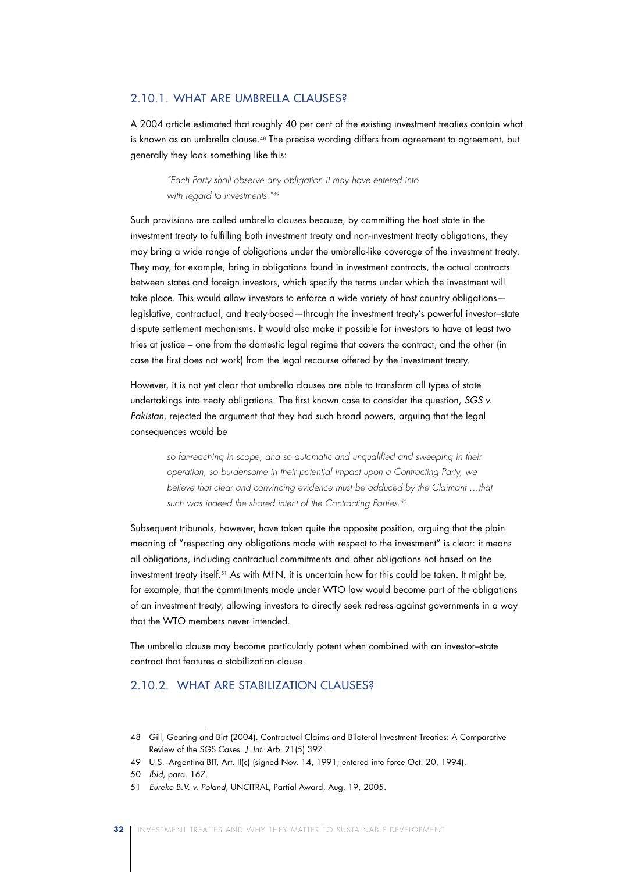### 2.10.1. What Are Umbrella Clauses?

A 2004 article estimated that roughly 40 per cent of the existing investment treaties contain what is known as an umbrella clause.<sup>48</sup> The precise wording differs from agreement to agreement, but generally they look something like this:

*"Each Party shall observe any obligation it may have entered into with regard to investments."49*

Such provisions are called umbrella clauses because, by committing the host state in the investment treaty to fulfilling both investment treaty and non-investment treaty obligations, they may bring a wide range of obligations under the umbrella-like coverage of the investment treaty. They may, for example, bring in obligations found in investment contracts, the actual contracts between states and foreign investors, which specify the terms under which the investment will take place. This would allow investors to enforce a wide variety of host country obligations legislative, contractual, and treaty-based—through the investment treaty's powerful investor–state dispute settlement mechanisms. It would also make it possible for investors to have at least two tries at justice – one from the domestic legal regime that covers the contract, and the other (in case the first does not work) from the legal recourse offered by the investment treaty.

However, it is not yet clear that umbrella clauses are able to transform all types of state undertakings into treaty obligations. The first known case to consider the question, *SGS v. Pakistan*, rejected the argument that they had such broad powers, arguing that the legal consequences would be

> *so far-reaching in scope, and so automatic and unqualified and sweeping in their operation, so burdensome in their potential impact upon a Contracting Party, we*  believe that clear and convincing evidence must be adduced by the Claimant ...that *such was indeed the shared intent of the Contracting Parties.50*

Subsequent tribunals, however, have taken quite the opposite position, arguing that the plain meaning of "respecting any obligations made with respect to the investment" is clear: it means all obligations, including contractual commitments and other obligations not based on the investment treaty itself.51 As with MFN, it is uncertain how far this could be taken. It might be, for example, that the commitments made under WTO law would become part of the obligations of an investment treaty, allowing investors to directly seek redress against governments in a way that the WTO members never intended.

The umbrella clause may become particularly potent when combined with an investor–state contract that features a stabilization clause.

### 2.10.2. What Are Stabilization Clauses?

<sup>48</sup> Gill, Gearing and Birt (2004). Contractual Claims and Bilateral Investment Treaties: A Comparative Review of the SGS Cases. *J. Int. Arb.* 21(5) 397.

<sup>49</sup> U.S.–Argentina BIT, Art. II(c) (signed Nov. 14, 1991; entered into force Oct. 20, 1994).

<sup>50</sup> *Ibid*, para. 167.

<sup>51</sup> *Eureko B.V. v. Poland*, UNCITRAL, Partial Award, Aug. 19, 2005.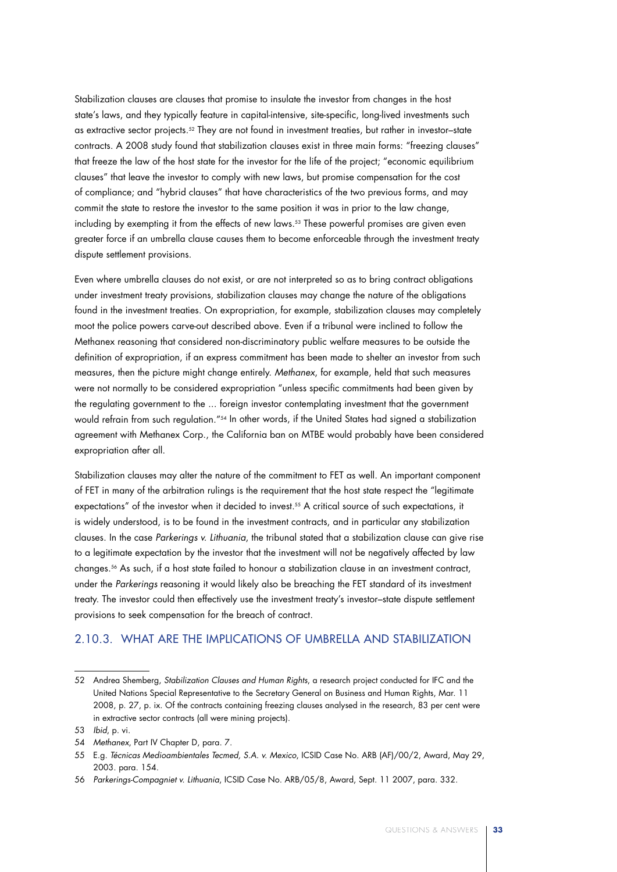Stabilization clauses are clauses that promise to insulate the investor from changes in the host state's laws, and they typically feature in capital-intensive, site-specific, long-lived investments such as extractive sector projects.52 They are not found in investment treaties, but rather in investor–state contracts. A 2008 study found that stabilization clauses exist in three main forms: "freezing clauses" that freeze the law of the host state for the investor for the life of the project; "economic equilibrium clauses" that leave the investor to comply with new laws, but promise compensation for the cost of compliance; and "hybrid clauses" that have characteristics of the two previous forms, and may commit the state to restore the investor to the same position it was in prior to the law change, including by exempting it from the effects of new laws.53 These powerful promises are given even greater force if an umbrella clause causes them to become enforceable through the investment treaty dispute settlement provisions.

Even where umbrella clauses do not exist, or are not interpreted so as to bring contract obligations under investment treaty provisions, stabilization clauses may change the nature of the obligations found in the investment treaties. On expropriation, for example, stabilization clauses may completely moot the police powers carve-out described above. Even if a tribunal were inclined to follow the Methanex reasoning that considered non-discriminatory public welfare measures to be outside the definition of expropriation, if an express commitment has been made to shelter an investor from such measures, then the picture might change entirely. *Methanex*, for example, held that such measures were not normally to be considered expropriation "unless specific commitments had been given by the regulating government to the ... foreign investor contemplating investment that the government would refrain from such regulation."<sup>54</sup> In other words, if the United States had signed a stabilization agreement with Methanex Corp., the California ban on MTBE would probably have been considered expropriation after all.

Stabilization clauses may alter the nature of the commitment to FET as well. An important component of FET in many of the arbitration rulings is the requirement that the host state respect the "legitimate expectations" of the investor when it decided to invest.55 A critical source of such expectations, it is widely understood, is to be found in the investment contracts, and in particular any stabilization clauses. In the case *Parkerings v. Lithuania*, the tribunal stated that a stabilization clause can give rise to a legitimate expectation by the investor that the investment will not be negatively affected by law changes.56 As such, if a host state failed to honour a stabilization clause in an investment contract, under the *Parkerings* reasoning it would likely also be breaching the FET standard of its investment treaty. The investor could then effectively use the investment treaty's investor–state dispute settlement provisions to seek compensation for the breach of contract.

### 2.10.3. What Are the Implications of Umbrella and Stabilization

<sup>52</sup> Andrea Shemberg, *Stabilization Clauses and Human Rights*, a research project conducted for IFC and the United Nations Special Representative to the Secretary General on Business and Human Rights, Mar. 11 2008, p. 27, p. ix. Of the contracts containing freezing clauses analysed in the research, 83 per cent were in extractive sector contracts (all were mining projects).

<sup>53</sup> *Ibid*, p. vi.

<sup>54</sup> *Methanex*, Part IV Chapter D, para. 7.

<sup>55</sup> E.g. *Técnicas Medioambientales Tecmed, S.A. v. Mexico*, ICSID Case No. ARB (AF)/00/2, Award, May 29, 2003. para. 154.

<sup>56</sup> *Parkerings-Compagniet v. Lithuania*, ICSID Case No. ARB/05/8, Award, Sept. 11 2007, para. 332.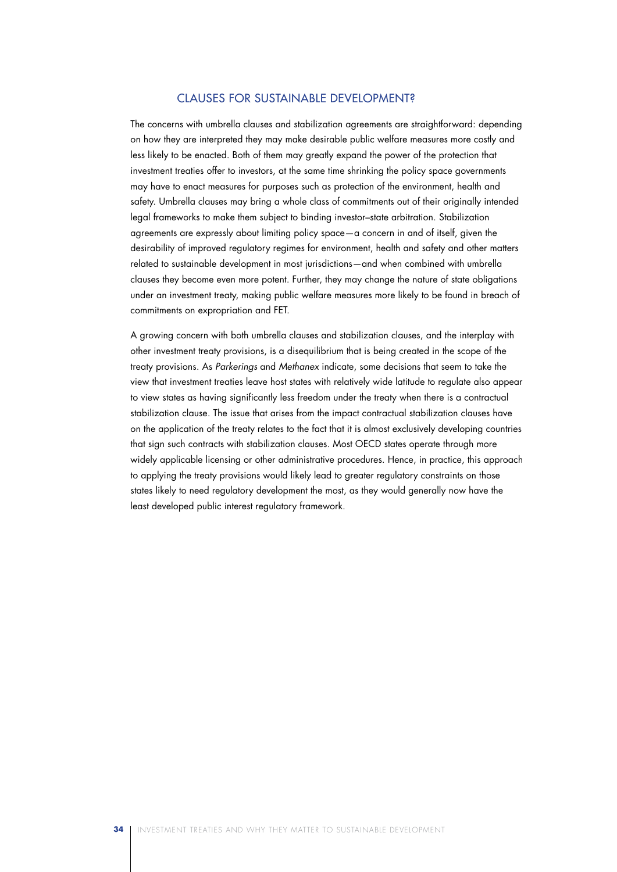### Clauses for Sustainable Development?

The concerns with umbrella clauses and stabilization agreements are straightforward: depending on how they are interpreted they may make desirable public welfare measures more costly and less likely to be enacted. Both of them may greatly expand the power of the protection that investment treaties offer to investors, at the same time shrinking the policy space governments may have to enact measures for purposes such as protection of the environment, health and safety. Umbrella clauses may bring a whole class of commitments out of their originally intended legal frameworks to make them subject to binding investor–state arbitration. Stabilization agreements are expressly about limiting policy space—a concern in and of itself, given the desirability of improved regulatory regimes for environment, health and safety and other matters related to sustainable development in most jurisdictions—and when combined with umbrella clauses they become even more potent. Further, they may change the nature of state obligations under an investment treaty, making public welfare measures more likely to be found in breach of commitments on expropriation and FET.

A growing concern with both umbrella clauses and stabilization clauses, and the interplay with other investment treaty provisions, is a disequilibrium that is being created in the scope of the treaty provisions. As *Parkerings* and *Methanex* indicate, some decisions that seem to take the view that investment treaties leave host states with relatively wide latitude to regulate also appear to view states as having significantly less freedom under the treaty when there is a contractual stabilization clause. The issue that arises from the impact contractual stabilization clauses have on the application of the treaty relates to the fact that it is almost exclusively developing countries that sign such contracts with stabilization clauses. Most OECD states operate through more widely applicable licensing or other administrative procedures. Hence, in practice, this approach to applying the treaty provisions would likely lead to greater regulatory constraints on those states likely to need regulatory development the most, as they would generally now have the least developed public interest regulatory framework.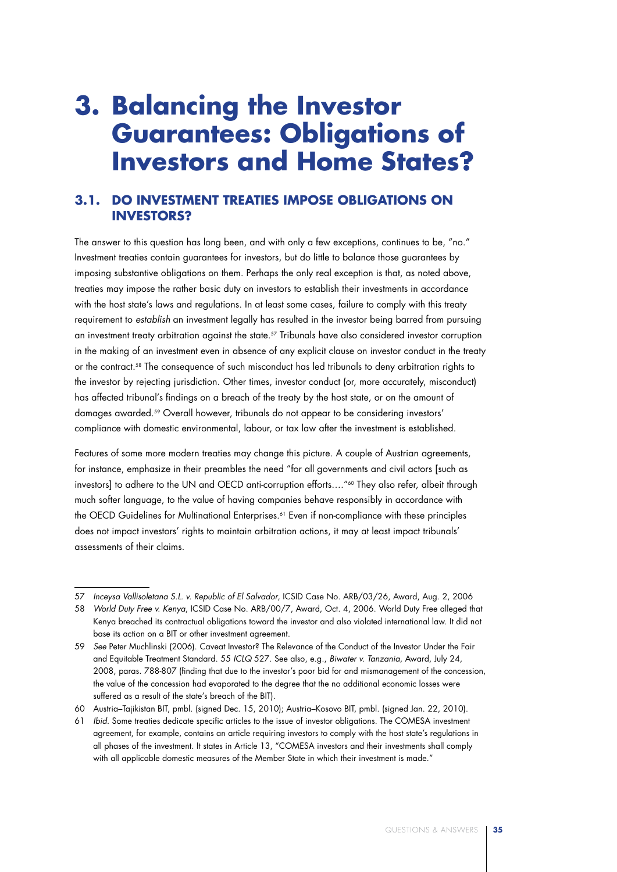## **3. Balancing the Investor Guarantees: Obligations of Investors and Home States?**

## **3.1. Do Investment Treaties Impose Obligations on Investors?**

The answer to this question has long been, and with only a few exceptions, continues to be, "no." Investment treaties contain guarantees for investors, but do little to balance those guarantees by imposing substantive obligations on them. Perhaps the only real exception is that, as noted above, treaties may impose the rather basic duty on investors to establish their investments in accordance with the host state's laws and regulations. In at least some cases, failure to comply with this treaty requirement to *establish* an investment legally has resulted in the investor being barred from pursuing an investment treaty arbitration against the state.57 Tribunals have also considered investor corruption in the making of an investment even in absence of any explicit clause on investor conduct in the treaty or the contract.<sup>58</sup> The consequence of such misconduct has led tribunals to deny arbitration rights to the investor by rejecting jurisdiction. Other times, investor conduct (or, more accurately, misconduct) has affected tribunal's findings on a breach of the treaty by the host state, or on the amount of damages awarded.59 Overall however, tribunals do not appear to be considering investors' compliance with domestic environmental, labour, or tax law after the investment is established.

Features of some more modern treaties may change this picture. A couple of Austrian agreements, for instance, emphasize in their preambles the need "for all governments and civil actors [such as investors] to adhere to the UN and OECD anti-corruption efforts...."<sup>60</sup> They also refer, albeit through much softer language, to the value of having companies behave responsibly in accordance with the OECD Guidelines for Multinational Enterprises.<sup>61</sup> Even if non-compliance with these principles does not impact investors' rights to maintain arbitration actions, it may at least impact tribunals' assessments of their claims.

<sup>57</sup> *Inceysa Vallisoletana S.L. v. Republic of El Salvador*, ICSID Case No. ARB/03/26, Award, Aug. 2, 2006

<sup>58</sup> *World Duty Free v. Kenya*, ICSID Case No. ARB/00/7, Award, Oct. 4, 2006. World Duty Free alleged that Kenya breached its contractual obligations toward the investor and also violated international law. It did not base its action on a BIT or other investment agreement.

<sup>59</sup> *See* Peter Muchlinski (2006). Caveat Investor? The Relevance of the Conduct of the Investor Under the Fair and Equitable Treatment Standard. 55 *ICLQ* 527. See also, e.g., *Biwater v. Tanzania*, Award, July 24, 2008, paras. 788-807 (finding that due to the investor's poor bid for and mismanagement of the concession, the value of the concession had evaporated to the degree that the no additional economic losses were suffered as a result of the state's breach of the BIT).

<sup>60</sup> Austria–Tajikistan BIT, pmbl. (signed Dec. 15, 2010); Austria–Kosovo BIT, pmbl. (signed Jan. 22, 2010).

<sup>61</sup> *Ibid.* Some treaties dedicate specific articles to the issue of investor obligations. The COMESA investment agreement, for example, contains an article requiring investors to comply with the host state's regulations in all phases of the investment. It states in Article 13, "COMESA investors and their investments shall comply with all applicable domestic measures of the Member State in which their investment is made."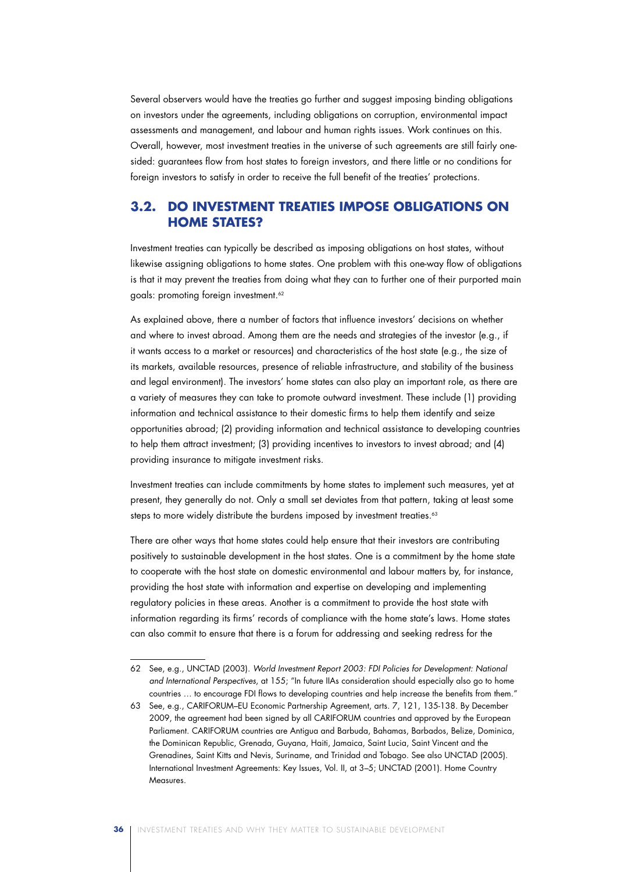Several observers would have the treaties go further and suggest imposing binding obligations on investors under the agreements, including obligations on corruption, environmental impact assessments and management, and labour and human rights issues. Work continues on this. Overall, however, most investment treaties in the universe of such agreements are still fairly onesided: guarantees flow from host states to foreign investors, and there little or no conditions for foreign investors to satisfy in order to receive the full benefit of the treaties' protections.

### **3.2. Do Investment Treaties Impose Obligations on Home States?**

Investment treaties can typically be described as imposing obligations on host states, without likewise assigning obligations to home states. One problem with this one-way flow of obligations is that it may prevent the treaties from doing what they can to further one of their purported main goals: promoting foreign investment.<sup>62</sup>

As explained above, there a number of factors that influence investors' decisions on whether and where to invest abroad. Among them are the needs and strategies of the investor (e.g., if it wants access to a market or resources) and characteristics of the host state (e.g., the size of its markets, available resources, presence of reliable infrastructure, and stability of the business and legal environment). The investors' home states can also play an important role, as there are a variety of measures they can take to promote outward investment. These include (1) providing information and technical assistance to their domestic firms to help them identify and seize opportunities abroad; (2) providing information and technical assistance to developing countries to help them attract investment; (3) providing incentives to investors to invest abroad; and (4) providing insurance to mitigate investment risks.

Investment treaties can include commitments by home states to implement such measures, yet at present, they generally do not. Only a small set deviates from that pattern, taking at least some steps to more widely distribute the burdens imposed by investment treaties.<sup>63</sup>

There are other ways that home states could help ensure that their investors are contributing positively to sustainable development in the host states. One is a commitment by the home state to cooperate with the host state on domestic environmental and labour matters by, for instance, providing the host state with information and expertise on developing and implementing regulatory policies in these areas. Another is a commitment to provide the host state with information regarding its firms' records of compliance with the home state's laws. Home states can also commit to ensure that there is a forum for addressing and seeking redress for the

<sup>62</sup> See, e.g., UNCTAD (2003). *World Investment Report 2003: FDI Policies for Development: National and International Perspectives*, at 155; "In future IIAs consideration should especially also go to home countries … to encourage FDI flows to developing countries and help increase the benefits from them."

<sup>63</sup> See, e.g., CARIFORUM–EU Economic Partnership Agreement, arts. 7, 121, 135-138. By December 2009, the agreement had been signed by all CARIFORUM countries and approved by the European Parliament. CARIFORUM countries are Antigua and Barbuda, Bahamas, Barbados, Belize, Dominica, the Dominican Republic, Grenada, Guyana, Haiti, Jamaica, Saint Lucia, Saint Vincent and the Grenadines, Saint Kitts and Nevis, Suriname, and Trinidad and Tobago. See also UNCTAD (2005). International Investment Agreements: Key Issues, Vol. II, at 3–5; UNCTAD (2001). Home Country **Measures**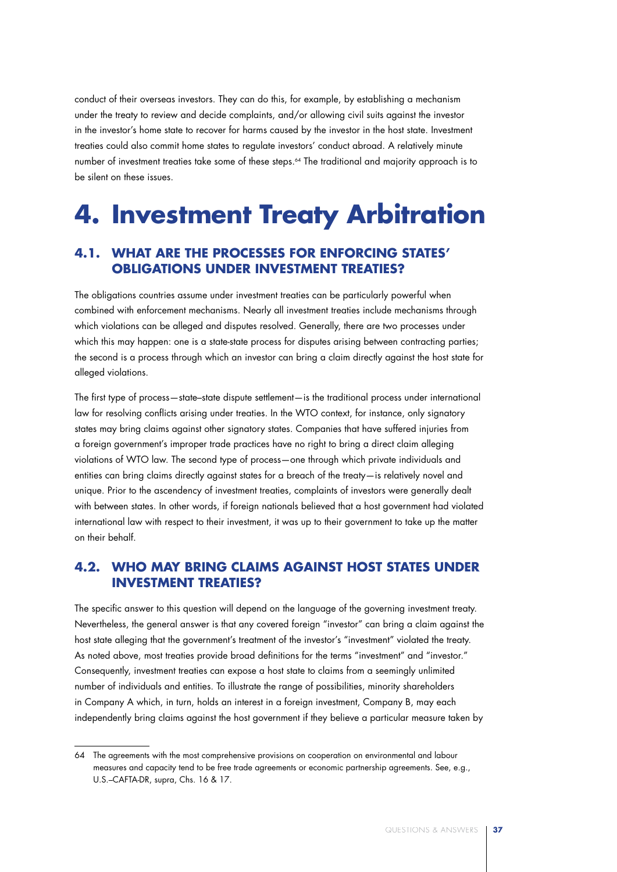conduct of their overseas investors. They can do this, for example, by establishing a mechanism under the treaty to review and decide complaints, and/or allowing civil suits against the investor in the investor's home state to recover for harms caused by the investor in the host state. Investment treaties could also commit home states to regulate investors' conduct abroad. A relatively minute number of investment treaties take some of these steps.64 The traditional and majority approach is to be silent on these issues.

## **4. Investment Treaty Arbitration**

## **4.1. What Are the Processes for Enforcing States' Obligations Under Investment Treaties?**

The obligations countries assume under investment treaties can be particularly powerful when combined with enforcement mechanisms. Nearly all investment treaties include mechanisms through which violations can be alleged and disputes resolved. Generally, there are two processes under which this may happen: one is a state-state process for disputes arising between contracting parties; the second is a process through which an investor can bring a claim directly against the host state for alleged violations.

The first type of process—state–state dispute settlement—is the traditional process under international law for resolving conflicts arising under treaties. In the WTO context, for instance, only signatory states may bring claims against other signatory states. Companies that have suffered injuries from a foreign government's improper trade practices have no right to bring a direct claim alleging violations of WTO law. The second type of process—one through which private individuals and entities can bring claims directly against states for a breach of the treaty—is relatively novel and unique. Prior to the ascendency of investment treaties, complaints of investors were generally dealt with between states. In other words, if foreign nationals believed that a host government had violated international law with respect to their investment, it was up to their government to take up the matter on their behalf.

## **4.2. Who May Bring Claims Against Host States Under Investment Treaties?**

The specific answer to this question will depend on the language of the governing investment treaty. Nevertheless, the general answer is that any covered foreign "investor" can bring a claim against the host state alleging that the government's treatment of the investor's "investment" violated the treaty. As noted above, most treaties provide broad definitions for the terms "investment" and "investor." Consequently, investment treaties can expose a host state to claims from a seemingly unlimited number of individuals and entities. To illustrate the range of possibilities, minority shareholders in Company A which, in turn, holds an interest in a foreign investment, Company B, may each independently bring claims against the host government if they believe a particular measure taken by

<sup>64</sup> The agreements with the most comprehensive provisions on cooperation on environmental and labour measures and capacity tend to be free trade agreements or economic partnership agreements. See, e.g., U.S.–CAFTA-DR, supra, Chs. 16 & 17.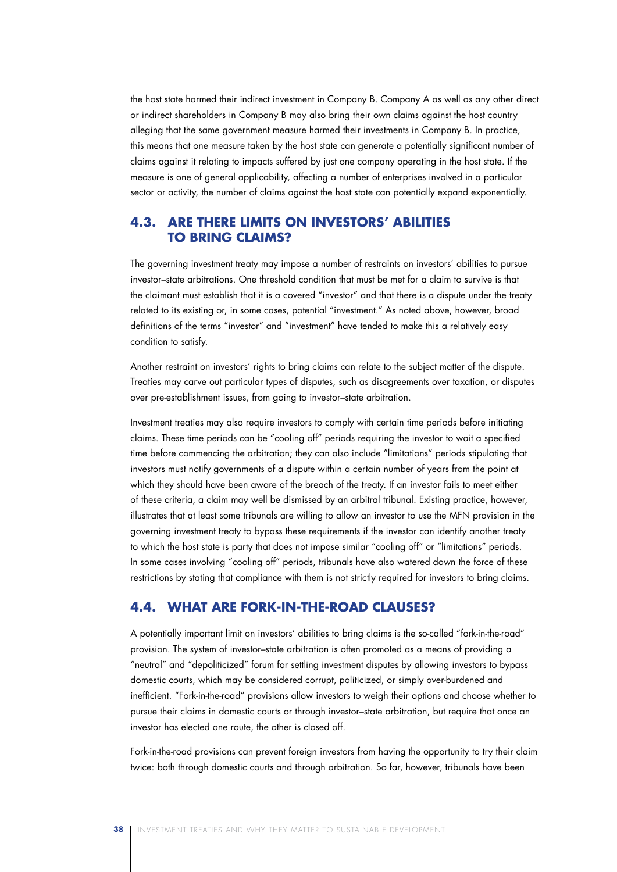the host state harmed their indirect investment in Company B. Company A as well as any other direct or indirect shareholders in Company B may also bring their own claims against the host country alleging that the same government measure harmed their investments in Company B. In practice, this means that one measure taken by the host state can generate a potentially significant number of claims against it relating to impacts suffered by just one company operating in the host state. If the measure is one of general applicability, affecting a number of enterprises involved in a particular sector or activity, the number of claims against the host state can potentially expand exponentially.

## **4.3. Are There Limits on Investors' Abilities to Bring Claims?**

The governing investment treaty may impose a number of restraints on investors' abilities to pursue investor–state arbitrations. One threshold condition that must be met for a claim to survive is that the claimant must establish that it is a covered "investor" and that there is a dispute under the treaty related to its existing or, in some cases, potential "investment." As noted above, however, broad definitions of the terms "investor" and "investment" have tended to make this a relatively easy condition to satisfy.

Another restraint on investors' rights to bring claims can relate to the subject matter of the dispute. Treaties may carve out particular types of disputes, such as disagreements over taxation, or disputes over pre-establishment issues, from going to investor–state arbitration.

Investment treaties may also require investors to comply with certain time periods before initiating claims. These time periods can be "cooling off" periods requiring the investor to wait a specified time before commencing the arbitration; they can also include "limitations" periods stipulating that investors must notify governments of a dispute within a certain number of years from the point at which they should have been aware of the breach of the treaty. If an investor fails to meet either of these criteria, a claim may well be dismissed by an arbitral tribunal. Existing practice, however, illustrates that at least some tribunals are willing to allow an investor to use the MFN provision in the governing investment treaty to bypass these requirements if the investor can identify another treaty to which the host state is party that does not impose similar "cooling off" or "limitations" periods. In some cases involving "cooling off" periods, tribunals have also watered down the force of these restrictions by stating that compliance with them is not strictly required for investors to bring claims.

### **4.4. What Are Fork-in-the-Road Clauses?**

A potentially important limit on investors' abilities to bring claims is the so-called "fork-in-the-road" provision. The system of investor–state arbitration is often promoted as a means of providing a "neutral" and "depoliticized" forum for settling investment disputes by allowing investors to bypass domestic courts, which may be considered corrupt, politicized, or simply over-burdened and inefficient. "Fork-in-the-road" provisions allow investors to weigh their options and choose whether to pursue their claims in domestic courts or through investor–state arbitration, but require that once an investor has elected one route, the other is closed off.

Fork-in-the-road provisions can prevent foreign investors from having the opportunity to try their claim twice: both through domestic courts and through arbitration. So far, however, tribunals have been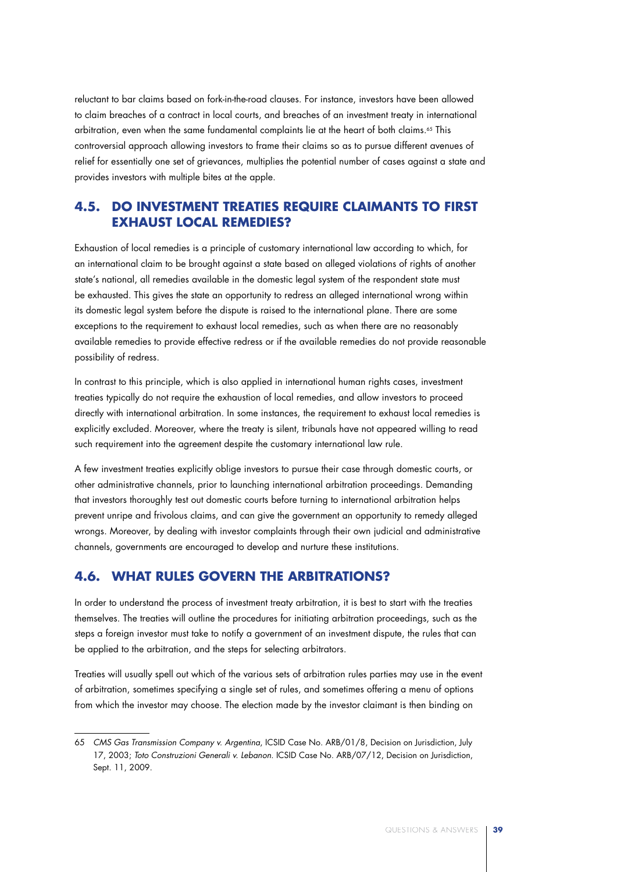reluctant to bar claims based on fork-in-the-road clauses. For instance, investors have been allowed to claim breaches of a contract in local courts, and breaches of an investment treaty in international arbitration, even when the same fundamental complaints lie at the heart of both claims.<sup>65</sup> This controversial approach allowing investors to frame their claims so as to pursue different avenues of relief for essentially one set of grievances, multiplies the potential number of cases against a state and provides investors with multiple bites at the apple.

### **4.5. Do Investment Treaties Require Claimants to First Exhaust Local Remedies?**

Exhaustion of local remedies is a principle of customary international law according to which, for an international claim to be brought against a state based on alleged violations of rights of another state's national, all remedies available in the domestic legal system of the respondent state must be exhausted. This gives the state an opportunity to redress an alleged international wrong within its domestic legal system before the dispute is raised to the international plane. There are some exceptions to the requirement to exhaust local remedies, such as when there are no reasonably available remedies to provide effective redress or if the available remedies do not provide reasonable possibility of redress.

In contrast to this principle, which is also applied in international human rights cases, investment treaties typically do not require the exhaustion of local remedies, and allow investors to proceed directly with international arbitration. In some instances, the requirement to exhaust local remedies is explicitly excluded. Moreover, where the treaty is silent, tribunals have not appeared willing to read such requirement into the agreement despite the customary international law rule.

A few investment treaties explicitly oblige investors to pursue their case through domestic courts, or other administrative channels, prior to launching international arbitration proceedings. Demanding that investors thoroughly test out domestic courts before turning to international arbitration helps prevent unripe and frivolous claims, and can give the government an opportunity to remedy alleged wrongs. Moreover, by dealing with investor complaints through their own judicial and administrative channels, governments are encouraged to develop and nurture these institutions.

## **4.6. What Rules Govern the Arbitrations?**

In order to understand the process of investment treaty arbitration, it is best to start with the treaties themselves. The treaties will outline the procedures for initiating arbitration proceedings, such as the steps a foreign investor must take to notify a government of an investment dispute, the rules that can be applied to the arbitration, and the steps for selecting arbitrators.

Treaties will usually spell out which of the various sets of arbitration rules parties may use in the event of arbitration, sometimes specifying a single set of rules, and sometimes offering a menu of options from which the investor may choose. The election made by the investor claimant is then binding on

<sup>65</sup> *CMS Gas Transmission Company v. Argentina*, ICSID Case No. ARB/01/8, Decision on Jurisdiction, July 17, 2003; *Toto Construzioni Generali v. Lebanon*. ICSID Case No. ARB/07/12, Decision on Jurisdiction, Sept. 11, 2009.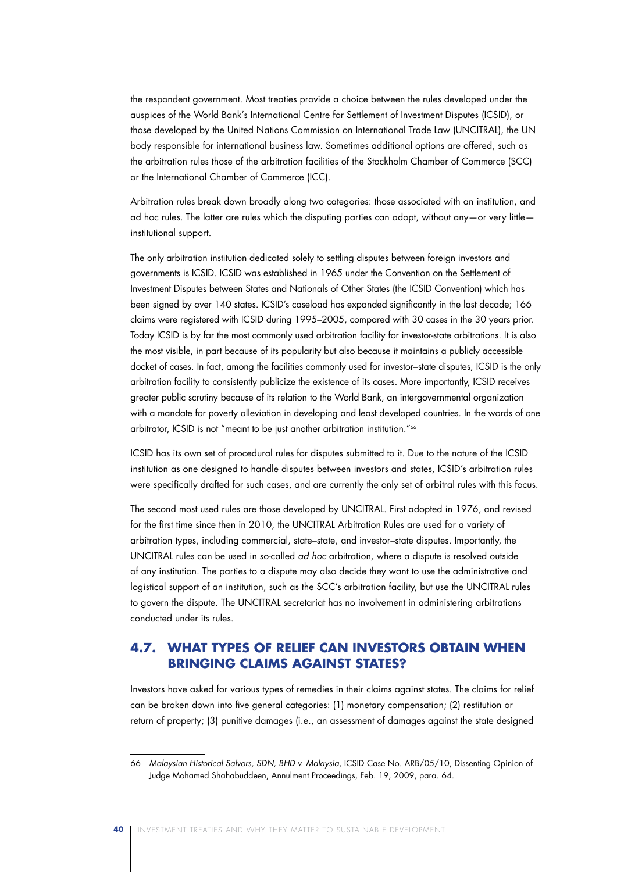the respondent government. Most treaties provide a choice between the rules developed under the auspices of the World Bank's International Centre for Settlement of Investment Disputes (ICSID), or those developed by the United Nations Commission on International Trade Law (UNCITRAL), the UN body responsible for international business law. Sometimes additional options are offered, such as the arbitration rules those of the arbitration facilities of the Stockholm Chamber of Commerce (SCC) or the International Chamber of Commerce (ICC).

Arbitration rules break down broadly along two categories: those associated with an institution, and ad hoc rules. The latter are rules which the disputing parties can adopt, without any—or very little institutional support.

The only arbitration institution dedicated solely to settling disputes between foreign investors and governments is ICSID. ICSID was established in 1965 under the Convention on the Settlement of Investment Disputes between States and Nationals of Other States (the ICSID Convention) which has been signed by over 140 states. ICSID's caseload has expanded significantly in the last decade; 166 claims were registered with ICSID during 1995–2005, compared with 30 cases in the 30 years prior. Today ICSID is by far the most commonly used arbitration facility for investor-state arbitrations. It is also the most visible, in part because of its popularity but also because it maintains a publicly accessible docket of cases. In fact, among the facilities commonly used for investor–state disputes, ICSID is the only arbitration facility to consistently publicize the existence of its cases. More importantly, ICSID receives greater public scrutiny because of its relation to the World Bank, an intergovernmental organization with a mandate for poverty alleviation in developing and least developed countries. In the words of one arbitrator, ICSID is not "meant to be just another arbitration institution."66

ICSID has its own set of procedural rules for disputes submitted to it. Due to the nature of the ICSID institution as one designed to handle disputes between investors and states, ICSID's arbitration rules were specifically drafted for such cases, and are currently the only set of arbitral rules with this focus.

The second most used rules are those developed by UNCITRAL. First adopted in 1976, and revised for the first time since then in 2010, the UNCITRAL Arbitration Rules are used for a variety of arbitration types, including commercial, state–state, and investor–state disputes. Importantly, the UNCITRAL rules can be used in so-called *ad hoc* arbitration, where a dispute is resolved outside of any institution. The parties to a dispute may also decide they want to use the administrative and logistical support of an institution, such as the SCC's arbitration facility, but use the UNCITRAL rules to govern the dispute. The UNCITRAL secretariat has no involvement in administering arbitrations conducted under its rules.

## **4.7. What Types of Relief Can Investors Obtain When Bringing Claims Against States?**

Investors have asked for various types of remedies in their claims against states. The claims for relief can be broken down into five general categories: (1) monetary compensation; (2) restitution or return of property; (3) punitive damages (i.e., an assessment of damages against the state designed

<sup>66</sup> *Malaysian Historical Salvors, SDN, BHD v. Malaysia*, ICSID Case No. ARB/05/10, Dissenting Opinion of Judge Mohamed Shahabuddeen, Annulment Proceedings, Feb. 19, 2009, para. 64.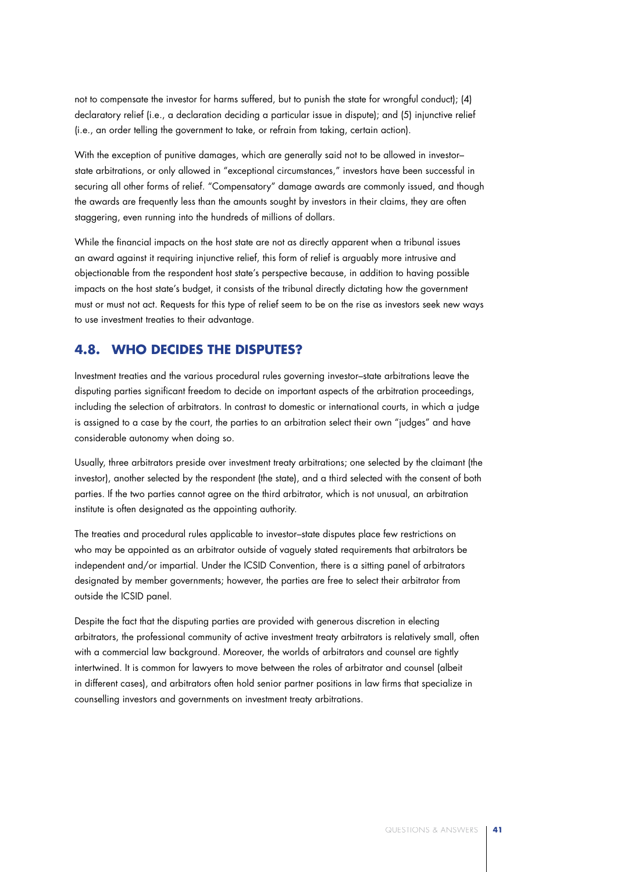not to compensate the investor for harms suffered, but to punish the state for wrongful conduct); (4) declaratory relief (i.e., a declaration deciding a particular issue in dispute); and (5) injunctive relief (i.e., an order telling the government to take, or refrain from taking, certain action).

With the exception of punitive damages, which are generally said not to be allowed in investor– state arbitrations, or only allowed in "exceptional circumstances," investors have been successful in securing all other forms of relief. "Compensatory" damage awards are commonly issued, and though the awards are frequently less than the amounts sought by investors in their claims, they are often staggering, even running into the hundreds of millions of dollars.

While the financial impacts on the host state are not as directly apparent when a tribunal issues an award against it requiring injunctive relief, this form of relief is arguably more intrusive and objectionable from the respondent host state's perspective because, in addition to having possible impacts on the host state's budget, it consists of the tribunal directly dictating how the government must or must not act. Requests for this type of relief seem to be on the rise as investors seek new ways to use investment treaties to their advantage.

### **4.8. Who Decides the Disputes?**

Investment treaties and the various procedural rules governing investor–state arbitrations leave the disputing parties significant freedom to decide on important aspects of the arbitration proceedings, including the selection of arbitrators. In contrast to domestic or international courts, in which a judge is assigned to a case by the court, the parties to an arbitration select their own "judges" and have considerable autonomy when doing so.

Usually, three arbitrators preside over investment treaty arbitrations; one selected by the claimant (the investor), another selected by the respondent (the state), and a third selected with the consent of both parties. If the two parties cannot agree on the third arbitrator, which is not unusual, an arbitration institute is often designated as the appointing authority.

The treaties and procedural rules applicable to investor–state disputes place few restrictions on who may be appointed as an arbitrator outside of vaguely stated requirements that arbitrators be independent and/or impartial. Under the ICSID Convention, there is a sitting panel of arbitrators designated by member governments; however, the parties are free to select their arbitrator from outside the ICSID panel.

Despite the fact that the disputing parties are provided with generous discretion in electing arbitrators, the professional community of active investment treaty arbitrators is relatively small, often with a commercial law background. Moreover, the worlds of arbitrators and counsel are tightly intertwined. It is common for lawyers to move between the roles of arbitrator and counsel (albeit in different cases), and arbitrators often hold senior partner positions in law firms that specialize in counselling investors and governments on investment treaty arbitrations.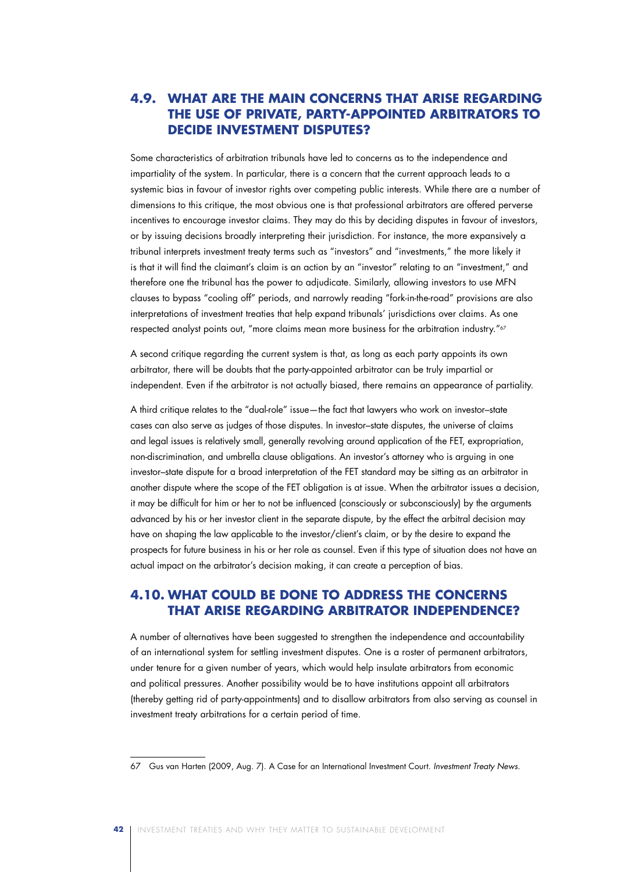## **4.9. What Are the Main Concerns That Arise Regarding the Use of Private, Party-Appointed Arbitrators to Decide Investment Disputes?**

Some characteristics of arbitration tribunals have led to concerns as to the independence and impartiality of the system. In particular, there is a concern that the current approach leads to a systemic bias in favour of investor rights over competing public interests. While there are a number of dimensions to this critique, the most obvious one is that professional arbitrators are offered perverse incentives to encourage investor claims. They may do this by deciding disputes in favour of investors, or by issuing decisions broadly interpreting their jurisdiction. For instance, the more expansively a tribunal interprets investment treaty terms such as "investors" and "investments," the more likely it is that it will find the claimant's claim is an action by an "investor" relating to an "investment," and therefore one the tribunal has the power to adjudicate. Similarly, allowing investors to use MFN clauses to bypass "cooling off" periods, and narrowly reading "fork-in-the-road" provisions are also interpretations of investment treaties that help expand tribunals' jurisdictions over claims. As one respected analyst points out, "more claims mean more business for the arbitration industry."67

A second critique regarding the current system is that, as long as each party appoints its own arbitrator, there will be doubts that the party-appointed arbitrator can be truly impartial or independent. Even if the arbitrator is not actually biased, there remains an appearance of partiality.

A third critique relates to the "dual-role" issue—the fact that lawyers who work on investor–state cases can also serve as judges of those disputes. In investor–state disputes, the universe of claims and legal issues is relatively small, generally revolving around application of the FET, expropriation, non-discrimination, and umbrella clause obligations. An investor's attorney who is arguing in one investor–state dispute for a broad interpretation of the FET standard may be sitting as an arbitrator in another dispute where the scope of the FET obligation is at issue. When the arbitrator issues a decision, it may be difficult for him or her to not be influenced (consciously or subconsciously) by the arguments advanced by his or her investor client in the separate dispute, by the effect the arbitral decision may have on shaping the law applicable to the investor/client's claim, or by the desire to expand the prospects for future business in his or her role as counsel. Even if this type of situation does not have an actual impact on the arbitrator's decision making, it can create a perception of bias.

## **4.10. What Could be Done to Address the Concerns That Arise Regarding Arbitrator Independence?**

A number of alternatives have been suggested to strengthen the independence and accountability of an international system for settling investment disputes. One is a roster of permanent arbitrators, under tenure for a given number of years, which would help insulate arbitrators from economic and political pressures. Another possibility would be to have institutions appoint all arbitrators (thereby getting rid of party-appointments) and to disallow arbitrators from also serving as counsel in investment treaty arbitrations for a certain period of time.

<sup>67</sup> Gus van Harten (2009, Aug. 7). A Case for an International Investment Court. *Investment Treaty News*.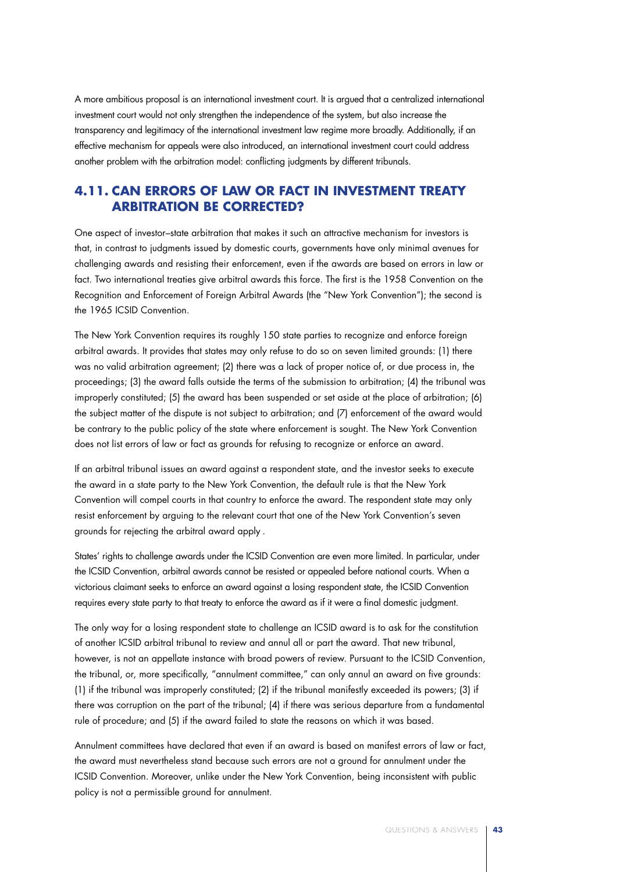A more ambitious proposal is an international investment court. It is argued that a centralized international investment court would not only strengthen the independence of the system, but also increase the transparency and legitimacy of the international investment law regime more broadly. Additionally, if an effective mechanism for appeals were also introduced, an international investment court could address another problem with the arbitration model: conflicting judgments by different tribunals.

### **4.11. Can Errors of Law or Fact in Investment Treaty Arbitration Be Corrected?**

One aspect of investor–state arbitration that makes it such an attractive mechanism for investors is that, in contrast to judgments issued by domestic courts, governments have only minimal avenues for challenging awards and resisting their enforcement, even if the awards are based on errors in law or fact. Two international treaties give arbitral awards this force. The first is the 1958 Convention on the Recognition and Enforcement of Foreign Arbitral Awards (the "New York Convention"); the second is the 1965 ICSID Convention.

The New York Convention requires its roughly 150 state parties to recognize and enforce foreign arbitral awards. It provides that states may only refuse to do so on seven limited grounds: (1) there was no valid arbitration agreement; (2) there was a lack of proper notice of, or due process in, the proceedings; (3) the award falls outside the terms of the submission to arbitration; (4) the tribunal was improperly constituted; (5) the award has been suspended or set aside at the place of arbitration; (6) the subject matter of the dispute is not subject to arbitration; and (7) enforcement of the award would be contrary to the public policy of the state where enforcement is sought. The New York Convention does not list errors of law or fact as grounds for refusing to recognize or enforce an award.

If an arbitral tribunal issues an award against a respondent state, and the investor seeks to execute the award in a state party to the New York Convention, the default rule is that the New York Convention will compel courts in that country to enforce the award. The respondent state may only resist enforcement by arguing to the relevant court that one of the New York Convention's seven grounds for rejecting the arbitral award apply .

States' rights to challenge awards under the ICSID Convention are even more limited. In particular, under the ICSID Convention, arbitral awards cannot be resisted or appealed before national courts. When a victorious claimant seeks to enforce an award against a losing respondent state, the ICSID Convention requires every state party to that treaty to enforce the award as if it were a final domestic judgment.

The only way for a losing respondent state to challenge an ICSID award is to ask for the constitution of another ICSID arbitral tribunal to review and annul all or part the award. That new tribunal, however, is not an appellate instance with broad powers of review. Pursuant to the ICSID Convention, the tribunal, or, more specifically, "annulment committee," can only annul an award on five grounds: (1) if the tribunal was improperly constituted; (2) if the tribunal manifestly exceeded its powers; (3) if there was corruption on the part of the tribunal; (4) if there was serious departure from a fundamental rule of procedure; and (5) if the award failed to state the reasons on which it was based.

Annulment committees have declared that even if an award is based on manifest errors of law or fact, the award must nevertheless stand because such errors are not a ground for annulment under the ICSID Convention. Moreover, unlike under the New York Convention, being inconsistent with public policy is not a permissible ground for annulment.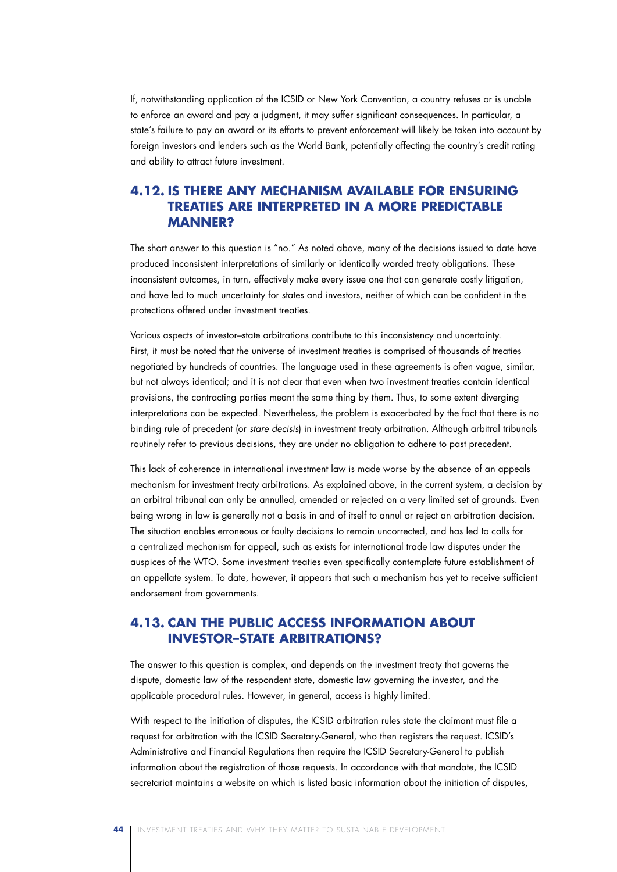If, notwithstanding application of the ICSID or New York Convention, a country refuses or is unable to enforce an award and pay a judgment, it may suffer significant consequences. In particular, a state's failure to pay an award or its efforts to prevent enforcement will likely be taken into account by foreign investors and lenders such as the World Bank, potentially affecting the country's credit rating and ability to attract future investment.

## **4.12. Is There Any Mechanism Available for Ensuring Treaties Are Interpreted in a More Predictable Manner?**

The short answer to this question is "no." As noted above, many of the decisions issued to date have produced inconsistent interpretations of similarly or identically worded treaty obligations. These inconsistent outcomes, in turn, effectively make every issue one that can generate costly litigation, and have led to much uncertainty for states and investors, neither of which can be confident in the protections offered under investment treaties.

Various aspects of investor–state arbitrations contribute to this inconsistency and uncertainty. First, it must be noted that the universe of investment treaties is comprised of thousands of treaties negotiated by hundreds of countries. The language used in these agreements is often vague, similar, but not always identical; and it is not clear that even when two investment treaties contain identical provisions, the contracting parties meant the same thing by them. Thus, to some extent diverging interpretations can be expected. Nevertheless, the problem is exacerbated by the fact that there is no binding rule of precedent (or *stare decisis*) in investment treaty arbitration. Although arbitral tribunals routinely refer to previous decisions, they are under no obligation to adhere to past precedent.

This lack of coherence in international investment law is made worse by the absence of an appeals mechanism for investment treaty arbitrations. As explained above, in the current system, a decision by an arbitral tribunal can only be annulled, amended or rejected on a very limited set of grounds. Even being wrong in law is generally not a basis in and of itself to annul or reject an arbitration decision. The situation enables erroneous or faulty decisions to remain uncorrected, and has led to calls for a centralized mechanism for appeal, such as exists for international trade law disputes under the auspices of the WTO. Some investment treaties even specifically contemplate future establishment of an appellate system. To date, however, it appears that such a mechanism has yet to receive sufficient endorsement from governments.

## **4.13. Can the Public Access Information About Investor–State Arbitrations?**

The answer to this question is complex, and depends on the investment treaty that governs the dispute, domestic law of the respondent state, domestic law governing the investor, and the applicable procedural rules. However, in general, access is highly limited.

With respect to the initiation of disputes, the ICSID arbitration rules state the claimant must file a request for arbitration with the ICSID Secretary-General, who then registers the request. ICSID's Administrative and Financial Regulations then require the ICSID Secretary-General to publish information about the registration of those requests. In accordance with that mandate, the ICSID secretariat maintains a website on which is listed basic information about the initiation of disputes,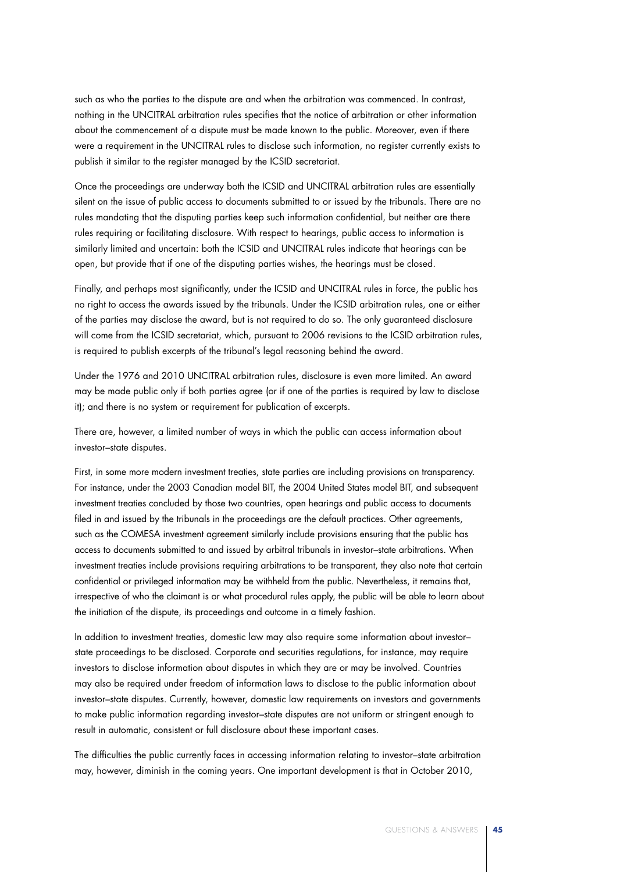such as who the parties to the dispute are and when the arbitration was commenced. In contrast, nothing in the UNCITRAL arbitration rules specifies that the notice of arbitration or other information about the commencement of a dispute must be made known to the public. Moreover, even if there were a requirement in the UNCITRAL rules to disclose such information, no register currently exists to publish it similar to the register managed by the ICSID secretariat.

Once the proceedings are underway both the ICSID and UNCITRAL arbitration rules are essentially silent on the issue of public access to documents submitted to or issued by the tribunals. There are no rules mandating that the disputing parties keep such information confidential, but neither are there rules requiring or facilitating disclosure. With respect to hearings, public access to information is similarly limited and uncertain: both the ICSID and UNCITRAL rules indicate that hearings can be open, but provide that if one of the disputing parties wishes, the hearings must be closed.

Finally, and perhaps most significantly, under the ICSID and UNCITRAL rules in force, the public has no right to access the awards issued by the tribunals. Under the ICSID arbitration rules, one or either of the parties may disclose the award, but is not required to do so. The only guaranteed disclosure will come from the ICSID secretariat, which, pursuant to 2006 revisions to the ICSID arbitration rules, is required to publish excerpts of the tribunal's legal reasoning behind the award.

Under the 1976 and 2010 UNCITRAL arbitration rules, disclosure is even more limited. An award may be made public only if both parties agree (or if one of the parties is required by law to disclose it); and there is no system or requirement for publication of excerpts.

There are, however, a limited number of ways in which the public can access information about investor–state disputes.

First, in some more modern investment treaties, state parties are including provisions on transparency. For instance, under the 2003 Canadian model BIT, the 2004 United States model BIT, and subsequent investment treaties concluded by those two countries, open hearings and public access to documents filed in and issued by the tribunals in the proceedings are the default practices. Other agreements, such as the COMESA investment agreement similarly include provisions ensuring that the public has access to documents submitted to and issued by arbitral tribunals in investor–state arbitrations. When investment treaties include provisions requiring arbitrations to be transparent, they also note that certain confidential or privileged information may be withheld from the public. Nevertheless, it remains that, irrespective of who the claimant is or what procedural rules apply, the public will be able to learn about the initiation of the dispute, its proceedings and outcome in a timely fashion.

In addition to investment treaties, domestic law may also require some information about investor– state proceedings to be disclosed. Corporate and securities regulations, for instance, may require investors to disclose information about disputes in which they are or may be involved. Countries may also be required under freedom of information laws to disclose to the public information about investor–state disputes. Currently, however, domestic law requirements on investors and governments to make public information regarding investor–state disputes are not uniform or stringent enough to result in automatic, consistent or full disclosure about these important cases.

The difficulties the public currently faces in accessing information relating to investor–state arbitration may, however, diminish in the coming years. One important development is that in October 2010,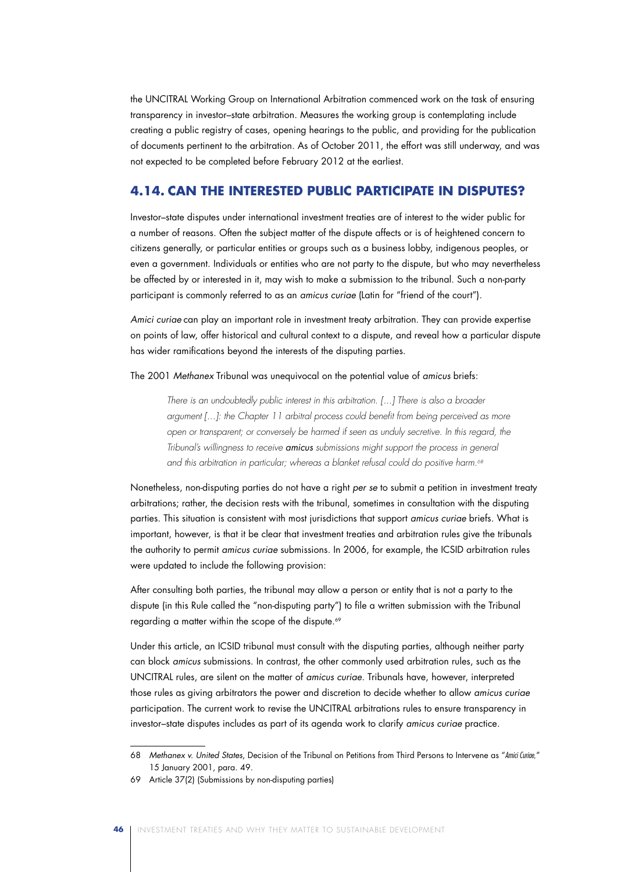the UNCITRAL Working Group on International Arbitration commenced work on the task of ensuring transparency in investor–state arbitration. Measures the working group is contemplating include creating a public registry of cases, opening hearings to the public, and providing for the publication of documents pertinent to the arbitration. As of October 2011, the effort was still underway, and was not expected to be completed before February 2012 at the earliest.

### **4.14. Can the Interested Public Participate in Disputes?**

Investor–state disputes under international investment treaties are of interest to the wider public for a number of reasons. Often the subject matter of the dispute affects or is of heightened concern to citizens generally, or particular entities or groups such as a business lobby, indigenous peoples, or even a government. Individuals or entities who are not party to the dispute, but who may nevertheless be affected by or interested in it, may wish to make a submission to the tribunal. Such a non-party participant is commonly referred to as an *amicus curiae* (Latin for "friend of the court").

*Amici curiae* can play an important role in investment treaty arbitration. They can provide expertise on points of law, offer historical and cultural context to a dispute, and reveal how a particular dispute has wider ramifications beyond the interests of the disputing parties.

The 2001 *Methanex* Tribunal was unequivocal on the potential value of *amicus* briefs:

*There is an undoubtedly public interest in this arbitration. [...] There is also a broader argument [...]: the Chapter 11 arbitral process could benefit from being perceived as more open or transparent; or conversely be harmed if seen as unduly secretive. In this regard, the Tribunal's willingness to receive amicus submissions might support the process in general*  and this arbitration in particular; whereas a blanket refusal could do positive harm.<sup>68</sup>

Nonetheless, non-disputing parties do not have a right *per se* to submit a petition in investment treaty arbitrations; rather, the decision rests with the tribunal, sometimes in consultation with the disputing parties. This situation is consistent with most jurisdictions that support *amicus curiae* briefs. What is important, however, is that it be clear that investment treaties and arbitration rules give the tribunals the authority to permit *amicus curiae* submissions. In 2006, for example, the ICSID arbitration rules were updated to include the following provision:

After consulting both parties, the tribunal may allow a person or entity that is not a party to the dispute (in this Rule called the "non-disputing party") to file a written submission with the Tribunal regarding a matter within the scope of the dispute.<sup>69</sup>

Under this article, an ICSID tribunal must consult with the disputing parties, although neither party can block *amicus* submissions. In contrast, the other commonly used arbitration rules, such as the UNCITRAL rules, are silent on the matter of *amicus curiae*. Tribunals have, however, interpreted those rules as giving arbitrators the power and discretion to decide whether to allow *amicus curiae* participation. The current work to revise the UNCITRAL arbitrations rules to ensure transparency in investor–state disputes includes as part of its agenda work to clarify *amicus curiae* practice.

<sup>68</sup> *Methanex v. United States*, Decision of the Tribunal on Petitions from Third Persons to Intervene as "*Amici Curiae,*" 15 January 2001, para. 49.

<sup>69</sup> Article 37(2) (Submissions by non-disputing parties)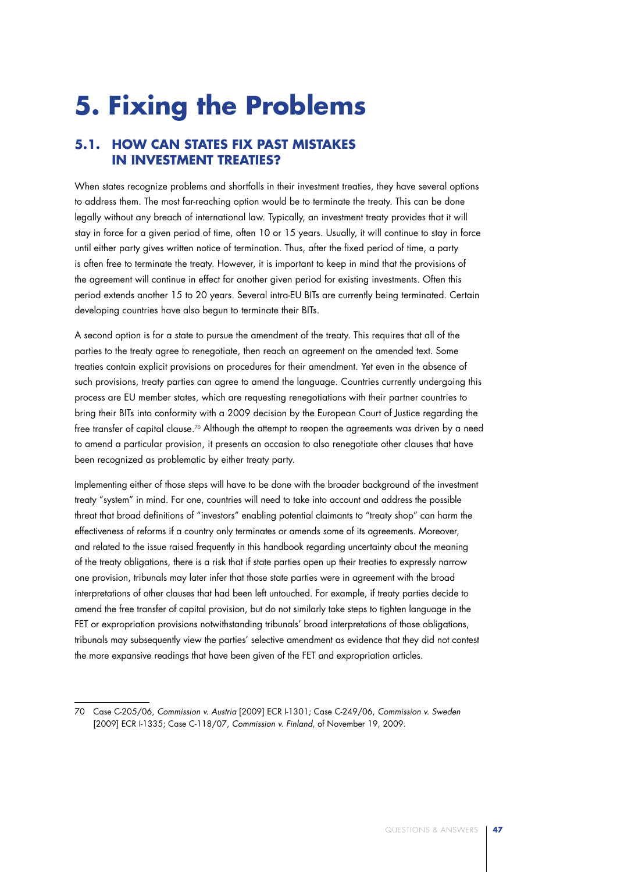# **5. Fixing the Problems**

## **5.1. How Can States Fix Past Mistakes in Investment Treaties?**

When states recognize problems and shortfalls in their investment treaties, they have several options to address them. The most far-reaching option would be to terminate the treaty. This can be done legally without any breach of international law. Typically, an investment treaty provides that it will stay in force for a given period of time, often 10 or 15 years. Usually, it will continue to stay in force until either party gives written notice of termination. Thus, after the fixed period of time, a party is often free to terminate the treaty. However, it is important to keep in mind that the provisions of the agreement will continue in effect for another given period for existing investments. Often this period extends another 15 to 20 years. Several intra-EU BITs are currently being terminated. Certain developing countries have also begun to terminate their BITs.

A second option is for a state to pursue the amendment of the treaty. This requires that all of the parties to the treaty agree to renegotiate, then reach an agreement on the amended text. Some treaties contain explicit provisions on procedures for their amendment. Yet even in the absence of such provisions, treaty parties can agree to amend the language. Countries currently undergoing this process are EU member states, which are requesting renegotiations with their partner countries to bring their BITs into conformity with a 2009 decision by the European Court of Justice regarding the free transfer of capital clause.<sup>70</sup> Although the attempt to reopen the agreements was driven by a need to amend a particular provision, it presents an occasion to also renegotiate other clauses that have been recognized as problematic by either treaty party.

Implementing either of those steps will have to be done with the broader background of the investment treaty "system" in mind. For one, countries will need to take into account and address the possible threat that broad definitions of "investors" enabling potential claimants to "treaty shop" can harm the effectiveness of reforms if a country only terminates or amends some of its agreements. Moreover, and related to the issue raised frequently in this handbook regarding uncertainty about the meaning of the treaty obligations, there is a risk that if state parties open up their treaties to expressly narrow one provision, tribunals may later infer that those state parties were in agreement with the broad interpretations of other clauses that had been left untouched. For example, if treaty parties decide to amend the free transfer of capital provision, but do not similarly take steps to tighten language in the FET or expropriation provisions notwithstanding tribunals' broad interpretations of those obligations, tribunals may subsequently view the parties' selective amendment as evidence that they did not contest the more expansive readings that have been given of the FET and expropriation articles.

<sup>70</sup> Case C-205/06, *Commission v. Austria* [2009] ECR I-1301; Case C-249/06, *Commission v. Sweden* [2009] ECR I-1335; Case C-118/07, *Commission v. Finland*, of November 19, 2009.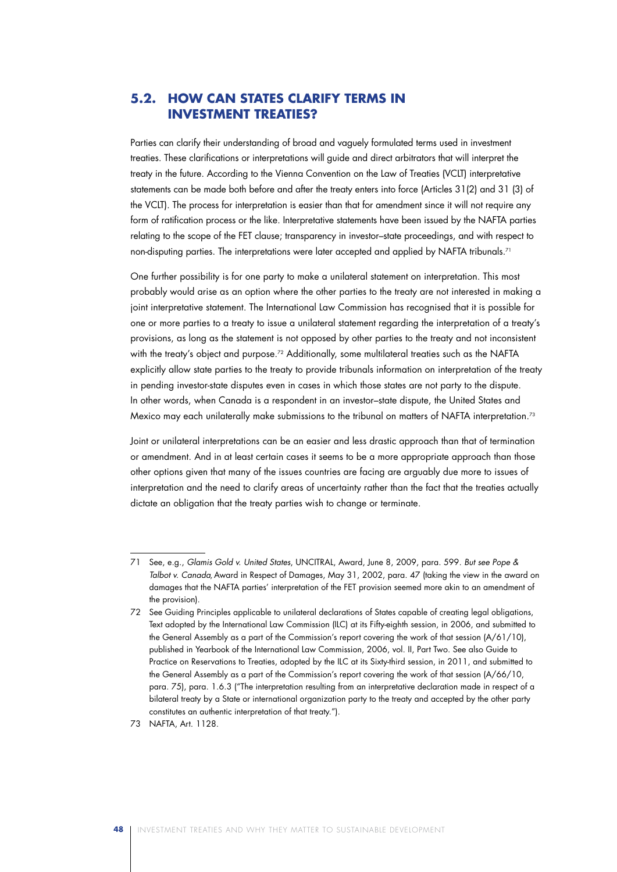## **5.2. How Can States Clarify Terms in Investment Treaties?**

Parties can clarify their understanding of broad and vaguely formulated terms used in investment treaties. These clarifications or interpretations will guide and direct arbitrators that will interpret the treaty in the future. According to the Vienna Convention on the Law of Treaties (VCLT) interpretative statements can be made both before and after the treaty enters into force (Articles 31(2) and 31 (3) of the VCLT). The process for interpretation is easier than that for amendment since it will not require any form of ratification process or the like. Interpretative statements have been issued by the NAFTA parties relating to the scope of the FET clause; transparency in investor–state proceedings, and with respect to non-disputing parties. The interpretations were later accepted and applied by NAFTA tribunals.<sup>71</sup>

One further possibility is for one party to make a unilateral statement on interpretation. This most probably would arise as an option where the other parties to the treaty are not interested in making a joint interpretative statement. The International Law Commission has recognised that it is possible for one or more parties to a treaty to issue a unilateral statement regarding the interpretation of a treaty's provisions, as long as the statement is not opposed by other parties to the treaty and not inconsistent with the treaty's object and purpose.<sup>72</sup> Additionally, some multilateral treaties such as the NAFTA explicitly allow state parties to the treaty to provide tribunals information on interpretation of the treaty in pending investor-state disputes even in cases in which those states are not party to the dispute. In other words, when Canada is a respondent in an investor–state dispute, the United States and Mexico may each unilaterally make submissions to the tribunal on matters of NAFTA interpretation.73

Joint or unilateral interpretations can be an easier and less drastic approach than that of termination or amendment. And in at least certain cases it seems to be a more appropriate approach than those other options given that many of the issues countries are facing are arguably due more to issues of interpretation and the need to clarify areas of uncertainty rather than the fact that the treaties actually dictate an obligation that the treaty parties wish to change or terminate.

<sup>71</sup> See, e.g., *Glamis Gold v. United States*, UNCITRAL, Award, June 8, 2009, para. 599. *But see Pope & Talbot v. Canada,* Award in Respect of Damages, May 31, 2002, para. 47 (taking the view in the award on damages that the NAFTA parties' interpretation of the FET provision seemed more akin to an amendment of the provision).

<sup>72</sup> See Guiding Principles applicable to unilateral declarations of States capable of creating legal obligations, Text adopted by the International Law Commission (ILC) at its Fifty-eighth session, in 2006, and submitted to the General Assembly as a part of the Commission's report covering the work of that session (A/61/10), published in Yearbook of the International Law Commission, 2006, vol. II, Part Two. See also Guide to Practice on Reservations to Treaties, adopted by the ILC at its Sixty-third session, in 2011, and submitted to the General Assembly as a part of the Commission's report covering the work of that session (A/66/10, para. 75), para. 1.6.3 ("The interpretation resulting from an interpretative declaration made in respect of a bilateral treaty by a State or international organization party to the treaty and accepted by the other party constitutes an authentic interpretation of that treaty.").

<sup>73</sup> NAFTA, Art. 1128.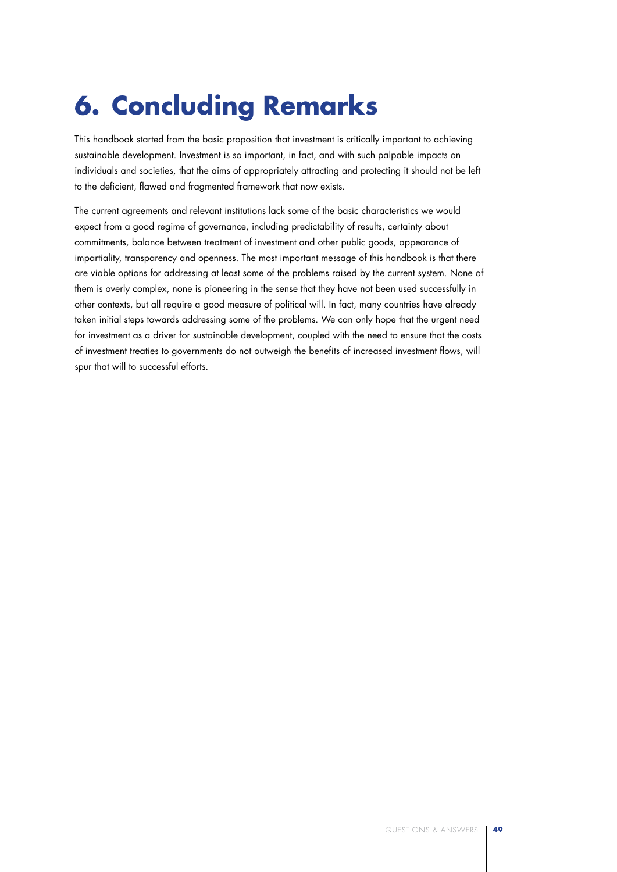# **6. Concluding Remarks**

This handbook started from the basic proposition that investment is critically important to achieving sustainable development. Investment is so important, in fact, and with such palpable impacts on individuals and societies, that the aims of appropriately attracting and protecting it should not be left to the deficient, flawed and fragmented framework that now exists.

The current agreements and relevant institutions lack some of the basic characteristics we would expect from a good regime of governance, including predictability of results, certainty about commitments, balance between treatment of investment and other public goods, appearance of impartiality, transparency and openness. The most important message of this handbook is that there are viable options for addressing at least some of the problems raised by the current system. None of them is overly complex, none is pioneering in the sense that they have not been used successfully in other contexts, but all require a good measure of political will. In fact, many countries have already taken initial steps towards addressing some of the problems. We can only hope that the urgent need for investment as a driver for sustainable development, coupled with the need to ensure that the costs of investment treaties to governments do not outweigh the benefits of increased investment flows, will spur that will to successful efforts.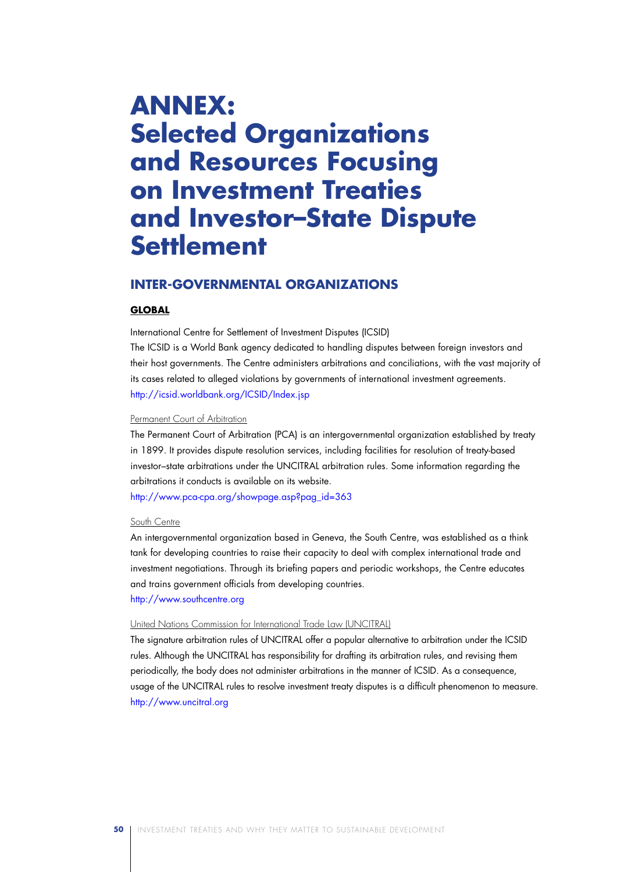## **ANNEX: Selected Organizations and Resources Focusing on Investment Treaties and Investor–State Dispute Settlement**

### **Inter-Governmental Organizations**

### **GLOBAL**

International Centre for Settlement of Investment Disputes (ICSID)

The ICSID is a World Bank agency dedicated to handling disputes between foreign investors and their host governments. The Centre administers arbitrations and conciliations, with the vast majority of its cases related to alleged violations by governments of international investment agreements. http://icsid.worldbank.org/ICSID/Index.jsp

### Permanent Court of Arbitration

The Permanent Court of Arbitration (PCA) is an intergovernmental organization established by treaty in 1899. It provides dispute resolution services, including facilities for resolution of treaty-based investor–state arbitrations under the UNCITRAL arbitration rules. Some information regarding the arbitrations it conducts is available on its website.

http://www.pca-cpa.org/showpage.asp?pag\_id=363

#### South Centre

An intergovernmental organization based in Geneva, the South Centre, was established as a think tank for developing countries to raise their capacity to deal with complex international trade and investment negotiations. Through its briefing papers and periodic workshops, the Centre educates and trains government officials from developing countries.

### http://www.southcentre.org

### United Nations Commission for International Trade Law (UNCITRAL)

The signature arbitration rules of UNCITRAL offer a popular alternative to arbitration under the ICSID rules. Although the UNCITRAL has responsibility for drafting its arbitration rules, and revising them periodically, the body does not administer arbitrations in the manner of ICSID. As a consequence, usage of the UNCITRAL rules to resolve investment treaty disputes is a difficult phenomenon to measure. http://www.uncitral.org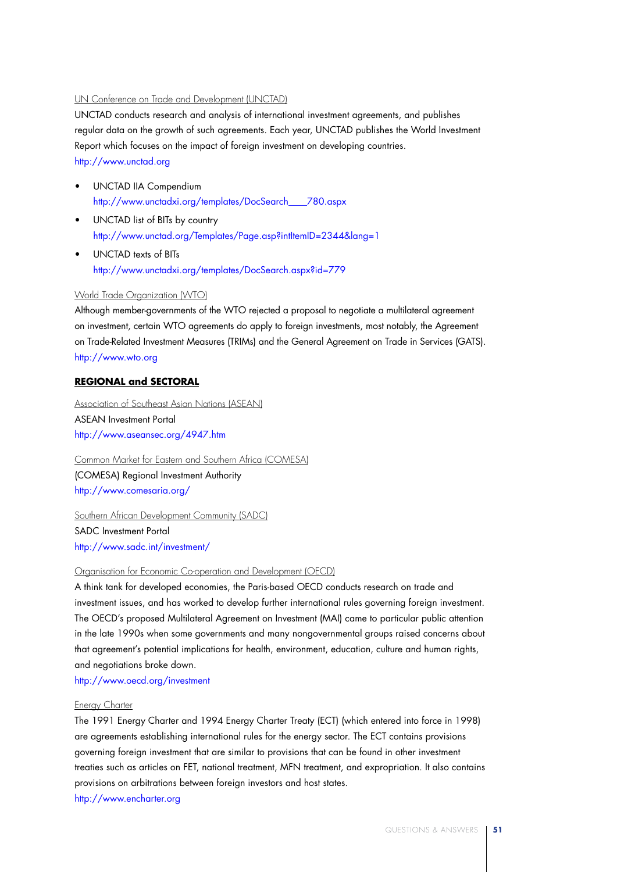### UN Conference on Trade and Development (UNCTAD)

UNCTAD conducts research and analysis of international investment agreements, and publishes regular data on the growth of such agreements. Each year, UNCTAD publishes the World Investment Report which focuses on the impact of foreign investment on developing countries. http://www.unctad.org

- • UNCTAD IIA Compendium http://www.unctadxi.org/templates/DocSearch\_\_\_\_780.aspx
- • UNCTAD list of BITs by country http://www.unctad.org/Templates/Page.asp?intItemID=2344&lang=1
- • UNCTAD texts of BITs http://www.unctadxi.org/templates/DocSearch.aspx?id=779

### World Trade Organization (WTO)

Although member-governments of the WTO rejected a proposal to negotiate a multilateral agreement on investment, certain WTO agreements do apply to foreign investments, most notably, the Agreement on Trade-Related Investment Measures (TRIMs) and the General Agreement on Trade in Services (GATS). http://www.wto.org

### **REGIONAL and SECTORAL**

Association of Southeast Asian Nations (ASEAN) ASEAN Investment Portal http://www.aseansec.org/4947.htm

Common Market for Eastern and Southern Africa (COMESA) (COMESA) Regional Investment Authority http://www.comesaria.org/

Southern African Development Community (SADC) SADC Investment Portal http://www.sadc.int/investment/

### Organisation for Economic Co-operation and Development (OECD)

A think tank for developed economies, the Paris-based OECD conducts research on trade and investment issues, and has worked to develop further international rules governing foreign investment. The OECD's proposed Multilateral Agreement on Investment (MAI) came to particular public attention in the late 1990s when some governments and many nongovernmental groups raised concerns about that agreement's potential implications for health, environment, education, culture and human rights, and negotiations broke down.

http://www.oecd.org/investment

#### Energy Charter

The 1991 Energy Charter and 1994 Energy Charter Treaty (ECT) (which entered into force in 1998) are agreements establishing international rules for the energy sector. The ECT contains provisions governing foreign investment that are similar to provisions that can be found in other investment treaties such as articles on FET, national treatment, MFN treatment, and expropriation. It also contains provisions on arbitrations between foreign investors and host states. http://www.encharter.org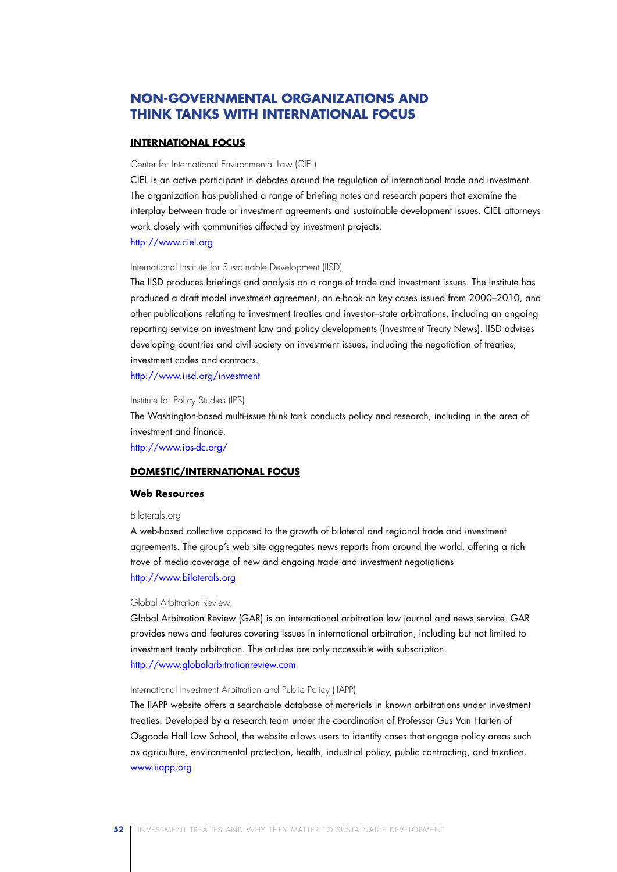## **Non-Governmental Organizations and Think Tanks with International Focus**

### **INTERNATIONAL FOCUS**

### Center for International Environmental Law (CIEL)

CIEL is an active participant in debates around the regulation of international trade and investment. The organization has published a range of briefing notes and research papers that examine the interplay between trade or investment agreements and sustainable development issues. CIEL attorneys work closely with communities affected by investment projects.

http://www.ciel.org

### International Institute for Sustainable Development (IISD)

The IISD produces briefings and analysis on a range of trade and investment issues. The Institute has produced a draft model investment agreement, an e-book on key cases issued from 2000–2010, and other publications relating to investment treaties and investor–state arbitrations, including an ongoing reporting service on investment law and policy developments (Investment Treaty News). IISD advises developing countries and civil society on investment issues, including the negotiation of treaties, investment codes and contracts.

http://www.iisd.org/investment

#### Institute for Policy Studies (IPS)

The Washington-based multi-issue think tank conducts policy and research, including in the area of investment and finance.

http://www.ips-dc.org/

### **DOMESTIC/INTERNATIONAL FOCUS**

#### **Web Resources**

### Bilaterals.org

A web-based collective opposed to the growth of bilateral and regional trade and investment agreements. The group's web site aggregates news reports from around the world, offering a rich trove of media coverage of new and ongoing trade and investment negotiations http://www.bilaterals.org

#### Global Arbitration Review

Global Arbitration Review (GAR) is an international arbitration law journal and news service. GAR provides news and features covering issues in international arbitration, including but not limited to investment treaty arbitration. The articles are only accessible with subscription. http://www.globalarbitrationreview.com

#### International Investment Arbitration and Public Policy (IIAPP)

The IIAPP website offers a searchable database of materials in known arbitrations under investment treaties. Developed by a research team under the coordination of Professor Gus Van Harten of Osgoode Hall Law School, the website allows users to identify cases that engage policy areas such as agriculture, environmental protection, health, industrial policy, public contracting, and taxation. www.iiapp.org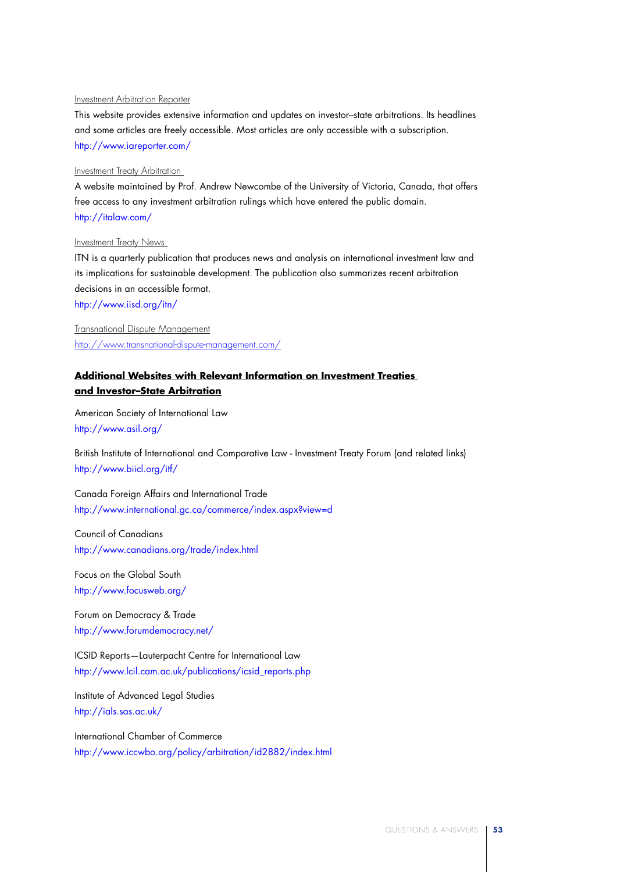### Investment Arbitration Reporter

This website provides extensive information and updates on investor–state arbitrations. Its headlines and some articles are freely accessible. Most articles are only accessible with a subscription. http://www.iareporter.com/

### Investment Treaty Arbitration

A website maintained by Prof. Andrew Newcombe of the University of Victoria, Canada, that offers free access to any investment arbitration rulings which have entered the public domain. http://italaw.com/

#### Investment Treaty News

ITN is a quarterly publication that produces news and analysis on international investment law and its implications for sustainable development. The publication also summarizes recent arbitration decisions in an accessible format. http://www.iisd.org/itn/

Transnational Dispute Management http://www.transnational-dispute-management.com/

### **Additional Websites with Relevant Information on Investment Treaties and Investor–State Arbitration**

American Society of International Law http://www.asil.org/

British Institute of International and Comparative Law - Investment Treaty Forum (and related links) http://www.biicl.org/itf/

Canada Foreign Affairs and International Trade http://www.international.gc.ca/commerce/index.aspx?view=d

Council of Canadians http://www.canadians.org/trade/index.html

Focus on the Global South http://www.focusweb.org/

Forum on Democracy & Trade http://www.forumdemocracy.net/

ICSID Reports—Lauterpacht Centre for International Law http://www.lcil.cam.ac.uk/publications/icsid\_reports.php

Institute of Advanced Legal Studies http://ials.sas.ac.uk/

International Chamber of Commerce http://www.iccwbo.org/policy/arbitration/id2882/index.html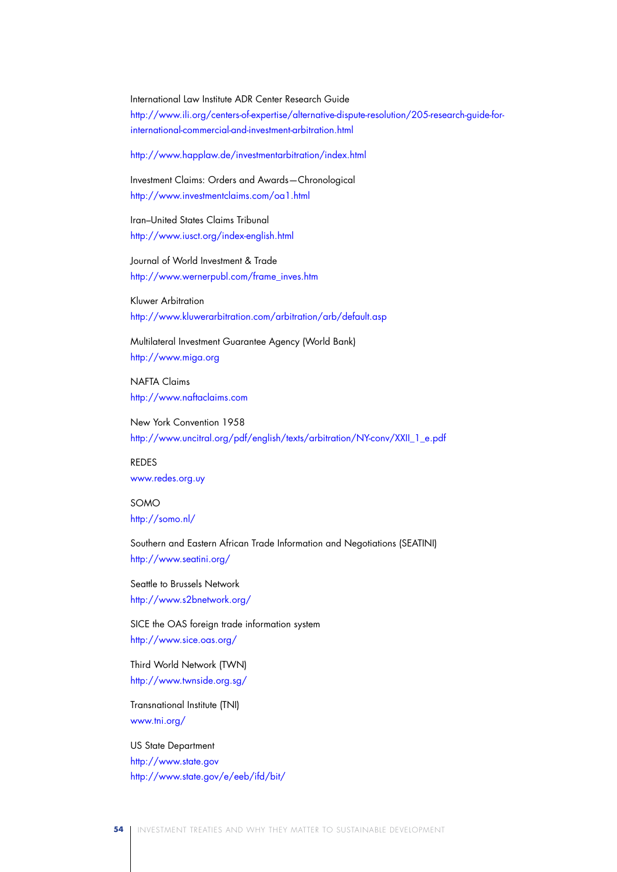International Law Institute ADR Center Research Guide http://www.ili.org/centers-of-expertise/alternative-dispute-resolution/205-research-guide-forinternational-commercial-and-investment-arbitration.html

http://www.happlaw.de/investmentarbitration/index.html

Investment Claims: Orders and Awards—Chronological http://www.investmentclaims.com/oa1.html

Iran–United States Claims Tribunal http://www.iusct.org/index-english.html

Journal of World Investment & Trade http://www.wernerpubl.com/frame\_inves.htm

Kluwer Arbitration http://www.kluwerarbitration.com/arbitration/arb/default.asp

Multilateral Investment Guarantee Agency (World Bank) http://www.miga.org

NAFTA Claims http://www.naftaclaims.com

New York Convention 1958 http://www.uncitral.org/pdf/english/texts/arbitration/NY-conv/XXII\_1\_e.pdf

REDES www.redes.org.uy

SOMO http://somo.nl/

Southern and Eastern African Trade Information and Negotiations (SEATINI) http://www.seatini.org/

Seattle to Brussels Network http://www.s2bnetwork.org/

SICE the OAS foreign trade information system http://www.sice.oas.org/

Third World Network (TWN) http://www.twnside.org.sg/

Transnational Institute (TNI) www.tni.org/

### US State Department

http://www.state.gov http://www.state.gov/e/eeb/ifd/bit/